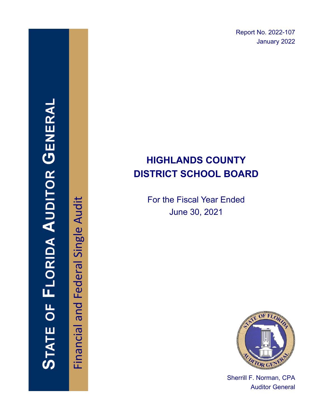Report No. 2022-107 January 2022

# STATE OF FLORIDA AUDITOR GENERAI

Financial and Federal Single Audit Financial and Federal Single Audit

# **HIGHLANDS COUNTY DISTRICT SCHOOL BOARD**

For the Fiscal Year Ended June 30, 2021



Sherrill F. Norman, CPA Auditor General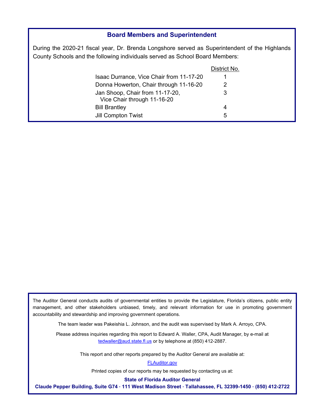#### **Board Members and Superintendent**

During the 2020-21 fiscal year, Dr. Brenda Longshore served as Superintendent of the Highlands County Schools and the following individuals served as School Board Members:

|                                                                | District No. |  |
|----------------------------------------------------------------|--------------|--|
| Isaac Durrance, Vice Chair from 11-17-20                       |              |  |
| Donna Howerton, Chair through 11-16-20                         | 2            |  |
| Jan Shoop, Chair from 11-17-20,<br>Vice Chair through 11-16-20 | 3            |  |
| <b>Bill Brantley</b>                                           | 4            |  |
| Jill Compton Twist                                             | 5            |  |

The Auditor General conducts audits of governmental entities to provide the Legislature, Florida's citizens, public entity management, and other stakeholders unbiased, timely, and relevant information for use in promoting government accountability and stewardship and improving government operations.

The team leader was Pakeishia L. Johnson, and the audit was supervised by Mark A. Arroyo, CPA.

Please address inquiries regarding this report to Edward A. Waller, CPA, Audit Manager, by e-mail at tedwaller@aud.state.fl.us or by telephone at (850) 412-2887.

This report and other reports prepared by the Auditor General are available at:

[FLAuditor.gov](http://flauditor.gov/)

Printed copies of our reports may be requested by contacting us at:

**State of Florida Auditor General** 

**Claude Pepper Building, Suite G74 · 111 West Madison Street · Tallahassee, FL 32399-1450 · (850) 412-2722**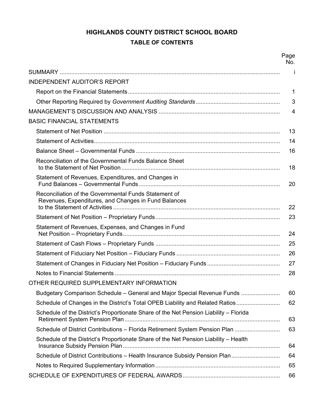# **HIGHLANDS COUNTY DISTRICT SCHOOL BOARD TABLE OF CONTENTS**

|                                                                                                               | Page<br>No.  |
|---------------------------------------------------------------------------------------------------------------|--------------|
|                                                                                                               | Ť            |
| <b>INDEPENDENT AUDITOR'S REPORT</b>                                                                           |              |
|                                                                                                               | $\mathbf{1}$ |
|                                                                                                               | 3            |
|                                                                                                               | 4            |
| <b>BASIC FINANCIAL STATEMENTS</b>                                                                             |              |
|                                                                                                               | 13           |
|                                                                                                               | 14           |
|                                                                                                               | 16           |
| Reconciliation of the Governmental Funds Balance Sheet                                                        | 18           |
| Statement of Revenues, Expenditures, and Changes in                                                           | 20           |
| Reconciliation of the Governmental Funds Statement of<br>Revenues, Expenditures, and Changes in Fund Balances | 22           |
|                                                                                                               | 23           |
| Statement of Revenues, Expenses, and Changes in Fund                                                          | 24           |
|                                                                                                               | 25           |
|                                                                                                               | 26           |
|                                                                                                               | 27           |
|                                                                                                               | 28           |
| OTHER REQUIRED SUPPLEMENTARY INFORMATION                                                                      |              |
| Budgetary Comparison Schedule - General and Major Special Revenue Funds                                       | 60           |
| Schedule of Changes in the District's Total OPEB Liability and Related Ratios                                 | 62           |
| Schedule of the District's Proportionate Share of the Net Pension Liability - Florida                         | 63           |
| Schedule of District Contributions - Florida Retirement System Pension Plan                                   | 63           |
| Schedule of the District's Proportionate Share of the Net Pension Liability – Health                          | 64           |
| Schedule of District Contributions - Health Insurance Subsidy Pension Plan                                    | 64           |
|                                                                                                               | 65           |
|                                                                                                               | 66           |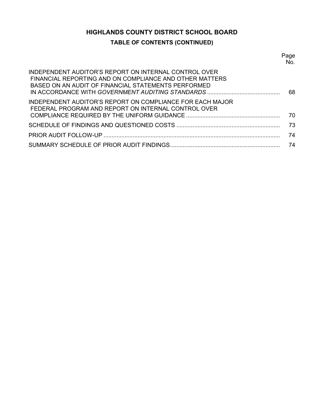# **HIGHLANDS COUNTY DISTRICT SCHOOL BOARD**

# **TABLE OF CONTENTS (CONTINUED)**

| age |
|-----|
| No  |

| INDEPENDENT AUDITOR'S REPORT ON INTERNAL CONTROL OVER<br>FINANCIAL REPORTING AND ON COMPLIANCE AND OTHER MATTERS<br>BASED ON AN AUDIT OF FINANCIAL STATEMENTS PERFORMED | 68 |
|-------------------------------------------------------------------------------------------------------------------------------------------------------------------------|----|
| INDEPENDENT AUDITOR'S REPORT ON COMPLIANCE FOR EACH MAJOR<br>FEDERAL PROGRAM AND REPORT ON INTERNAL CONTROL OVER                                                        | 70 |
|                                                                                                                                                                         | 73 |
|                                                                                                                                                                         | 74 |
|                                                                                                                                                                         | 74 |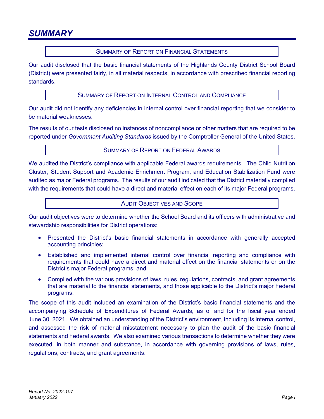#### SUMMARY OF REPORT ON FINANCIAL STATEMENTS

<span id="page-4-0"></span>Our audit disclosed that the basic financial statements of the Highlands County District School Board (District) were presented fairly, in all material respects, in accordance with prescribed financial reporting standards.

#### SUMMARY OF REPORT ON INTERNAL CONTROL AND COMPLIANCE

Our audit did not identify any deficiencies in internal control over financial reporting that we consider to be material weaknesses.

The results of our tests disclosed no instances of noncompliance or other matters that are required to be reported under *Government Auditing Standards* issued by the Comptroller General of the United States.

#### SUMMARY OF REPORT ON FEDERAL AWARDS

We audited the District's compliance with applicable Federal awards requirements. The Child Nutrition Cluster, Student Support and Academic Enrichment Program, and Education Stabilization Fund were audited as major Federal programs. The results of our audit indicated that the District materially complied with the requirements that could have a direct and material effect on each of its major Federal programs.

#### AUDIT OBJECTIVES AND SCOPE

Our audit objectives were to determine whether the School Board and its officers with administrative and stewardship responsibilities for District operations:

- Presented the District's basic financial statements in accordance with generally accepted accounting principles;
- Established and implemented internal control over financial reporting and compliance with requirements that could have a direct and material effect on the financial statements or on the District's major Federal programs; and
- Complied with the various provisions of laws, rules, regulations, contracts, and grant agreements that are material to the financial statements, and those applicable to the District's major Federal programs.

The scope of this audit included an examination of the District's basic financial statements and the accompanying Schedule of Expenditures of Federal Awards, as of and for the fiscal year ended June 30, 2021. We obtained an understanding of the District's environment, including its internal control, and assessed the risk of material misstatement necessary to plan the audit of the basic financial statements and Federal awards. We also examined various transactions to determine whether they were executed, in both manner and substance, in accordance with governing provisions of laws, rules, regulations, contracts, and grant agreements.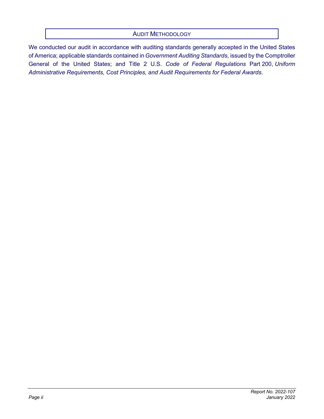#### AUDIT METHODOLOGY

We conducted our audit in accordance with auditing standards generally accepted in the United States of America; applicable standards contained in *Government Auditing Standards*, issued by the Comptroller General of the United States; and Title 2 U.S. *Code of Federal Regulations* Part 200, *Uniform Administrative Requirements, Cost Principles, and Audit Requirements for Federal Awards*.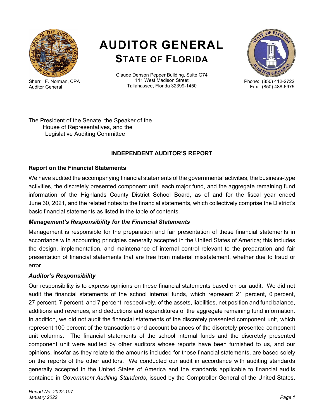<span id="page-6-0"></span>

Sherrill F. Norman, CPA Auditor General

# **AUDITOR GENERAL STATE OF FLORIDA**

Claude Denson Pepper Building, Suite G74 111 West Madison Street Tallahassee, Florida 32399-1450



Phone: (850) 412-2722 Fax: (850) 488-6975

The President of the Senate, the Speaker of the House of Representatives, and the Legislative Auditing Committee

## **INDEPENDENT AUDITOR'S REPORT**

#### **Report on the Financial Statements**

We have audited the accompanying financial statements of the governmental activities, the business-type activities, the discretely presented component unit, each major fund, and the aggregate remaining fund information of the Highlands County District School Board, as of and for the fiscal year ended June 30, 2021, and the related notes to the financial statements, which collectively comprise the District's basic financial statements as listed in the table of contents.

#### *Management's Responsibility for the Financial Statements*

Management is responsible for the preparation and fair presentation of these financial statements in accordance with accounting principles generally accepted in the United States of America; this includes the design, implementation, and maintenance of internal control relevant to the preparation and fair presentation of financial statements that are free from material misstatement, whether due to fraud or error.

#### *Auditor's Responsibility*

Our responsibility is to express opinions on these financial statements based on our audit. We did not audit the financial statements of the school internal funds, which represent 21 percent, 0 percent, 27 percent, 7 percent, and 7 percent, respectively, of the assets, liabilities, net position and fund balance, additions and revenues, and deductions and expenditures of the aggregate remaining fund information. In addition, we did not audit the financial statements of the discretely presented component unit, which represent 100 percent of the transactions and account balances of the discretely presented component unit columns. The financial statements of the school internal funds and the discretely presented component unit were audited by other auditors whose reports have been furnished to us, and our opinions, insofar as they relate to the amounts included for those financial statements, are based solely on the reports of the other auditors. We conducted our audit in accordance with auditing standards generally accepted in the United States of America and the standards applicable to financial audits contained in *Government Auditing Standards*, issued by the Comptroller General of the United States.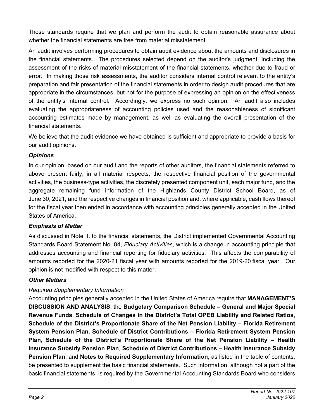Those standards require that we plan and perform the audit to obtain reasonable assurance about whether the financial statements are free from material misstatement.

An audit involves performing procedures to obtain audit evidence about the amounts and disclosures in the financial statements. The procedures selected depend on the auditor's judgment, including the assessment of the risks of material misstatement of the financial statements, whether due to fraud or error. In making those risk assessments, the auditor considers internal control relevant to the entity's preparation and fair presentation of the financial statements in order to design audit procedures that are appropriate in the circumstances, but not for the purpose of expressing an opinion on the effectiveness of the entity's internal control. Accordingly, we express no such opinion. An audit also includes evaluating the appropriateness of accounting policies used and the reasonableness of significant accounting estimates made by management, as well as evaluating the overall presentation of the financial statements.

We believe that the audit evidence we have obtained is sufficient and appropriate to provide a basis for our audit opinions.

#### *Opinions*

In our opinion, based on our audit and the reports of other auditors, the financial statements referred to above present fairly, in all material respects, the respective financial position of the governmental activities, the business-type activities, the discretely presented component unit, each major fund, and the aggregate remaining fund information of the Highlands County District School Board, as of June 30, 2021, and the respective changes in financial position and, where applicable, cash flows thereof for the fiscal year then ended in accordance with accounting principles generally accepted in the United States of America.

#### *Emphasis of Matter*

As discussed in Note II. to the financial statements, the District implemented Governmental Accounting Standards Board Statement No. 84, *Fiduciary Activities*, which is a change in accounting principle that addresses accounting and financial reporting for fiduciary activities. This affects the comparability of amounts reported for the 2020-21 fiscal year with amounts reported for the 2019-20 fiscal year. Our opinion is not modified with respect to this matter.

#### *Other Matters*

## *Required Supplementary Information*

Accounting principles generally accepted in the United States of America require that **MANAGEMENT'S DISCUSSION AND ANALYSIS**, the **Budgetary Comparison Schedule – General and Major Special Revenue Funds**, **Schedule of Changes in the District's Total OPEB Liability and Related Ratios**, **Schedule of the District's Proportionate Share of the Net Pension Liability – Florida Retirement System Pension Plan**, **Schedule of District Contributions – Florida Retirement System Pension Plan**, **Schedule of the District's Proportionate Share of the Net Pension Liability – Health Insurance Subsidy Pension Plan**, **Schedule of District Contributions – Health Insurance Subsidy Pension Plan**, and **Notes to Required Supplementary Information**, as listed in the table of contents, be presented to supplement the basic financial statements. Such information, although not a part of the basic financial statements, is required by the Governmental Accounting Standards Board who considers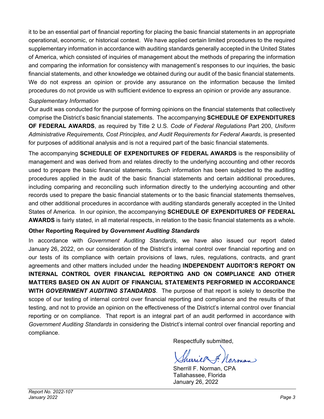<span id="page-8-0"></span>it to be an essential part of financial reporting for placing the basic financial statements in an appropriate operational, economic, or historical context. We have applied certain limited procedures to the required supplementary information in accordance with auditing standards generally accepted in the United States of America, which consisted of inquiries of management about the methods of preparing the information and comparing the information for consistency with management's responses to our inquiries, the basic financial statements, and other knowledge we obtained during our audit of the basic financial statements. We do not express an opinion or provide any assurance on the information because the limited procedures do not provide us with sufficient evidence to express an opinion or provide any assurance.

#### *Supplementary Information*

Our audit was conducted for the purpose of forming opinions on the financial statements that collectively comprise the District's basic financial statements. The accompanying **SCHEDULE OF EXPENDITURES OF FEDERAL AWARDS**, as required by Title 2 U.S. *Code of Federal Regulations* Part 200, *Uniform Administrative Requirements, Cost Principles, and Audit Requirements for Federal Awards*, is presented for purposes of additional analysis and is not a required part of the basic financial statements.

The accompanying **SCHEDULE OF EXPENDITURES OF FEDERAL AWARDS** is the responsibility of management and was derived from and relates directly to the underlying accounting and other records used to prepare the basic financial statements. Such information has been subjected to the auditing procedures applied in the audit of the basic financial statements and certain additional procedures, including comparing and reconciling such information directly to the underlying accounting and other records used to prepare the basic financial statements or to the basic financial statements themselves, and other additional procedures in accordance with auditing standards generally accepted in the United States of America. In our opinion, the accompanying **SCHEDULE OF EXPENDITURES OF FEDERAL AWARDS** is fairly stated, in all material respects, in relation to the basic financial statements as a whole.

#### **Other Reporting Required by** *Government Auditing Standards*

In accordance with *Government Auditing Standards*, we have also issued our report dated January 26, 2022, on our consideration of the District's internal control over financial reporting and on our tests of its compliance with certain provisions of laws, rules, regulations, contracts, and grant agreements and other matters included under the heading **INDEPENDENT AUDITOR'S REPORT ON INTERNAL CONTROL OVER FINANCIAL REPORTING AND ON COMPLIANCE AND OTHER MATTERS BASED ON AN AUDIT OF FINANCIAL STATEMENTS PERFORMED IN ACCORDANCE WITH** *GOVERNMENT AUDITING STANDARDS*. The purpose of that report is solely to describe the scope of our testing of internal control over financial reporting and compliance and the results of that testing, and not to provide an opinion on the effectiveness of the District's internal control over financial reporting or on compliance. That report is an integral part of an audit performed in accordance with *Government Auditing Standards* in considering the District's internal control over financial reporting and compliance.

Respectfully submitted,

Sherrill F. Norman, CPA Tallahassee, Florida January 26, 2022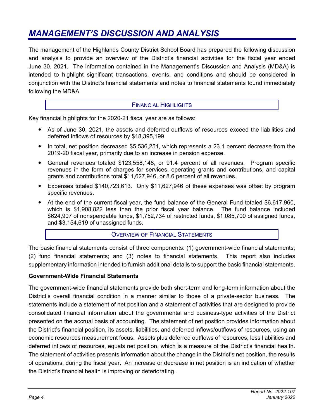# <span id="page-9-0"></span>*MANAGEMENT'S DISCUSSION AND ANALYSIS*

The management of the Highlands County District School Board has prepared the following discussion and analysis to provide an overview of the District's financial activities for the fiscal year ended June 30, 2021. The information contained in the Management's Discussion and Analysis (MD&A) is intended to highlight significant transactions, events, and conditions and should be considered in conjunction with the District's financial statements and notes to financial statements found immediately following the MD&A.

#### FINANCIAL HIGHLIGHTS

Key financial highlights for the 2020-21 fiscal year are as follows:

- As of June 30, 2021, the assets and deferred outflows of resources exceed the liabilities and deferred inflows of resources by \$18,395,199.
- $\bullet$  In total, net position decreased \$5,536,251, which represents a 23.1 percent decrease from the 2019-20 fiscal year, primarily due to an increase in pension expense.
- General revenues totaled \$123,558,148, or 91.4 percent of all revenues. Program specific revenues in the form of charges for services, operating grants and contributions, and capital grants and contributions total \$11,627,946, or 8.6 percent of all revenues.
- Expenses totaled \$140,723,613. Only \$11,627,946 of these expenses was offset by program specific revenues.
- At the end of the current fiscal year, the fund balance of the General Fund totaled \$6,617,960, which is \$1,908,822 less than the prior fiscal year balance. The fund balance included \$624,907 of nonspendable funds, \$1,752,734 of restricted funds, \$1,085,700 of assigned funds, and \$3,154,619 of unassigned funds.

#### OVERVIEW OF FINANCIAL STATEMENTS

The basic financial statements consist of three components: (1) government-wide financial statements; (2) fund financial statements; and (3) notes to financial statements. This report also includes supplementary information intended to furnish additional details to support the basic financial statements.

#### **Government-Wide Financial Statements**

The government-wide financial statements provide both short-term and long-term information about the District's overall financial condition in a manner similar to those of a private-sector business. The statements include a statement of net position and a statement of activities that are designed to provide consolidated financial information about the governmental and business-type activities of the District presented on the accrual basis of accounting. The statement of net position provides information about the District's financial position, its assets, liabilities, and deferred inflows/outflows of resources, using an economic resources measurement focus. Assets plus deferred outflows of resources, less liabilities and deferred inflows of resources, equals net position, which is a measure of the District's financial health. The statement of activities presents information about the change in the District's net position, the results of operations, during the fiscal year. An increase or decrease in net position is an indication of whether the District's financial health is improving or deteriorating.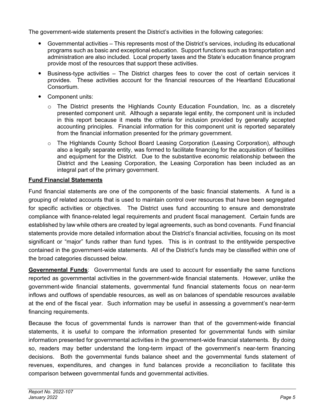The government-wide statements present the District's activities in the following categories:

- Governmental activities This represents most of the District's services, including its educational programs such as basic and exceptional education. Support functions such as transportation and administration are also included. Local property taxes and the State's education finance program provide most of the resources that support these activities.
- Business-type activities The District charges fees to cover the cost of certain services it provides. These activities account for the financial resources of the Heartland Educational Consortium.
- Component units:
	- o The District presents the Highlands County Education Foundation, Inc. as a discretely presented component unit. Although a separate legal entity, the component unit is included in this report because it meets the criteria for inclusion provided by generally accepted accounting principles. Financial information for this component unit is reported separately from the financial information presented for the primary government.
	- o The Highlands County School Board Leasing Corporation (Leasing Corporation), although also a legally separate entity, was formed to facilitate financing for the acquisition of facilities and equipment for the District. Due to the substantive economic relationship between the District and the Leasing Corporation, the Leasing Corporation has been included as an integral part of the primary government.

## **Fund Financial Statements**

Fund financial statements are one of the components of the basic financial statements. A fund is a grouping of related accounts that is used to maintain control over resources that have been segregated for specific activities or objectives. The District uses fund accounting to ensure and demonstrate compliance with finance-related legal requirements and prudent fiscal management. Certain funds are established by law while others are created by legal agreements, such as bond covenants. Fund financial statements provide more detailed information about the District's financial activities, focusing on its most significant or "major" funds rather than fund types. This is in contrast to the entitywide perspective contained in the government-wide statements. All of the District's funds may be classified within one of the broad categories discussed below.

**Governmental Funds**: Governmental funds are used to account for essentially the same functions reported as governmental activities in the government-wide financial statements. However, unlike the government-wide financial statements, governmental fund financial statements focus on near-term inflows and outflows of spendable resources, as well as on balances of spendable resources available at the end of the fiscal year. Such information may be useful in assessing a government's near-term financing requirements.

Because the focus of governmental funds is narrower than that of the government-wide financial statements, it is useful to compare the information presented for governmental funds with similar information presented for governmental activities in the government-wide financial statements. By doing so, readers may better understand the long-term impact of the government's near-term financing decisions. Both the governmental funds balance sheet and the governmental funds statement of revenues, expenditures, and changes in fund balances provide a reconciliation to facilitate this comparison between governmental funds and governmental activities.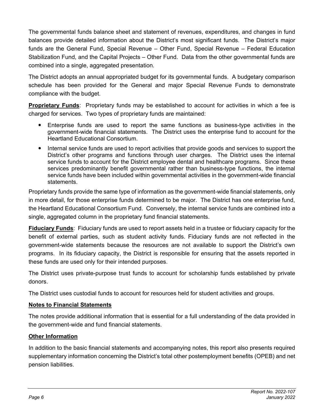The governmental funds balance sheet and statement of revenues, expenditures, and changes in fund balances provide detailed information about the District's most significant funds. The District's major funds are the General Fund, Special Revenue – Other Fund, Special Revenue – Federal Education Stabilization Fund, and the Capital Projects – Other Fund. Data from the other governmental funds are combined into a single, aggregated presentation.

The District adopts an annual appropriated budget for its governmental funds. A budgetary comparison schedule has been provided for the General and major Special Revenue Funds to demonstrate compliance with the budget.

**Proprietary Funds**: Proprietary funds may be established to account for activities in which a fee is charged for services. Two types of proprietary funds are maintained:

- Enterprise funds are used to report the same functions as business-type activities in the government-wide financial statements. The District uses the enterprise fund to account for the Heartland Educational Consortium.
- Internal service funds are used to report activities that provide goods and services to support the District's other programs and functions through user charges. The District uses the internal service funds to account for the District employee dental and healthcare programs. Since these services predominantly benefit governmental rather than business-type functions, the internal service funds have been included within governmental activities in the government-wide financial statements.

Proprietary funds provide the same type of information as the government-wide financial statements, only in more detail, for those enterprise funds determined to be major. The District has one enterprise fund, the Heartland Educational Consortium Fund. Conversely, the internal service funds are combined into a single, aggregated column in the proprietary fund financial statements.

**Fiduciary Funds**: Fiduciary funds are used to report assets held in a trustee or fiduciary capacity for the benefit of external parties, such as student activity funds. Fiduciary funds are not reflected in the government-wide statements because the resources are not available to support the District's own programs. In its fiduciary capacity, the District is responsible for ensuring that the assets reported in these funds are used only for their intended purposes.

The District uses private-purpose trust funds to account for scholarship funds established by private donors.

The District uses custodial funds to account for resources held for student activities and groups.

#### **Notes to Financial Statements**

The notes provide additional information that is essential for a full understanding of the data provided in the government-wide and fund financial statements.

#### **Other Information**

In addition to the basic financial statements and accompanying notes, this report also presents required supplementary information concerning the District's total other postemployment benefits (OPEB) and net pension liabilities.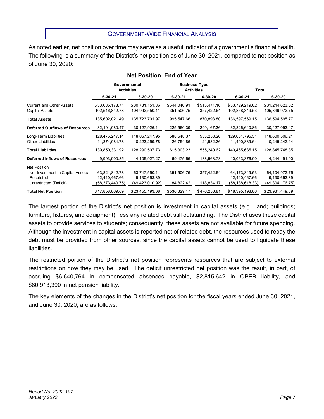#### GOVERNMENT-WIDE FINANCIAL ANALYSIS

As noted earlier, net position over time may serve as a useful indicator of a government's financial health. The following is a summary of the District's net position as of June 30, 2021, compared to net position as of June 30, 2020:

|                                       | Governmental<br><b>Activities</b> |                  |               | <b>Business-Type</b><br><b>Activities</b> |                 | Total             |
|---------------------------------------|-----------------------------------|------------------|---------------|-------------------------------------------|-----------------|-------------------|
|                                       | 6-30-21                           | 6-30-20          | $6 - 30 - 21$ | $6 - 30 - 20$                             | $6 - 30 - 21$   | 6-30-20           |
| <b>Current and Other Assets</b>       | \$33,085,178.71                   | \$30,731,151.86  | \$644,040.91  | \$513,471.16                              | \$33,729,219.62 | \$31,244,623.02   |
| <b>Capital Assets</b>                 | 102,516,842.78                    | 104,992,550.11   | 351,506.75    | 357,422.64                                | 102,868,349.53  | 105,349,972.75    |
| Total Assets                          | 135,602,021.49                    | 135,723,701.97   | 995,547.66    | 870,893.80                                | 136,597,569.15  | 136,594,595.77    |
| <b>Deferred Outflows of Resources</b> | 32,101,080.47                     | 30,127,926.11    | 225,560.39    | 299,167.36                                | 32,326,640.86   | 30,427,093.47     |
| Long-Term Liabilities                 | 128,476,247.14                    | 118,067,247.95   | 588,548.37    | 533,258.26                                | 129,064,795.51  | 118,600,506.21    |
| <b>Other Liabilities</b>              | 11,374,084.78                     | 10,223,259.78    | 26,754.86     | 21,982.36                                 | 11,400,839.64   | 10,245,242.14     |
| <b>Total Liabilities</b>              | 139,850,331.92                    | 128,290,507.73   | 615,303.23    | 555,240.62                                | 140,465,635.15  | 128,845,748.35    |
| <b>Deferred Inflows of Resources</b>  | 9,993,900.35                      | 14, 105, 927. 27 | 69,475.65     | 138,563.73                                | 10,063,376.00   | 14,244,491.00     |
| Net Position:                         |                                   |                  |               |                                           |                 |                   |
| Net Investment in Capital Assets      | 63,821,842.78                     | 63,747,550.11    | 351,506.75    | 357,422.64                                | 64, 173, 349.53 | 64, 104, 972. 75  |
| Restricted                            | 12,410,467.66                     | 9,130,653.89     |               |                                           | 12,410,467.66   | 9,130,653.89      |
| Unrestricted (Deficit)                | (58,373,440.75)                   | (49,423,010.92)  | 184,822.42    | 118,834.17                                | (58,188,618.33) | (49, 304, 176.75) |
| <b>Total Net Position</b>             | \$17,858,869.69                   | \$23,455,193.08  | \$536,329.17  | \$476,256.81                              | \$18,395,198.86 | \$23,931,449.89   |

#### **Net Position, End of Year**

The largest portion of the District's net position is investment in capital assets (e.g., land; buildings; furniture, fixtures, and equipment), less any related debt still outstanding. The District uses these capital assets to provide services to students; consequently, these assets are not available for future spending. Although the investment in capital assets is reported net of related debt, the resources used to repay the debt must be provided from other sources, since the capital assets cannot be used to liquidate these liabilities.

The restricted portion of the District's net position represents resources that are subject to external restrictions on how they may be used. The deficit unrestricted net position was the result, in part, of accruing \$6,640,764 in compensated absences payable, \$2,815,642 in OPEB liability, and \$80,913,390 in net pension liability.

The key elements of the changes in the District's net position for the fiscal years ended June 30, 2021, and June 30, 2020, are as follows: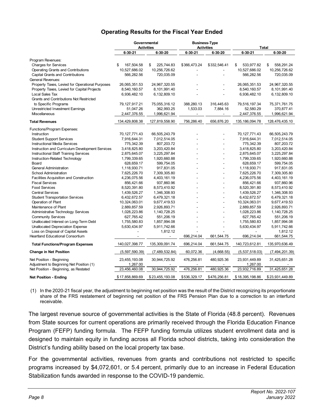#### **Operating Results for the Fiscal Year Ended**

|                                                 |                  | Governmental      | <b>Business-Type</b> |                          |                   |                  |  |  |
|-------------------------------------------------|------------------|-------------------|----------------------|--------------------------|-------------------|------------------|--|--|
|                                                 |                  | <b>Activities</b> |                      | <b>Activities</b>        |                   | Total            |  |  |
|                                                 | $6 - 30 - 21$    | 6-30-20           | $6 - 30 - 21$        | 6-30-20                  | $6 - 30 - 21$     | 6-30-20          |  |  |
| Program Revenues:                               |                  |                   |                      |                          |                   |                  |  |  |
| <b>Charges for Services</b>                     | 167,504.58<br>S  | 225,744.83<br>\$  | \$366,473.24         | \$332,546.41             | 533,977.82<br>\$  | 558,291.24<br>\$ |  |  |
| Operating Grants and Contributions              | 10,527,686.02    | 10,256,726.62     |                      |                          | 10,527,686.02     | 10,256,726.62    |  |  |
| Capital Grants and Contributions                | 566,282.56       | 720,035.09        |                      |                          | 566,282.56        | 720,035.09       |  |  |
| <b>General Revenues:</b>                        |                  |                   |                      |                          |                   |                  |  |  |
| Property Taxes, Levied for Operational Purposes | 26,065,351.53    | 24,967,320.55     |                      |                          | 26,065,351.53     | 24,967,320.55    |  |  |
| Property Taxes, Levied for Capital Projects     | 8,540,160.57     | 8,101,991.40      |                      |                          | 8,540,160.57      | 8,101,991.40     |  |  |
| <b>Local Sales Tax</b>                          | 6,936,482.10     | 6,132,809.10      |                      | $\overline{a}$           | 6,936,482.10      | 6,132,809.10     |  |  |
| Grants and Contributions Not Restricted         |                  |                   |                      |                          |                   |                  |  |  |
| to Specific Programs                            | 79, 127, 917. 21 | 75,055,316.12     | 388,280.13           | 316,445.63               | 79,516,197.34     | 75,371,761.75    |  |  |
| Unrestricted Investment Earnings                | 51,047.26        | 362,993.25        | 1,533.03             | 7,884.16                 | 52,580.29         | 370,877.41       |  |  |
| Miscellaneous                                   | 2,447,376.55     | 1,996,621.94      |                      |                          | 2,447,376.55      | 1,996,621.94     |  |  |
| <b>Total Revenues</b>                           | 134,429,808.38   | 127,819,558.90    | 756,286.40           | 656,876.20               | 135, 186, 094. 78 | 128,476,435.10   |  |  |
| Functions/Program Expenses:                     |                  |                   |                      |                          |                   |                  |  |  |
| Instruction                                     | 70, 127, 771.43  | 66,505,243.79     |                      |                          | 70, 127, 771.43   | 66,505,243.79    |  |  |
| <b>Student Support Services</b>                 | 7,916,644.31     | 7,012,514.05      |                      |                          | 7,916,644.31      | 7,012,514.05     |  |  |
| <b>Instructional Media Services</b>             | 775,342.39       | 807,203.72        |                      |                          | 775,342.39        |                  |  |  |
|                                                 |                  |                   |                      |                          | 3,418,825.80      | 807,203.72       |  |  |
| Instruction and Curriculum Development Services | 3,418,825.80     | 3,203,420.84      |                      |                          |                   | 3,203,420.84     |  |  |
| Instructional Staff Training Services           | 2,875,645.07     | 3,225,297.84      |                      | $\overline{a}$           | 2,875,645.07      | 3,225,297.84     |  |  |
| Instruction-Related Technology                  | 1,799,339.65     | 1,920,660.88      |                      |                          | 1,799,339.65      | 1,920,660.88     |  |  |
| Board                                           | 628,659.17       | 599,754.05        |                      | L,                       | 628,659.17        | 599,754.05       |  |  |
| General Administration                          | 1,118,930.71     | 917,831.05        |                      | $\blacksquare$           | 1,118,930.71      | 917,831.05       |  |  |
| School Administration                           | 7,625,226.70     | 7,309,305.80      | ٠                    | $\overline{\phantom{a}}$ | 7,625,226.70      | 7,309,305.80     |  |  |
| Facilities Acquisition and Construction         | 4,236,075.56     | 4,403,161.19      |                      | $\overline{a}$           | 4,236,075.56      | 4,403,161.19     |  |  |
| <b>Fiscal Services</b>                          | 856,421.66       | 937,860.96        |                      | $\blacksquare$           | 856,421.66        | 937,860.96       |  |  |
| <b>Food Services</b>                            | 8,520,391.80     | 8,573,410.92      |                      | $\overline{a}$           | 8,520,391.80      | 8,573,410.92     |  |  |
| <b>Central Services</b>                         | 1,439,526.27     | 1,346,308.93      |                      | $\overline{\phantom{a}}$ | 1,439,526.27      | 1,346,308.93     |  |  |
| <b>Student Transportation Services</b>          | 6,432,672.57     | 6,479,321.18      |                      | L,                       | 6,432,672.57      | 6,479,321.18     |  |  |
| Operation of Plant                              | 10,324,063.01    | 9,677,419.53      |                      | ÷,                       | 10,324,063.01     | 9,677,419.53     |  |  |
| Maintenance of Plant                            | 2,889,857.59     | 2,926,893.71      |                      | L,                       | 2,889,857.59      | 2,926,893.71     |  |  |
| Administrative Technology Services              | 1,028,223.86     | 1,140,728.25      |                      |                          | 1,028,223.86      | 1,140,728.25     |  |  |
| <b>Community Services</b>                       | 627,765.42       | 551,206.19        |                      | $\overline{a}$           | 627,765.42        | 551,206.19       |  |  |
| Unallocated Interest on Long-Term Debt          | 1,755,580.83     | 1,857,994.08      |                      | L.                       | 1,755,580.83      | 1,857,994.08     |  |  |
| Unallocated Depreciation Expense                | 5,630,434.97     | 5,911,742.66      |                      |                          | 5,630,434.97      | 5,911,742.66     |  |  |
| Loss on Disposal of Capital Assets              |                  | 1,812.12          |                      |                          |                   | 1,812.12         |  |  |
| <b>Heartland Educational Consortium</b>         |                  |                   | 696,214.04           | 661,544.75               | 696,214.04        | 661,544.75       |  |  |
| <b>Total Functions/Program Expenses</b>         | 140,027,398.77   | 135,309,091.74    | 696,214.04           | 661,544.75               | 140,723,612.81    | 135,970,636.49   |  |  |
| <b>Change in Net Position</b>                   | (5,597,590.39)   | (7,489,532.84)    | 60,072.36            | (4,668.55)               | (5,537,518.03)    | (7,494,201.39)   |  |  |
| Net Position - Beginning                        | 23,455,193.08    | 30,944,725.92     | 476,256.81           | 480,925.36               | 23,931,449.89     | 31,425,651.28    |  |  |
| Adjustment to Beginning Net Position (1)        | 1,267.00         |                   |                      |                          | 1,267.00          |                  |  |  |
| Net Position - Beginning, as Restated           | 23,456,460.08    | 30,944,725.92     | 476,256.81           | 480,925.36               | 23,932,716.89     | 31,425,651.28    |  |  |
|                                                 |                  |                   |                      |                          |                   |                  |  |  |
| <b>Net Position - Ending</b>                    | \$17,858,869.69  | \$23,455,193.08   | \$536,329.17         | \$476,256.81             | \$18,395,198.86   | \$23,931,449.89  |  |  |

(1) In the 2020-21 fiscal year, the adjustment to beginning net position was the result of the District recognizing its proportionate share of the FRS restatement of beginning net position of the FRS Pension Plan due to a correction to an interfund receivable.

The largest revenue source of governmental activities is the State of Florida (48.8 percent). Revenues from State sources for current operations are primarily received through the Florida Education Finance Program (FEFP) funding formula. The FEFP funding formula utilizes student enrollment data and is designed to maintain equity in funding across all Florida school districts, taking into consideration the District's funding ability based on the local property tax base.

For the governmental activities, revenues from grants and contributions not restricted to specific programs increased by \$4,072,601, or 5.4 percent, primarily due to an increase in Federal Education Stabilization funds awarded in response to the COVID-19 pandemic.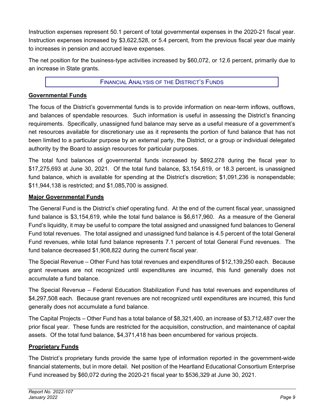Instruction expenses represent 50.1 percent of total governmental expenses in the 2020-21 fiscal year. Instruction expenses increased by \$3,622,528, or 5.4 percent, from the previous fiscal year due mainly to increases in pension and accrued leave expenses.

The net position for the business-type activities increased by \$60,072, or 12.6 percent, primarily due to an increase in State grants.

#### FINANCIAL ANALYSIS OF THE DISTRICT'S FUNDS

# **Governmental Funds**

The focus of the District's governmental funds is to provide information on near-term inflows, outflows, and balances of spendable resources. Such information is useful in assessing the District's financing requirements. Specifically, unassigned fund balance may serve as a useful measure of a government's net resources available for discretionary use as it represents the portion of fund balance that has not been limited to a particular purpose by an external party, the District, or a group or individual delegated authority by the Board to assign resources for particular purposes.

The total fund balances of governmental funds increased by \$892,278 during the fiscal year to \$17,275,693 at June 30, 2021. Of the total fund balance, \$3,154,619, or 18.3 percent, is unassigned fund balance, which is available for spending at the District's discretion; \$1,091,236 is nonspendable; \$11,944,138 is restricted; and \$1,085,700 is assigned.

## **Major Governmental Funds**

The General Fund is the District's chief operating fund. At the end of the current fiscal year, unassigned fund balance is \$3,154,619, while the total fund balance is \$6,617,960. As a measure of the General Fund's liquidity, it may be useful to compare the total assigned and unassigned fund balances to General Fund total revenues. The total assigned and unassigned fund balance is 4.5 percent of the total General Fund revenues, while total fund balance represents 7.1 percent of total General Fund revenues. The fund balance decreased \$1,908,822 during the current fiscal year.

The Special Revenue – Other Fund has total revenues and expenditures of \$12,139,250 each. Because grant revenues are not recognized until expenditures are incurred, this fund generally does not accumulate a fund balance.

The Special Revenue – Federal Education Stabilization Fund has total revenues and expenditures of \$4,297,508 each. Because grant revenues are not recognized until expenditures are incurred, this fund generally does not accumulate a fund balance.

The Capital Projects – Other Fund has a total balance of \$8,321,400, an increase of \$3,712,487 over the prior fiscal year. These funds are restricted for the acquisition, construction, and maintenance of capital assets. Of the total fund balance, \$4,371,418 has been encumbered for various projects.

## **Proprietary Funds**

The District's proprietary funds provide the same type of information reported in the government-wide financial statements, but in more detail. Net position of the Heartland Educational Consortium Enterprise Fund increased by \$60,072 during the 2020-21 fiscal year to \$536,329 at June 30, 2021.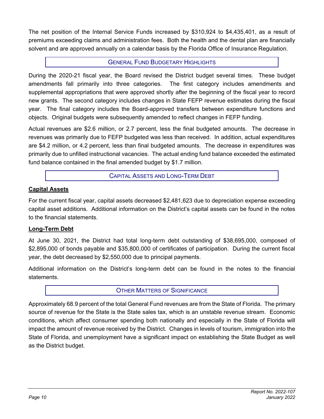The net position of the Internal Service Funds increased by \$310,924 to \$4,435,401, as a result of premiums exceeding claims and administration fees. Both the health and the dental plan are financially solvent and are approved annually on a calendar basis by the Florida Office of Insurance Regulation.

#### GENERAL FUND BUDGETARY HIGHLIGHTS

During the 2020-21 fiscal year, the Board revised the District budget several times. These budget amendments fall primarily into three categories. The first category includes amendments and supplemental appropriations that were approved shortly after the beginning of the fiscal year to record new grants. The second category includes changes in State FEFP revenue estimates during the fiscal year. The final category includes the Board-approved transfers between expenditure functions and objects. Original budgets were subsequently amended to reflect changes in FEFP funding.

Actual revenues are \$2.6 million, or 2.7 percent, less the final budgeted amounts. The decrease in revenues was primarily due to FEFP budgeted was less than received. In addition, actual expenditures are \$4.2 million, or 4.2 percent, less than final budgeted amounts. The decrease in expenditures was primarily due to unfilled instructional vacancies. The actual ending fund balance exceeded the estimated fund balance contained in the final amended budget by \$1.7 million.

#### CAPITAL ASSETS AND LONG-TERM DEBT

## **Capital Assets**

For the current fiscal year, capital assets decreased \$2,481,623 due to depreciation expense exceeding capital asset additions. Additional information on the District's capital assets can be found in the notes to the financial statements.

## **Long-Term Debt**

At June 30, 2021, the District had total long-term debt outstanding of \$38,695,000, composed of \$2,895,000 of bonds payable and \$35,800,000 of certificates of participation. During the current fiscal year, the debt decreased by \$2,550,000 due to principal payments.

Additional information on the District's long-term debt can be found in the notes to the financial statements.

## OTHER MATTERS OF SIGNIFICANCE

Approximately 68.9 percent of the total General Fund revenues are from the State of Florida. The primary source of revenue for the State is the State sales tax, which is an unstable revenue stream. Economic conditions, which affect consumer spending both nationally and especially in the State of Florida will impact the amount of revenue received by the District. Changes in levels of tourism, immigration into the State of Florida, and unemployment have a significant impact on establishing the State Budget as well as the District budget.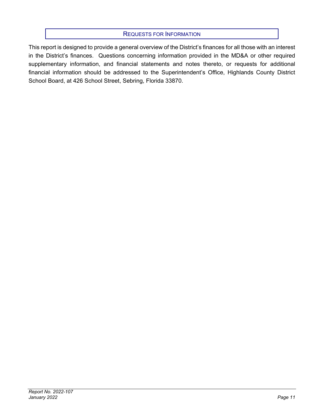#### REQUESTS FOR INFORMATION

This report is designed to provide a general overview of the District's finances for all those with an interest in the District's finances. Questions concerning information provided in the MD&A or other required supplementary information, and financial statements and notes thereto, or requests for additional financial information should be addressed to the Superintendent's Office, Highlands County District School Board, at 426 School Street, Sebring, Florida 33870.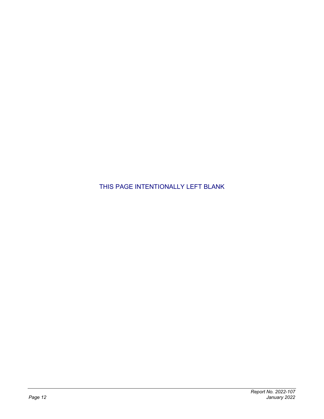THIS PAGE INTENTIONALLY LEFT BLANK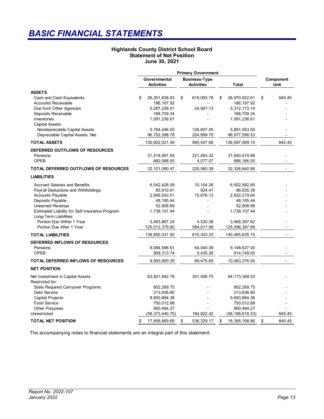# <span id="page-18-0"></span>*BASIC FINANCIAL STATEMENTS*

#### **Highlands County District School Board Statement of Net Position June 30, 2021**

|                                                                          | <b>Primary Government</b> |                   |    |                      |    |                   |           |             |
|--------------------------------------------------------------------------|---------------------------|-------------------|----|----------------------|----|-------------------|-----------|-------------|
|                                                                          |                           | Governmental      |    | <b>Business-Type</b> |    |                   | Component |             |
|                                                                          |                           | <b>Activities</b> |    | <b>Activities</b>    |    | <b>Total</b>      |           | <b>Unit</b> |
| <b>ASSETS</b>                                                            |                           |                   |    |                      |    |                   |           |             |
| Cash and Cash Equivalents                                                | \$                        | 26,351,838.83     | \$ | 619,093.78           | \$ | 26,970,932.61     | \$        | 845.45      |
| <b>Accounts Receivable</b>                                               |                           | 186, 167.92       |    |                      |    | 186, 167.92       |           |             |
| Due from Other Agencies                                                  |                           | 5,287,226.01      |    | 24,947.13            |    | 5,312,173.14      |           |             |
| Deposits Receivable                                                      |                           | 168,709.34        |    |                      |    | 168,709.34        |           |             |
| Inventories                                                              |                           | 1,091,236.61      |    |                      |    | 1,091,236.61      |           |             |
| Capital Assets:                                                          |                           |                   |    |                      |    |                   |           |             |
| Nondepreciable Capital Assets                                            |                           | 5,764,446.00      |    | 126,607.00           |    | 5,891,053.00      |           |             |
| Depreciable Capital Assets, Net                                          |                           | 96,752,396.78     |    | 224,899.75           |    | 96,977,296.53     |           |             |
| <b>TOTAL ASSETS</b>                                                      |                           | 135,602,021.49    |    | 995,547.66           |    | 136,597,569.15    |           | 845.45      |
| DEFERRED OUTFLOWS OF RESOURCES                                           |                           |                   |    |                      |    |                   |           |             |
| Pensions                                                                 |                           | 31,418,991.54     |    | 221,483.32           |    | 31,640,474.86     |           |             |
| OPEB                                                                     |                           | 682,088.93        |    | 4,077.07             |    | 686,166.00        |           |             |
| TOTAL DEFERRED OUTFLOWS OF RESOURCES                                     |                           | 32,101,080.47     |    | 225,560.39           |    | 32,326,640.86     |           |             |
| <b>LIABILITIES</b>                                                       |                           |                   |    |                      |    |                   |           |             |
| <b>Accrued Salaries and Benefits</b>                                     |                           | 6,542,428.59      |    | 10,154.26            |    | 6,552,582.85      |           |             |
| Payroll Deductions and Withholdings                                      |                           | 85,910.91         |    | 924.47               |    | 86,835.38         |           |             |
| <b>Accounts Payable</b>                                                  |                           | 2,906,543.51      |    | 15,676.13            |    | 2,922,219.64      |           |             |
| Deposits Payable                                                         |                           | 48,185.44         |    |                      |    | 48, 185.44        |           |             |
| <b>Unearned Revenue</b>                                                  |                           | 52,908.89         |    |                      |    | 52,908.89         |           |             |
| Estimated Liability for Self-Insurance Program<br>Long-Term Liabilities: |                           | 1,738,107.44      |    |                      |    | 1,738,107.44      |           |             |
| Portion Due Within 1 Year                                                |                           | 3,463,867.24      |    | 4,530.38             |    | 3,468,397.62      |           |             |
| Portion Due After 1 Year                                                 |                           | 125,012,379.90    |    | 584,017.99           |    | 125,596,397.89    |           |             |
| <b>TOTAL LIABILITIES</b>                                                 |                           | 139,850,331.92    |    | 615, 303. 23         |    | 140,465,635.15    |           |             |
| DEFERRED INFLOWS OF RESOURCES                                            |                           |                   |    |                      |    |                   |           |             |
| Pensions                                                                 |                           | 9,084,586.61      |    | 64,040.39            |    | 9,148,627.00      |           |             |
| <b>OPEB</b>                                                              |                           | 909,313.74        |    | 5,435.26             |    | 914,749.00        |           |             |
| TOTAL DEFERRED INFLOWS OF RESOURCES                                      |                           | 9,993,900.35      |    | 69,475.65            |    | 10,063,376.00     |           | L,          |
| <b>NET POSITION</b>                                                      |                           |                   |    |                      |    |                   |           |             |
| Net Investment in Capital Assets                                         |                           | 63,821,842.78     |    | 351,506.75           |    | 64, 173, 349.53   |           |             |
| Restricted for:                                                          |                           |                   |    |                      |    |                   |           |             |
| <b>State Required Carryover Programs</b>                                 |                           | 852,269.75        |    |                      |    | 852,269.75        |           |             |
| Debt Service                                                             |                           | 213,836.60        |    |                      |    | 213,836.60        |           |             |
| Capital Projects                                                         |                           | 9,693,884.36      |    |                      |    | 9,693,884.36      |           |             |
| <b>Food Service</b>                                                      |                           | 750,012.68        |    |                      |    | 750,012.68        |           |             |
| <b>Other Purposes</b>                                                    |                           | 900,464.27        |    |                      |    | 900,464.27        |           |             |
| Unrestricted                                                             |                           | (58, 373, 440.75) |    | 184,822.42           |    | (58, 188, 618.33) |           | 845.45      |
| <b>TOTAL NET POSITION</b>                                                | \$                        | 17,858,869.69     | \$ | 536,329.17           | \$ | 18,395,198.86     | \$        | 845.45      |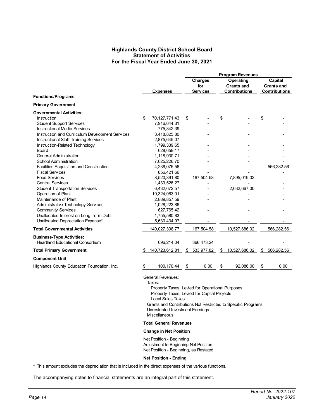#### **Highlands County District School Board Statement of Activities For the Fiscal Year Ended June 30, 2021**

<span id="page-19-0"></span>

|                                                                                                 |                                                                                                                                                                                                                                                                                |                                          | <b>Program Revenues</b>                                |                                                      |
|-------------------------------------------------------------------------------------------------|--------------------------------------------------------------------------------------------------------------------------------------------------------------------------------------------------------------------------------------------------------------------------------|------------------------------------------|--------------------------------------------------------|------------------------------------------------------|
| <b>Functions/Programs</b>                                                                       | <b>Expenses</b>                                                                                                                                                                                                                                                                | <b>Charges</b><br>for<br><b>Services</b> | Operating<br><b>Grants and</b><br><b>Contributions</b> | Capital<br><b>Grants and</b><br><b>Contributions</b> |
|                                                                                                 |                                                                                                                                                                                                                                                                                |                                          |                                                        |                                                      |
| <b>Primary Government</b>                                                                       |                                                                                                                                                                                                                                                                                |                                          |                                                        |                                                      |
| <b>Governmental Activities:</b>                                                                 |                                                                                                                                                                                                                                                                                |                                          |                                                        |                                                      |
| Instruction                                                                                     | \$<br>70, 127, 771.43                                                                                                                                                                                                                                                          | \$                                       | \$                                                     | \$                                                   |
| <b>Student Support Services</b>                                                                 | 7,916,644.31                                                                                                                                                                                                                                                                   |                                          |                                                        |                                                      |
| Instructional Media Services                                                                    | 775,342.39                                                                                                                                                                                                                                                                     |                                          |                                                        |                                                      |
| Instruction and Curriculum Development Services<br><b>Instructional Staff Training Services</b> | 3,418,825.80                                                                                                                                                                                                                                                                   |                                          |                                                        |                                                      |
| Instruction-Related Technology                                                                  | 2,875,645.07<br>1,799,339.65                                                                                                                                                                                                                                                   |                                          |                                                        |                                                      |
| Board                                                                                           | 628,659.17                                                                                                                                                                                                                                                                     |                                          |                                                        |                                                      |
| General Administration                                                                          | 1,118,930.71                                                                                                                                                                                                                                                                   |                                          |                                                        |                                                      |
| School Administration                                                                           | 7,625,226.70                                                                                                                                                                                                                                                                   |                                          |                                                        |                                                      |
| <b>Facilities Acquisition and Construction</b>                                                  | 4,236,075.56                                                                                                                                                                                                                                                                   |                                          |                                                        | 566,282.56                                           |
| <b>Fiscal Services</b>                                                                          | 856,421.66                                                                                                                                                                                                                                                                     |                                          |                                                        |                                                      |
| <b>Food Services</b>                                                                            | 8,520,391.80                                                                                                                                                                                                                                                                   | 167,504.58                               | 7,895,019.02                                           |                                                      |
| <b>Central Services</b>                                                                         | 1,439,526.27                                                                                                                                                                                                                                                                   |                                          |                                                        |                                                      |
| <b>Student Transportation Services</b>                                                          | 6,432,672.57                                                                                                                                                                                                                                                                   |                                          | 2,632,667.00                                           |                                                      |
| Operation of Plant                                                                              | 10,324,063.01                                                                                                                                                                                                                                                                  |                                          |                                                        |                                                      |
| Maintenance of Plant                                                                            | 2,889,857.59                                                                                                                                                                                                                                                                   |                                          |                                                        |                                                      |
| Administrative Technology Services                                                              | 1,028,223.86                                                                                                                                                                                                                                                                   |                                          |                                                        |                                                      |
| <b>Community Services</b>                                                                       | 627,765.42                                                                                                                                                                                                                                                                     |                                          |                                                        |                                                      |
| Unallocated Interest on Long-Term Debt                                                          | 1,755,580.83                                                                                                                                                                                                                                                                   |                                          |                                                        |                                                      |
| Unallocated Depreciation Expense*                                                               | 5,630,434.97                                                                                                                                                                                                                                                                   |                                          |                                                        |                                                      |
| <b>Total Governmental Activities</b>                                                            | 140,027,398.77                                                                                                                                                                                                                                                                 | 167,504.58                               | 10,527,686.02                                          | 566,282.56                                           |
| <b>Business-Type Activities:</b>                                                                |                                                                                                                                                                                                                                                                                |                                          |                                                        |                                                      |
| <b>Heartland Educational Consortium</b>                                                         | 696,214.04                                                                                                                                                                                                                                                                     | 366,473.24                               |                                                        |                                                      |
| <b>Total Primary Government</b>                                                                 | \$<br>140,723,612.81                                                                                                                                                                                                                                                           | \$ 533,977.82                            | \$<br>10,527,686.02                                    | \$<br>566,282.56                                     |
| <b>Component Unit</b>                                                                           |                                                                                                                                                                                                                                                                                |                                          |                                                        |                                                      |
| Highlands County Education Foundation, Inc.                                                     | \$<br>100,170.44                                                                                                                                                                                                                                                               | \$<br>0.00                               | \$<br>92,086.00                                        | \$<br>0.00                                           |
|                                                                                                 | <b>General Revenues:</b><br>Taxes:<br>Property Taxes, Levied for Operational Purposes<br>Property Taxes, Levied for Capital Projects<br>Local Sales Taxes<br>Grants and Contributions Not Restricted to Specific Programs<br>Unrestricted Investment Earnings<br>Miscellaneous |                                          |                                                        |                                                      |
|                                                                                                 | <b>Total General Revenues</b>                                                                                                                                                                                                                                                  |                                          |                                                        |                                                      |
|                                                                                                 | <b>Change in Net Position</b>                                                                                                                                                                                                                                                  |                                          |                                                        |                                                      |
|                                                                                                 | Net Position - Beginning<br>Adjustment to Beginning Net Position<br>Net Position - Beginning, as Restated                                                                                                                                                                      |                                          |                                                        |                                                      |
|                                                                                                 | <b>Net Position - Ending</b>                                                                                                                                                                                                                                                   |                                          |                                                        |                                                      |

This amount excludes the depreciation that is included in the direct expenses of the various functions.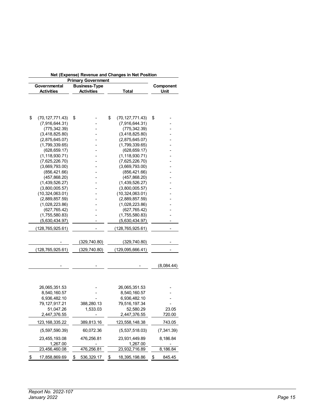| Net (Expense) Revenue and Changes in Net Position |                                                   |           |                   |              |  |  |  |  |
|---------------------------------------------------|---------------------------------------------------|-----------|-------------------|--------------|--|--|--|--|
| Governmental                                      | <b>Primary Government</b><br><b>Business-Type</b> |           |                   | Component    |  |  |  |  |
| <b>Activities</b>                                 | <b>Activities</b>                                 |           | <b>Total</b>      | Unit         |  |  |  |  |
|                                                   |                                                   |           |                   |              |  |  |  |  |
|                                                   |                                                   |           |                   |              |  |  |  |  |
| \$<br>(70, 127, 771.43)                           | \$                                                | \$        | (70, 127, 771.43) | \$           |  |  |  |  |
| (7,916,644.31)                                    |                                                   |           | (7,916,644.31)    |              |  |  |  |  |
| (775, 342.39)                                     |                                                   |           | (775, 342.39)     |              |  |  |  |  |
| (3,418,825.80)                                    |                                                   |           | (3,418,825.80)    |              |  |  |  |  |
| (2,875,645.07)                                    |                                                   |           | (2,875,645.07)    |              |  |  |  |  |
| (1,799,339.65)                                    |                                                   |           | (1,799,339.65)    |              |  |  |  |  |
| (628, 659.17)                                     |                                                   |           | (628, 659.17)     |              |  |  |  |  |
| (1, 118, 930.71)                                  |                                                   |           | (1, 118, 930.71)  |              |  |  |  |  |
| (7,625,226.70)                                    |                                                   |           | (7,625,226.70)    |              |  |  |  |  |
| (3,669,793.00)                                    |                                                   |           | (3,669,793.00)    |              |  |  |  |  |
| (856, 421.66)                                     |                                                   |           | (856, 421.66)     |              |  |  |  |  |
| (457, 868.20)                                     |                                                   |           | (457, 868.20)     |              |  |  |  |  |
| (1,439,526.27)                                    |                                                   |           | (1,439,526.27)    |              |  |  |  |  |
| (3,800,005.57)                                    |                                                   |           | (3,800,005.57)    |              |  |  |  |  |
| (10, 324, 063.01)                                 |                                                   |           | (10, 324, 063.01) |              |  |  |  |  |
| (2,889,857.59)                                    |                                                   |           | (2,889,857.59)    |              |  |  |  |  |
| (1,028,223.86)                                    |                                                   |           | (1,028,223.86)    |              |  |  |  |  |
| (627, 765.42)                                     |                                                   |           | (627, 765.42)     |              |  |  |  |  |
| (1,755,580.83)                                    |                                                   |           | (1,755,580.83)    |              |  |  |  |  |
| (5,630,434.97)                                    |                                                   |           | (5,630,434.97)    |              |  |  |  |  |
| (128,765,925.61)                                  |                                                   |           | (128,765,925.61)  |              |  |  |  |  |
|                                                   |                                                   |           |                   |              |  |  |  |  |
|                                                   | (329,740.80)                                      |           | (329, 740.80)     |              |  |  |  |  |
| (128, 765, 925.61)                                | (329, 740.80)                                     |           | (129,095,666.41)  |              |  |  |  |  |
|                                                   |                                                   |           |                   |              |  |  |  |  |
|                                                   |                                                   |           |                   | (8,084.44)   |  |  |  |  |
|                                                   |                                                   |           |                   |              |  |  |  |  |
| 26,065,351.53                                     |                                                   |           | 26,065,351.53     |              |  |  |  |  |
| 8,540,160.57                                      |                                                   |           | 8,540,160.57      |              |  |  |  |  |
| 6,936,482.10                                      |                                                   |           | 6,936,482.10      |              |  |  |  |  |
| 79, 127, 917. 21                                  | 388,280.13                                        |           | 79,516,197.34     |              |  |  |  |  |
| 51,047.26                                         | 1,533.03                                          |           | 52,580.29         | 23.05        |  |  |  |  |
| 2,447,376.55                                      |                                                   |           | 2,447,376.55      | 720.00       |  |  |  |  |
| 123, 168, 335. 22                                 | 389,813.16                                        |           | 123,558,148.38    | 743.05       |  |  |  |  |
| (5,597,590.39)                                    | 60,072.36                                         |           | (5,537,518.03)    | (7, 341.39)  |  |  |  |  |
| 23,455,193.08                                     | 476,256.81                                        |           | 23,931,449.89     | 8,186.84     |  |  |  |  |
| 1,267.00                                          |                                                   |           | 1,267.00          |              |  |  |  |  |
| 23,456,460.08                                     | 476,256.81                                        |           | 23,932,716.89     | 8,186.84     |  |  |  |  |
| \$<br>17,858,869.69                               | $\frac{3}{2}$<br>536,329.17                       | <u>\$</u> | 18,395,198.86     | 845.45<br>\$ |  |  |  |  |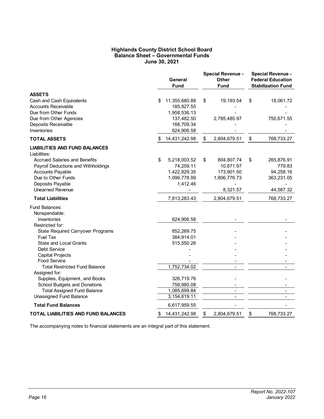#### **Highlands County District School Board Balance Sheet – Governmental Funds June 30, 2021**

<span id="page-21-0"></span>

|                                                                    |    | General<br><b>Fund</b>     | <b>Special Revenue -</b><br>Other<br><b>Fund</b> | <b>Special Revenue -</b><br><b>Federal Education</b><br><b>Stabilization Fund</b> |                          |  |
|--------------------------------------------------------------------|----|----------------------------|--------------------------------------------------|-----------------------------------------------------------------------------------|--------------------------|--|
| <b>ASSETS</b>                                                      |    |                            |                                                  |                                                                                   |                          |  |
| Cash and Cash Equivalents                                          | \$ | 11,355,680.88              | \$<br>19,193.54                                  | \$                                                                                | 18,061.72                |  |
| <b>Accounts Receivable</b>                                         |    | 185,927.55                 |                                                  |                                                                                   |                          |  |
| Due from Other Funds                                               |    | 1,958,536.13               |                                                  |                                                                                   |                          |  |
| Due from Other Agencies                                            |    | 137,482.50                 | 2,785,485.97                                     |                                                                                   | 750,671.55               |  |
| Deposits Receivable                                                |    | 168,709.34                 |                                                  |                                                                                   |                          |  |
| Inventories                                                        |    | 624,906.58                 |                                                  |                                                                                   |                          |  |
| <b>TOTAL ASSETS</b>                                                |    | 14,431,242.98              | \$<br>2,804,679.51                               | \$                                                                                | 768,733.27               |  |
| <b>LIABILITIES AND FUND BALANCES</b>                               |    |                            |                                                  |                                                                                   |                          |  |
| Liabilities:                                                       |    |                            |                                                  |                                                                                   |                          |  |
| <b>Accrued Salaries and Benefits</b>                               | \$ | 5,218,003.52               | \$<br>804,807.74                                 | \$                                                                                | 265,876.91               |  |
| Payroll Deductions and Withholdings                                |    | 74,259.11                  | 10,871.97                                        |                                                                                   | 779.83                   |  |
| <b>Accounts Payable</b>                                            |    | 1,422,829.35               | 173,901.50                                       |                                                                                   | 94,258.16                |  |
| Due to Other Funds                                                 |    | 1,096,778.99               | 1,806,776.73                                     |                                                                                   | 363,231.05               |  |
| Deposits Payable                                                   |    | 1,412.46                   |                                                  |                                                                                   |                          |  |
| <b>Unearned Revenue</b>                                            |    |                            | 8,321.57                                         |                                                                                   | 44,587.32                |  |
| <b>Total Liabilities</b>                                           |    | 7,813,283.43               | 2,804,679.51                                     |                                                                                   | 768,733.27               |  |
| Fund Balances:                                                     |    |                            |                                                  |                                                                                   |                          |  |
| Nonspendable:                                                      |    |                            |                                                  |                                                                                   |                          |  |
| Inventories                                                        |    | 624,906.58                 |                                                  |                                                                                   |                          |  |
| Restricted for:                                                    |    |                            |                                                  |                                                                                   |                          |  |
| <b>State Required Carryover Programs</b>                           |    | 852,269.75                 |                                                  |                                                                                   |                          |  |
| Fuel Tax                                                           |    | 384,914.01                 |                                                  |                                                                                   |                          |  |
| <b>State and Local Grants</b>                                      |    | 515,550.26                 |                                                  |                                                                                   |                          |  |
| Debt Service                                                       |    |                            |                                                  |                                                                                   |                          |  |
| <b>Capital Projects</b>                                            |    |                            |                                                  |                                                                                   |                          |  |
| <b>Food Service</b>                                                |    |                            |                                                  |                                                                                   |                          |  |
| <b>Total Restricted Fund Balance</b>                               |    | 1,752,734.02               |                                                  |                                                                                   |                          |  |
| Assigned for:                                                      |    |                            |                                                  |                                                                                   |                          |  |
| Supplies, Equipment, and Books                                     |    | 326,719.76                 |                                                  |                                                                                   |                          |  |
| School Budgets and Donations<br><b>Total Assigned Fund Balance</b> |    | 758,980.08<br>1,085,699.84 |                                                  |                                                                                   | $\blacksquare$           |  |
| <b>Unassigned Fund Balance</b>                                     |    | 3,154,619.11               | $\overline{\phantom{a}}$<br>$\overline{a}$       |                                                                                   | $\overline{\phantom{0}}$ |  |
| <b>Total Fund Balances</b>                                         |    | 6,617,959.55               |                                                  |                                                                                   |                          |  |
| TOTAL LIABILITIES AND FUND BALANCES                                | \$ | 14,431,242.98              | \$<br>2,804,679.51                               | \$                                                                                | 768,733.27               |  |
|                                                                    |    |                            |                                                  |                                                                                   |                          |  |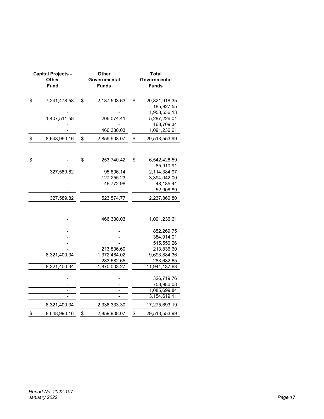| \$<br>\$<br>2,187,503.63<br>\$<br>7,241,478.58 | 20,821,918.35<br>185,927.55 |
|------------------------------------------------|-----------------------------|
|                                                | 1,958,536.13                |
| 1,407,511.58<br>206,074.41                     | 5,287,226.01                |
|                                                | 168,709.34                  |
| 466,330.03                                     | 1,091,236.61                |
| \$<br>\$<br>8,648,990.16<br>\$<br>2,859,908.07 | 29,513,553.99               |
|                                                |                             |
| \$<br>\$<br>253,740.42<br>\$                   | 6,542,428.59                |
|                                                | 85,910.91                   |
| 95,806.14<br>327,589.82                        | 2,114,384.97                |
| 127,255.23                                     | 3,394,042.00                |
| 46,772.98                                      | 48,185.44                   |
|                                                | 52,908.89                   |
| 327,589.82<br>523,574.77                       | 12,237,860.80               |
|                                                |                             |
| 466,330.03                                     | 1,091,236.61                |
|                                                | 852,269.75                  |
|                                                | 384,914.01                  |
|                                                | 515,550.26                  |
| 213,836.60                                     | 213,836.60                  |
| 1,372,484.02<br>8,321,400.34                   | 9,693,884.36                |
| 283,682.65                                     | 283,682.65                  |
| 8,321,400.34<br>1,870,003.27                   | 11,944,137.63               |
|                                                | 326,719.76                  |
|                                                | 758,980.08                  |
|                                                | 1,085,699.84                |
|                                                | 3,154,619.11                |
| 2,336,333.30<br>8,321,400.34                   | 17,275,693.19               |
| \$<br>\$<br>\$<br>8,648,990.16<br>2,859,908.07 | 29,513,553.99               |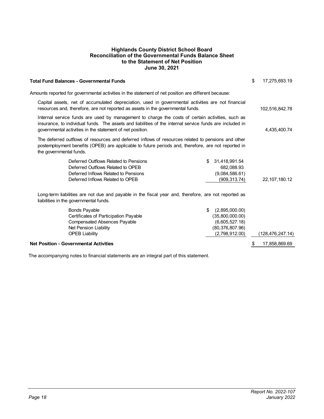#### **Highlands County District School Board Reconciliation of the Governmental Funds Balance Sheet to the Statement of Net Position June 30, 2021**

<span id="page-23-0"></span>

| <b>Total Fund Balances - Governmental Funds</b>                                                                                                                                                                                                                           | \$ | 17,275,693.19    |
|---------------------------------------------------------------------------------------------------------------------------------------------------------------------------------------------------------------------------------------------------------------------------|----|------------------|
| Amounts reported for governmental activities in the statement of net position are different because:                                                                                                                                                                      |    |                  |
| Capital assets, net of accumulated depreciation, used in governmental activities are not financial<br>resources and, therefore, are not reported as assets in the governmental funds.                                                                                     |    | 102,516,842.78   |
| Internal service funds are used by management to charge the costs of certain activities, such as<br>insurance, to individual funds. The assets and liabilities of the internal service funds are included in<br>governmental activities in the statement of net position. |    | 4,435,400.74     |
| The deferred outflows of resources and deferred inflows of resources related to pensions and other<br>postemployment benefits (OPEB) are applicable to future periods and, therefore, are not reported in<br>the governmental funds.                                      |    |                  |
| Deferred Outflows Related to Pensions<br>31,418,991.54<br>S<br>Deferred Outflows Related to OPEB<br>682,088.93<br>Deferred Inflows Related to Pensions<br>(9,084,586.61)<br>Deferred Inflows Related to OPEB<br>(909,313.74)                                              |    | 22, 107, 180. 12 |
| Long-term liabilities are not due and payable in the fiscal year and, therefore, are not reported as<br>liabilities in the governmental funds.                                                                                                                            |    |                  |
| <b>Bonds Payable</b><br>(2,895,000.00)<br>\$<br>(35,800,000.00)<br>Certificates of Participation Payable<br>(6,605,527.18)<br><b>Compensated Absences Payable</b><br>Net Pension Liability<br>(80, 376, 807.96)<br>(2,798,912.00)<br><b>OPEB Liability</b>                |    | (128,476,247.14) |
| <b>Net Position - Governmental Activities</b>                                                                                                                                                                                                                             | S  | 17,858,869.69    |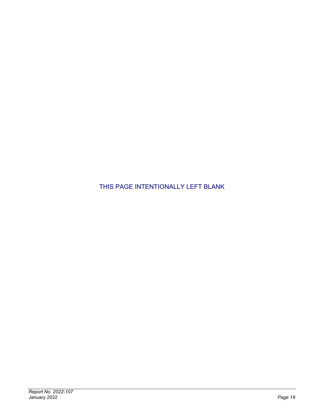THIS PAGE INTENTIONALLY LEFT BLANK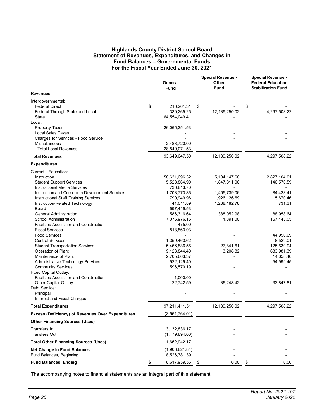#### **Highlands County District School Board Statement of Revenues, Expenditures, and Changes in Fund Balances – Governmental Funds For the Fiscal Year Ended June 30, 2021**

<span id="page-25-0"></span>

|                                                                                | General<br><b>Fund</b>         | Special Revenue -<br>Other<br>Fund | Special Revenue -<br><b>Federal Education</b><br><b>Stabilization Fund</b> |
|--------------------------------------------------------------------------------|--------------------------------|------------------------------------|----------------------------------------------------------------------------|
| <b>Revenues</b>                                                                |                                |                                    |                                                                            |
| Intergovernmental:<br><b>Federal Direct</b><br>Federal Through State and Local | \$<br>216,261.31<br>330,265.25 | \$<br>12, 139, 250.02              | \$<br>4,297,508.22                                                         |
| State<br>Local:                                                                | 64,554,049.41                  |                                    |                                                                            |
| <b>Property Taxes</b>                                                          | 26,065,351.53                  |                                    |                                                                            |
| <b>Local Sales Taxes</b>                                                       |                                |                                    |                                                                            |
| Charges for Services - Food Service                                            |                                |                                    |                                                                            |
| Miscellaneous                                                                  | 2,483,720.00                   |                                    |                                                                            |
| <b>Total Local Revenues</b>                                                    | 28,549,071.53                  |                                    |                                                                            |
| <b>Total Revenues</b>                                                          | 93,649,647.50                  | 12, 139, 250.02                    | 4,297,508.22                                                               |
| <b>Expenditures</b>                                                            |                                |                                    |                                                                            |
| Current - Education:                                                           |                                |                                    |                                                                            |
| Instruction                                                                    | 58,631,696.32                  | 5, 184, 147.60                     | 2,827,104.01                                                               |
| <b>Student Support Services</b>                                                | 5,528,864.90                   | 1,847,811.06                       | 146,570.59                                                                 |
| <b>Instructional Media Services</b>                                            | 736,813.70                     |                                    |                                                                            |
| Instruction and Curriculum Development Services                                | 1,708,773.36                   | 1,455,739.06                       | 84,423.41                                                                  |
| <b>Instructional Staff Training Services</b>                                   | 790,949.96                     | 1,926,126.69                       | 15,670.46                                                                  |
| Instruction-Related Technology                                                 | 441,011.89                     | 1,268,182.78                       | 731.31                                                                     |
| Board<br><b>General Administration</b>                                         | 597,419.53                     | 388,052.98                         |                                                                            |
| School Administration                                                          | 586,316.64<br>7,076,976.15     | 1,891.00                           | 88,958.64<br>167,443.05                                                    |
| <b>Facilities Acquisition and Construction</b>                                 | 475.00                         |                                    |                                                                            |
| <b>Fiscal Services</b>                                                         | 813,863.93                     |                                    |                                                                            |
| <b>Food Services</b>                                                           |                                |                                    | 44,950.69                                                                  |
| <b>Central Services</b>                                                        | 1,359,463.62                   |                                    | 8,529.01                                                                   |
| <b>Student Transportation Services</b>                                         | 5,466,836.56                   | 27,841.61                          | 125,639.94                                                                 |
| Operation of Plant                                                             | 9,123,844.40                   | 3,208.82                           | 683,981.39                                                                 |
| Maintenance of Plant                                                           | 2,705,663.37                   |                                    | 14,658.46                                                                  |
| <b>Administrative Technology Services</b>                                      | 922,129.40                     |                                    | 54,999.45                                                                  |
| <b>Community Services</b>                                                      | 596,570.19                     |                                    |                                                                            |
| Fixed Capital Outlay:                                                          |                                |                                    |                                                                            |
| Facilities Acquisition and Construction                                        | 1,000.00                       |                                    |                                                                            |
| Other Capital Outlay                                                           | 122,742.59                     | 36,248.42                          | 33,847.81                                                                  |
| Debt Service:                                                                  |                                |                                    |                                                                            |
| Principal<br>Interest and Fiscal Charges                                       |                                |                                    |                                                                            |
| <b>Total Expenditures</b>                                                      | 97,211,411.51                  | 12, 139, 250.02                    | 4,297,508.22                                                               |
| <b>Excess (Deficiency) of Revenues Over Expenditures</b>                       | (3,561,764.01)                 |                                    |                                                                            |
| <b>Other Financing Sources (Uses)</b>                                          |                                |                                    |                                                                            |
| Transfers In                                                                   | 3, 132, 836. 17                |                                    |                                                                            |
| <b>Transfers Out</b>                                                           | (1,479,894.00)                 |                                    |                                                                            |
| <b>Total Other Financing Sources (Uses)</b>                                    | 1,652,942.17                   |                                    |                                                                            |
| <b>Net Change in Fund Balances</b><br>Fund Balances, Beginning                 | (1,908,821.84)<br>8,526,781.39 |                                    |                                                                            |
|                                                                                |                                |                                    |                                                                            |
| <b>Fund Balances, Ending</b>                                                   | \$<br>6,617,959.55             | \$<br>0.00                         | \$<br>0.00                                                                 |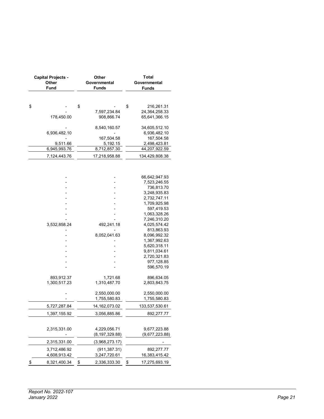| <b>Capital Projects -</b><br>Other<br>Fund | Other<br>Governmental<br><b>Funds</b> | Total<br>Governmental<br><b>Funds</b> |
|--------------------------------------------|---------------------------------------|---------------------------------------|
|                                            |                                       |                                       |
| \$                                         | \$                                    | \$<br>216,261.31                      |
|                                            | 7,597,234.84                          | 24, 364, 258. 33                      |
| 178,450.00                                 | 908,866.74                            | 65,641,366.15                         |
|                                            | 8,540,160.57                          | 34,605,512.10                         |
| 6,936,482.10                               |                                       | 6,936,482.10                          |
|                                            | 167,504.58                            | 167,504.58                            |
| 9,511.66<br>6,945,993.76                   | 5,192.15<br>8,712,857.30              | 2,498,423.81<br>44,207,922.59         |
|                                            |                                       |                                       |
| 7,124,443.76                               | 17,218,958.88                         | 134,429,808.38                        |
|                                            |                                       |                                       |
|                                            |                                       | 66,642,947.93                         |
|                                            |                                       | 7,523,246.55                          |
|                                            |                                       | 736,813.70                            |
|                                            |                                       | 3,248,935.83                          |
|                                            |                                       | 2,732,747.11                          |
|                                            |                                       | 1,709,925.98                          |
|                                            |                                       | 597,419.53<br>1,063,328.26            |
|                                            |                                       | 7,246,310.20                          |
| 3,532,858.24                               | 492,241.18                            | 4,025,574.42                          |
|                                            |                                       | 813,863.93                            |
|                                            | 8,052,041.63                          | 8,096,992.32                          |
|                                            |                                       | 1,367,992.63                          |
|                                            |                                       | 5,620,318.11                          |
|                                            |                                       | 9,811,034.61                          |
|                                            |                                       | 2,720,321.83                          |
|                                            |                                       | 977, 128.85                           |
|                                            |                                       | 596,570.19                            |
| 893,912.37                                 | 1,721.68                              | 896,634.05                            |
| 1,300,517.23                               | 1,310,487.70                          | 2,803,843.75                          |
|                                            |                                       |                                       |
|                                            | 2,550,000.00<br>1,755,580.83          | 2,550,000.00<br>1,755,580.83          |
|                                            |                                       |                                       |
| 5,727,287.84                               | 14, 162, 073. 02                      | 133,537,530.61                        |
| 1,397,155.92                               | 3,056,885.86                          | 892,277.77                            |
|                                            |                                       |                                       |
| 2,315,331.00                               | 4,229,056.71                          | 9,677,223.88                          |
|                                            | (8,197,329.88)                        | (9,677,223.88)                        |
| 2,315,331.00                               | (3,968,273.17)                        |                                       |
| 3,712,486.92                               | (911, 387.31)                         | 892,277.77                            |
| 4,608,913.42                               | 3,247,720.61                          | 16,383,415.42                         |
| \$<br>8,321,400.34                         | \$<br>2,336,333.30                    | \$<br>17,275,693.19                   |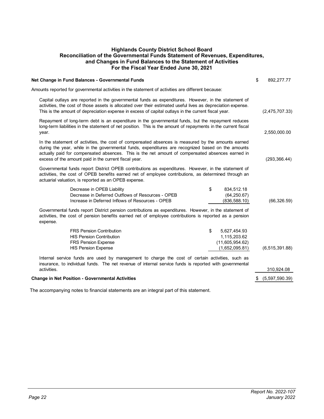#### <span id="page-27-0"></span>**Highlands County District School Board Reconciliation of the Governmental Funds Statement of Revenues, Expenditures, and Changes in Fund Balances to the Statement of Activities For the Fiscal Year Ended June 30, 2021**

| Net Change in Fund Balances - Governmental Funds                                                                                                                                                                                                                                                                                                                      | \$<br>892,277.77 |
|-----------------------------------------------------------------------------------------------------------------------------------------------------------------------------------------------------------------------------------------------------------------------------------------------------------------------------------------------------------------------|------------------|
| Amounts reported for governmental activities in the statement of activities are different because:                                                                                                                                                                                                                                                                    |                  |
| Capital outlays are reported in the governmental funds as expenditures. However, in the statement of<br>activities, the cost of those assets is allocated over their estimated useful lives as depreciation expense.<br>This is the amount of depreciation expense in excess of capital outlays in the current fiscal year.                                           | (2,475,707.33)   |
| Repayment of long-term debt is an expenditure in the governmental funds, but the repayment reduces<br>long-term liabilities in the statement of net position. This is the amount of repayments in the current fiscal<br>year.                                                                                                                                         | 2,550,000.00     |
| In the statement of activities, the cost of compensated absences is measured by the amounts earned<br>during the year, while in the governmental funds, expenditures are recognized based on the amounts<br>actually paid for compensated absences. This is the net amount of compensated absences earned in<br>excess of the amount paid in the current fiscal year. | (293, 366.44)    |
| Governmental funds report District OPEB contributions as expenditures. However, in the statement of<br>activities, the cost of OPEB benefits earned net of employee contributions, as determined through an<br>actuarial valuation, is reported as an OPEB expense.                                                                                                   |                  |
| Decrease in OPEB Liability<br>\$<br>834,512.18<br>Decrease in Deferred Outflows of Resources - OPEB<br>(64, 250.67)<br>Increase in Deferred Inflows of Resources - OPEB<br>(836, 588.10)                                                                                                                                                                              | (66, 326.59)     |
| Governmental funds report District pension contributions as expenditures. However, in the statement of<br>activities, the cost of pension benefits earned net of employee contributions is reported as a pension<br>expense.                                                                                                                                          |                  |
| <b>FRS Pension Contribution</b><br>\$<br>5,627,454.93<br>1,115,203.62<br><b>HIS Pension Contribution</b><br>(11,605,954.62)<br><b>FRS Pension Expense</b><br>(1,652,095.81)<br><b>HIS Pension Expense</b>                                                                                                                                                             | (6, 515, 391.88) |
| Internal service funds are used by management to charge the cost of certain activities, such as<br>insurance, to individual funds. The net revenue of internal service funds is reported with governmental<br>activities.                                                                                                                                             | 310,924.08       |
| <b>Change in Net Position - Governmental Activities</b>                                                                                                                                                                                                                                                                                                               | (5,597,590.39)   |
|                                                                                                                                                                                                                                                                                                                                                                       |                  |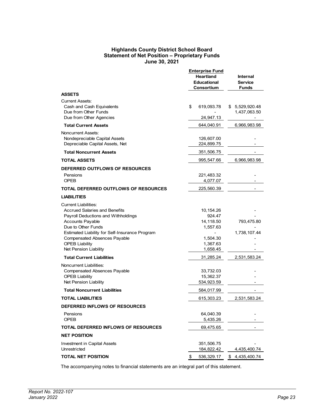#### **Highlands County District School Board Statement of Net Position – Proprietary Funds June 30, 2021**

<span id="page-28-0"></span>

|                                                                                                                                                                                                                                                                                                        | <b>Enterprise Fund</b><br><b>Heartland</b><br><b>Educational</b><br>Consortium   |                                    |  |
|--------------------------------------------------------------------------------------------------------------------------------------------------------------------------------------------------------------------------------------------------------------------------------------------------------|----------------------------------------------------------------------------------|------------------------------------|--|
| <b>ASSETS</b>                                                                                                                                                                                                                                                                                          |                                                                                  |                                    |  |
| <b>Current Assets:</b><br>Cash and Cash Equivalents<br>Due from Other Funds<br>Due from Other Agencies                                                                                                                                                                                                 | \$<br>619,093.78<br>24,947.13                                                    | 5,529,920.48<br>\$<br>1,437,063.50 |  |
| <b>Total Current Assets</b>                                                                                                                                                                                                                                                                            | 644,040.91                                                                       | 6,966,983.98                       |  |
| <b>Noncurrent Assets:</b><br>Nondepreciable Capital Assets<br>Depreciable Capital Assets, Net                                                                                                                                                                                                          | 126,607.00<br>224,899.75                                                         |                                    |  |
| Total Noncurrent Assets                                                                                                                                                                                                                                                                                | 351,506.75                                                                       |                                    |  |
| TOTAL ASSETS                                                                                                                                                                                                                                                                                           | 995,547.66                                                                       | 6,966,983.98                       |  |
| DEFERRED OUTFLOWS OF RESOURCES<br>Pensions<br>OPFB                                                                                                                                                                                                                                                     | 221,483.32<br>4,077.07                                                           |                                    |  |
| TOTAL DEFERRED OUTFLOWS OF RESOURCES                                                                                                                                                                                                                                                                   | 225,560.39                                                                       |                                    |  |
| <b>LIABILITIES</b>                                                                                                                                                                                                                                                                                     |                                                                                  |                                    |  |
| <b>Current Liabilities:</b><br><b>Accrued Salaries and Benefits</b><br>Payroll Deductions and Withholdings<br><b>Accounts Payable</b><br>Due to Other Funds<br>Estimated Liability for Self-Insurance Program<br><b>Compensated Absences Payable</b><br><b>OPEB Liability</b><br>Net Pension Liability | 10,154.26<br>924.47<br>14,118.50<br>1,557.63<br>1,504.30<br>1,367.63<br>1,658.45 | 793,475.80<br>1,738,107.44         |  |
| <b>Total Current Liabilities</b>                                                                                                                                                                                                                                                                       | 31,285.24                                                                        | 2,531,583.24                       |  |
| Noncurrent Liabilities:<br><b>Compensated Absences Payable</b><br><b>OPEB Liability</b><br>Net Pension Liability                                                                                                                                                                                       | 33,732.03<br>15,362.37<br>534,923.59                                             |                                    |  |
| <b>Total Noncurrent Liabilities</b>                                                                                                                                                                                                                                                                    | 584,017.99                                                                       |                                    |  |
| TOTAL LIABILITIES                                                                                                                                                                                                                                                                                      | 615,303.23                                                                       | 2,531,583.24                       |  |
| DEFERRED INFLOWS OF RESOURCES                                                                                                                                                                                                                                                                          |                                                                                  |                                    |  |
| Pensions<br><b>OPEB</b>                                                                                                                                                                                                                                                                                | 64,040.39<br>5,435.26                                                            |                                    |  |
| TOTAL DEFERRED INFLOWS OF RESOURCES                                                                                                                                                                                                                                                                    | 69,475.65                                                                        |                                    |  |
| <b>NET POSITION</b>                                                                                                                                                                                                                                                                                    |                                                                                  |                                    |  |
| Investment in Capital Assets<br>Unrestricted                                                                                                                                                                                                                                                           | 351,506.75<br>184,822.42                                                         | 4,435,400.74                       |  |
| <b>TOTAL NET POSITION</b>                                                                                                                                                                                                                                                                              | \$<br>536,329.17                                                                 | \$4,435,400.74                     |  |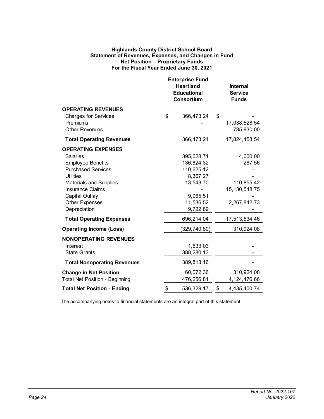#### **Highlands County District School Board Statement of Revenues, Expenses, and Changes in Fund Net Position – Proprietary Funds For the Fiscal Year Ended June 30, 2021**

<span id="page-29-0"></span>

|                                                                                                                                                                                                                                                         | <b>Enterprise Fund</b><br><b>Heartland</b><br><b>Educational</b><br><b>Consortium</b>                | <b>Internal</b><br><b>Service</b><br><b>Funds</b>                    |
|---------------------------------------------------------------------------------------------------------------------------------------------------------------------------------------------------------------------------------------------------------|------------------------------------------------------------------------------------------------------|----------------------------------------------------------------------|
| <b>OPERATING REVENUES</b><br><b>Charges for Services</b><br>Premiums<br><b>Other Revenues</b>                                                                                                                                                           | \$<br>366,473.24                                                                                     | \$<br>17,038,528.54<br>785,930.00                                    |
| <b>Total Operating Revenues</b>                                                                                                                                                                                                                         | 366,473.24                                                                                           | 17,824,458.54                                                        |
| <b>OPERATING EXPENSES</b><br><b>Salaries</b><br><b>Employee Benefits</b><br><b>Purchased Services</b><br><b>Utilities</b><br><b>Materials and Supplies</b><br><b>Insurance Claims</b><br><b>Capital Outlay</b><br><b>Other Expenses</b><br>Depreciation | 395,628.71<br>136,824.32<br>110,625.12<br>8,367.27<br>13,543.70<br>9,965.51<br>11,536.52<br>9,722.89 | 4,000.00<br>287.56<br>110,855.42<br>15, 130, 548. 75<br>2,267,842.73 |
| <b>Total Operating Expenses</b>                                                                                                                                                                                                                         | 696,214.04                                                                                           | 17,513,534.46                                                        |
| <b>Operating Income (Loss)</b>                                                                                                                                                                                                                          | (329, 740.80)                                                                                        | 310,924.08                                                           |
| <b>NONOPERATING REVENUES</b><br>Interest<br><b>State Grants</b>                                                                                                                                                                                         | 1,533.03<br>388,280.13                                                                               |                                                                      |
| <b>Total Nonoperating Revenues</b>                                                                                                                                                                                                                      | 389,813.16                                                                                           |                                                                      |
| <b>Change in Net Position</b><br><b>Total Net Position - Beginning</b>                                                                                                                                                                                  | 60,072.36<br>476,256.81                                                                              | 310,924.08<br>4,124,476.66                                           |
| <b>Total Net Position - Ending</b>                                                                                                                                                                                                                      | \$<br>536,329.17                                                                                     | \$<br>4,435,400.74                                                   |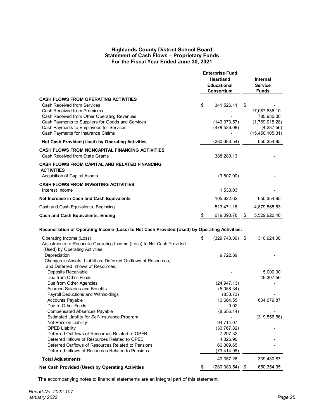#### **Highlands County District School Board Statement of Cash Flows – Proprietary Funds For the Fiscal Year Ended June 30, 2021**

<span id="page-30-0"></span>

|                                                                                                                                                                                                                                                                 | <b>Enterprise Fund</b><br><b>Heartland</b><br><b>Educational</b><br><b>Consortium</b> |                                              | Internal<br><b>Service</b><br><b>Funds</b> |                                                              |
|-----------------------------------------------------------------------------------------------------------------------------------------------------------------------------------------------------------------------------------------------------------------|---------------------------------------------------------------------------------------|----------------------------------------------|--------------------------------------------|--------------------------------------------------------------|
| <b>CASH FLOWS FROM OPERATING ACTIVITIES</b><br><b>Cash Received from Services</b><br>Cash Received from Premiums<br>Cash Received from Other Operating Revenues<br>Cash Payments to Suppliers for Goods and Services<br>Cash Payments to Employees for Services | \$                                                                                    | 341,526.11<br>(143, 373.57)<br>(478, 536.08) | \$                                         | 17,087,836.10<br>785,930.00<br>(1,769,018.28)<br>(4, 287.56) |
| Cash Payments for Insurance Claims<br>Net Cash Provided (Used) by Operating Activities                                                                                                                                                                          |                                                                                       | (280, 383.54)                                |                                            | (15, 450, 105.31)<br>650,354.95                              |
| <b>CASH FLOWS FROM NONCAPITAL FINANCING ACTIVITIES</b><br>Cash Received from State Grants<br><b>CASH FLOWS FROM CAPITAL AND RELATED FINANCING</b><br><b>ACTIVITIES</b>                                                                                          |                                                                                       | 388,280.13                                   |                                            |                                                              |
| <b>Acquisition of Capital Assets</b>                                                                                                                                                                                                                            |                                                                                       | (3,807.00)                                   |                                            |                                                              |
| <b>CASH FLOWS FROM INVESTING ACTIVITIES</b><br>Interest Income                                                                                                                                                                                                  |                                                                                       | 1,533.03                                     |                                            |                                                              |
| Net Increase in Cash and Cash Equivalents                                                                                                                                                                                                                       |                                                                                       | 105,622.62                                   |                                            | 650,354.95                                                   |
| Cash and Cash Equivalents, Beginning                                                                                                                                                                                                                            |                                                                                       | 513,471.16                                   |                                            | 4,879,565.53                                                 |
| <b>Cash and Cash Equivalents, Ending</b>                                                                                                                                                                                                                        | \$                                                                                    | 619,093.78                                   | \$                                         | 5,529,920.48                                                 |
| Reconciliation of Operating Income (Loss) to Net Cash Provided (Used) by Operating Activities:                                                                                                                                                                  |                                                                                       |                                              |                                            |                                                              |
| Operating Income (Loss)<br>Adjustments to Reconcile Operating Income (Loss) to Net Cash Provided<br>(Used) by Operating Activities:                                                                                                                             | \$                                                                                    | (329,740.80) \$                              |                                            | 310,924.08                                                   |
| Depreciation                                                                                                                                                                                                                                                    |                                                                                       | 9,722.89                                     |                                            |                                                              |

| Changes in Assets, Liabilities, Deferred Outflows of Resources, |               |   |               |
|-----------------------------------------------------------------|---------------|---|---------------|
| and Deferred Inflows of Resources:                              |               |   |               |
| Deposits Receivable                                             |               |   | 5,000.00      |
| Due from Other Funds                                            |               |   | 49,307.56     |
| Due from Other Agencies                                         | (24, 947, 13) |   |               |
| <b>Accrued Salaries and Benefits</b>                            | (5,058.34)    |   |               |
| Payroll Deductions and Withholdings                             | (833.73)      |   |               |
| <b>Accounts Payable</b>                                         | 10.664.55     |   | 604,679.87    |
| Due to Other Funds                                              | 0.02          |   |               |
| <b>Compensated Absences Payable</b>                             | (8,656.14)    |   |               |
| Estimated Liability for Self-Insurance Program                  |               |   | (319, 556.56) |
| Net Pension Liability                                           | 94,714.07     |   |               |
| <b>OPEB Liability</b>                                           | (30, 767.82)  |   |               |
| Deferred Outflows of Resources Related to OPEB                  | 7,297.32      |   |               |
| Deferred Inflows of Resources Related to OPEB                   | 4,326.90      |   |               |
| Deferred Outflows of Resources Related to Pensions              | 66,309.65     |   |               |
| Deferred Inflows of Resources Related to Pensions               | (73,414.98)   |   |               |
| <b>Total Adjustments</b>                                        | 49,357.26     |   | 339,430.87    |
| Net Cash Provided (Used) by Operating Activities                | (280,383.54)  | S | 650,354.95    |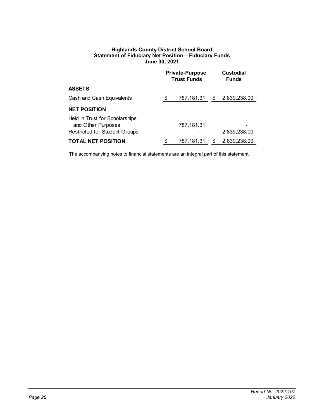#### **Highlands County District School Board Statement of Fiduciary Net Position – Fiduciary Funds June 30, 2021**

<span id="page-31-0"></span>

|                                                                                              | <b>Private-Purpose</b><br><b>Trust Funds</b> |   | <b>Custodial</b><br><b>Funds</b> |
|----------------------------------------------------------------------------------------------|----------------------------------------------|---|----------------------------------|
| <b>ASSETS</b>                                                                                |                                              |   |                                  |
| Cash and Cash Equivalents                                                                    | \$<br>787,181.31                             | S | 2,839,238.00                     |
| <b>NET POSITION</b>                                                                          |                                              |   |                                  |
| Held in Trust for Scholarships<br>and Other Purposes<br><b>Restricted for Student Groups</b> | 787,181.31                                   |   | 2,839,238.00                     |
| <b>TOTAL NET POSITION</b>                                                                    | \$<br>787,181.31                             | S | 2,839,238.00                     |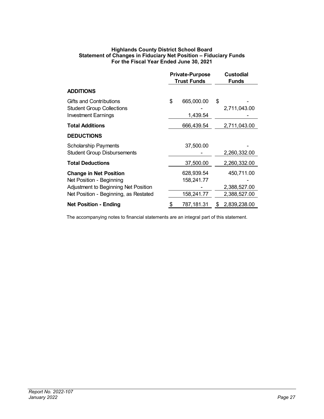#### <span id="page-32-0"></span>**Highlands County District School Board Statement of Changes in Fiduciary Net Position – Fiduciary Funds For the Fiscal Year Ended June 30, 2021**

|                                                                                                                                            | <b>Private-Purpose</b><br><b>Trust Funds</b> |                                        |    | <b>Custodial</b><br><b>Funds</b>           |
|--------------------------------------------------------------------------------------------------------------------------------------------|----------------------------------------------|----------------------------------------|----|--------------------------------------------|
| <b>ADDITIONS</b>                                                                                                                           |                                              |                                        |    |                                            |
| <b>Gifts and Contributions</b><br><b>Student Group Collections</b><br><b>Investment Earnings</b>                                           | \$                                           | 665,000.00<br>1,439.54                 | \$ | 2,711,043.00                               |
| <b>Total Additions</b>                                                                                                                     |                                              | 666,439.54                             |    | 2,711,043.00                               |
| <b>DEDUCTIONS</b>                                                                                                                          |                                              |                                        |    |                                            |
| <b>Scholarship Payments</b><br><b>Student Group Disbursements</b>                                                                          |                                              | 37,500.00                              |    | 2,260,332.00                               |
| <b>Total Deductions</b>                                                                                                                    |                                              | 37,500.00                              |    | 2,260,332.00                               |
| <b>Change in Net Position</b><br>Net Position - Beginning<br>Adjustment to Beginning Net Position<br>Net Position - Beginning, as Restated |                                              | 628,939.54<br>158,241.77<br>158,241.77 |    | 450,711.00<br>2,388,527.00<br>2,388,527.00 |
| <b>Net Position - Ending</b>                                                                                                               | \$                                           | 787, 181.31                            | S  | 2,839,238.00                               |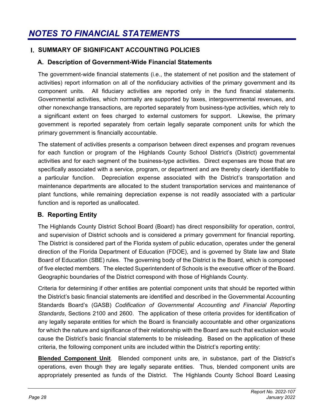# <span id="page-33-0"></span> **SUMMARY OF SIGNIFICANT ACCOUNTING POLICIES**

# **A. Description of Government-Wide Financial Statements**

The government-wide financial statements (i.e., the statement of net position and the statement of activities) report information on all of the nonfiduciary activities of the primary government and its component units. All fiduciary activities are reported only in the fund financial statements. Governmental activities, which normally are supported by taxes, intergovernmental revenues, and other nonexchange transactions, are reported separately from business-type activities, which rely to a significant extent on fees charged to external customers for support. Likewise, the primary government is reported separately from certain legally separate component units for which the primary government is financially accountable.

The statement of activities presents a comparison between direct expenses and program revenues for each function or program of the Highlands County School District's (District) governmental activities and for each segment of the business-type activities. Direct expenses are those that are specifically associated with a service, program, or department and are thereby clearly identifiable to a particular function. Depreciation expense associated with the District's transportation and maintenance departments are allocated to the student transportation services and maintenance of plant functions, while remaining depreciation expense is not readily associated with a particular function and is reported as unallocated.

## **B. Reporting Entity**

The Highlands County District School Board (Board) has direct responsibility for operation, control, and supervision of District schools and is considered a primary government for financial reporting. The District is considered part of the Florida system of public education, operates under the general direction of the Florida Department of Education (FDOE), and is governed by State law and State Board of Education (SBE) rules. The governing body of the District is the Board, which is composed of five elected members. The elected Superintendent of Schools is the executive officer of the Board. Geographic boundaries of the District correspond with those of Highlands County.

Criteria for determining if other entities are potential component units that should be reported within the District's basic financial statements are identified and described in the Governmental Accounting Standards Board's (GASB) *Codification of Governmental Accounting and Financial Reporting Standards*, Sections 2100 and 2600. The application of these criteria provides for identification of any legally separate entities for which the Board is financially accountable and other organizations for which the nature and significance of their relationship with the Board are such that exclusion would cause the District's basic financial statements to be misleading. Based on the application of these criteria, the following component units are included within the District's reporting entity:

**Blended Component Unit**. Blended component units are, in substance, part of the District's operations, even though they are legally separate entities. Thus, blended component units are appropriately presented as funds of the District. The Highlands County School Board Leasing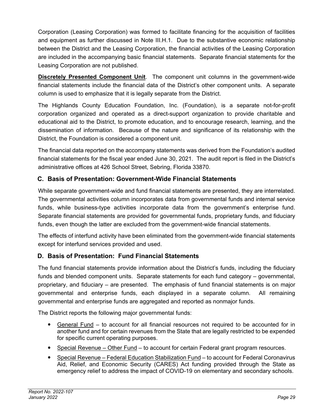Corporation (Leasing Corporation) was formed to facilitate financing for the acquisition of facilities and equipment as further discussed in Note III.H.1. Due to the substantive economic relationship between the District and the Leasing Corporation, the financial activities of the Leasing Corporation are included in the accompanying basic financial statements. Separate financial statements for the Leasing Corporation are not published.

**Discretely Presented Component Unit**. The component unit columns in the government-wide financial statements include the financial data of the District's other component units. A separate column is used to emphasize that it is legally separate from the District.

The Highlands County Education Foundation, Inc. (Foundation), is a separate not-for-profit corporation organized and operated as a direct-support organization to provide charitable and educational aid to the District, to promote education, and to encourage research, learning, and the dissemination of information. Because of the nature and significance of its relationship with the District, the Foundation is considered a component unit.

The financial data reported on the accompany statements was derived from the Foundation's audited financial statements for the fiscal year ended June 30, 2021. The audit report is filed in the District's administrative offices at 426 School Street, Sebring, Florida 33870.

# **C. Basis of Presentation: Government-Wide Financial Statements**

While separate government-wide and fund financial statements are presented, they are interrelated. The governmental activities column incorporates data from governmental funds and internal service funds, while business-type activities incorporate data from the government's enterprise fund. Separate financial statements are provided for governmental funds, proprietary funds, and fiduciary funds, even though the latter are excluded from the government-wide financial statements.

The effects of interfund activity have been eliminated from the government-wide financial statements except for interfund services provided and used.

# **D. Basis of Presentation: Fund Financial Statements**

The fund financial statements provide information about the District's funds, including the fiduciary funds and blended component units. Separate statements for each fund category – governmental, proprietary, and fiduciary – are presented. The emphasis of fund financial statements is on major governmental and enterprise funds, each displayed in a separate column. All remaining governmental and enterprise funds are aggregated and reported as nonmajor funds.

The District reports the following major governmental funds:

- General Fund to account for all financial resources not required to be accounted for in another fund and for certain revenues from the State that are legally restricted to be expended for specific current operating purposes.
- Special Revenue Other Fund to account for certain Federal grant program resources.
- Special Revenue Federal Education Stabilization Fund to account for Federal Coronavirus Aid, Relief, and Economic Security (CARES) Act funding provided through the State as emergency relief to address the impact of COVID-19 on elementary and secondary schools.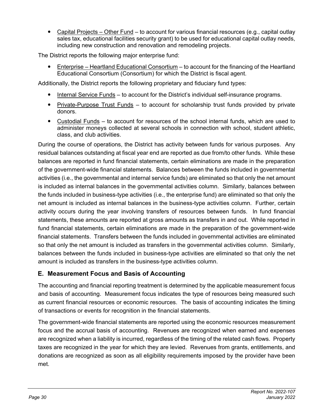Capital Projects – Other Fund – to account for various financial resources (e.g., capital outlay sales tax, educational facilities security grant) to be used for educational capital outlay needs, including new construction and renovation and remodeling projects.

The District reports the following major enterprise fund:

 Enterprise – Heartland Educational Consortium – to account for the financing of the Heartland Educational Consortium (Consortium) for which the District is fiscal agent.

Additionally, the District reports the following proprietary and fiduciary fund types:

- Internal Service Funds to account for the District's individual self-insurance programs.
- Private-Purpose Trust Funds to account for scholarship trust funds provided by private donors.
- Custodial Funds to account for resources of the school internal funds, which are used to administer moneys collected at several schools in connection with school, student athletic, class, and club activities.

During the course of operations, the District has activity between funds for various purposes. Any residual balances outstanding at fiscal year end are reported as due from/to other funds. While these balances are reported in fund financial statements, certain eliminations are made in the preparation of the government-wide financial statements. Balances between the funds included in governmental activities (i.e., the governmental and internal service funds) are eliminated so that only the net amount is included as internal balances in the governmental activities column. Similarly, balances between the funds included in business-type activities (i.e., the enterprise fund) are eliminated so that only the net amount is included as internal balances in the business-type activities column. Further, certain activity occurs during the year involving transfers of resources between funds. In fund financial statements, these amounts are reported at gross amounts as transfers in and out. While reported in fund financial statements, certain eliminations are made in the preparation of the government-wide financial statements. Transfers between the funds included in governmental activities are eliminated so that only the net amount is included as transfers in the governmental activities column. Similarly, balances between the funds included in business-type activities are eliminated so that only the net amount is included as transfers in the business-type activities column.

## **E. Measurement Focus and Basis of Accounting**

The accounting and financial reporting treatment is determined by the applicable measurement focus and basis of accounting. Measurement focus indicates the type of resources being measured such as current financial resources or economic resources. The basis of accounting indicates the timing of transactions or events for recognition in the financial statements.

The government-wide financial statements are reported using the economic resources measurement focus and the accrual basis of accounting. Revenues are recognized when earned and expenses are recognized when a liability is incurred, regardless of the timing of the related cash flows. Property taxes are recognized in the year for which they are levied. Revenues from grants, entitlements, and donations are recognized as soon as all eligibility requirements imposed by the provider have been met.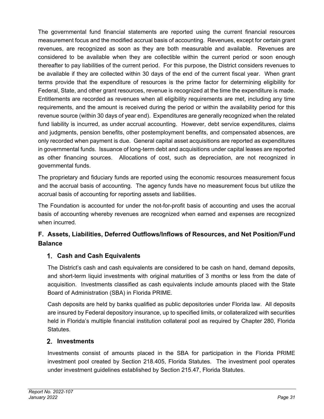The governmental fund financial statements are reported using the current financial resources measurement focus and the modified accrual basis of accounting. Revenues, except for certain grant revenues, are recognized as soon as they are both measurable and available. Revenues are considered to be available when they are collectible within the current period or soon enough thereafter to pay liabilities of the current period. For this purpose, the District considers revenues to be available if they are collected within 30 days of the end of the current fiscal year. When grant terms provide that the expenditure of resources is the prime factor for determining eligibility for Federal, State, and other grant resources, revenue is recognized at the time the expenditure is made. Entitlements are recorded as revenues when all eligibility requirements are met, including any time requirements, and the amount is received during the period or within the availability period for this revenue source (within 30 days of year end). Expenditures are generally recognized when the related fund liability is incurred, as under accrual accounting. However, debt service expenditures, claims and judgments, pension benefits, other postemployment benefits, and compensated absences, are only recorded when payment is due. General capital asset acquisitions are reported as expenditures in governmental funds. Issuance of long-term debt and acquisitions under capital leases are reported as other financing sources. Allocations of cost, such as depreciation, are not recognized in governmental funds.

The proprietary and fiduciary funds are reported using the economic resources measurement focus and the accrual basis of accounting. The agency funds have no measurement focus but utilize the accrual basis of accounting for reporting assets and liabilities.

The Foundation is accounted for under the not-for-profit basis of accounting and uses the accrual basis of accounting whereby revenues are recognized when earned and expenses are recognized when incurred.

# **F. Assets, Liabilities, Deferred Outflows/Inflows of Resources, and Net Position/Fund Balance**

# **Cash and Cash Equivalents**

The District's cash and cash equivalents are considered to be cash on hand, demand deposits, and short-term liquid investments with original maturities of 3 months or less from the date of acquisition. Investments classified as cash equivalents include amounts placed with the State Board of Administration (SBA) in Florida PRIME.

Cash deposits are held by banks qualified as public depositories under Florida law. All deposits are insured by Federal depository insurance, up to specified limits, or collateralized with securities held in Florida's multiple financial institution collateral pool as required by Chapter 280, Florida Statutes.

# **Investments**

Investments consist of amounts placed in the SBA for participation in the Florida PRIME investment pool created by Section 218.405, Florida Statutes. The investment pool operates under investment guidelines established by Section 215.47, Florida Statutes.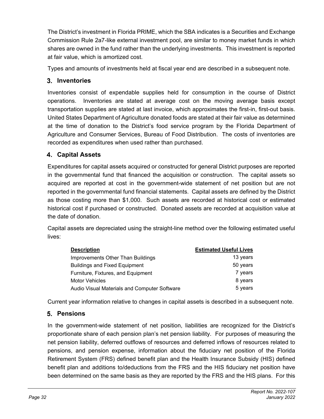The District's investment in Florida PRIME, which the SBA indicates is a Securities and Exchange Commission Rule 2a7-like external investment pool, are similar to money market funds in which shares are owned in the fund rather than the underlying investments. This investment is reported at fair value, which is amortized cost.

Types and amounts of investments held at fiscal year end are described in a subsequent note.

# **Inventories**

Inventories consist of expendable supplies held for consumption in the course of District operations. Inventories are stated at average cost on the moving average basis except transportation supplies are stated at last invoice, which approximates the first-in, first-out basis. United States Department of Agriculture donated foods are stated at their fair value as determined at the time of donation to the District's food service program by the Florida Department of Agriculture and Consumer Services, Bureau of Food Distribution. The costs of inventories are recorded as expenditures when used rather than purchased.

# **Capital Assets**

Expenditures for capital assets acquired or constructed for general District purposes are reported in the governmental fund that financed the acquisition or construction. The capital assets so acquired are reported at cost in the government-wide statement of net position but are not reported in the governmental fund financial statements. Capital assets are defined by the District as those costing more than \$1,000. Such assets are recorded at historical cost or estimated historical cost if purchased or constructed. Donated assets are recorded at acquisition value at the date of donation.

Capital assets are depreciated using the straight-line method over the following estimated useful lives:

| <b>Description</b>                           | <b>Estimated Useful Lives</b> |
|----------------------------------------------|-------------------------------|
| Improvements Other Than Buildings            | 13 years                      |
| <b>Buildings and Fixed Equipment</b>         | 50 years                      |
| Furniture, Fixtures, and Equipment           | 7 years                       |
| <b>Motor Vehicles</b>                        | 8 years                       |
| Audio Visual Materials and Computer Software | 5 years                       |

Current year information relative to changes in capital assets is described in a subsequent note.

# **Pensions**

In the government-wide statement of net position, liabilities are recognized for the District's proportionate share of each pension plan's net pension liability. For purposes of measuring the net pension liability, deferred outflows of resources and deferred inflows of resources related to pensions, and pension expense, information about the fiduciary net position of the Florida Retirement System (FRS) defined benefit plan and the Health Insurance Subsidy (HIS) defined benefit plan and additions to/deductions from the FRS and the HIS fiduciary net position have been determined on the same basis as they are reported by the FRS and the HIS plans. For this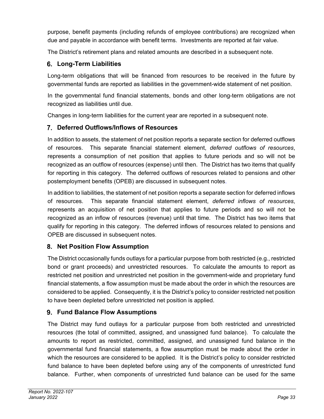purpose, benefit payments (including refunds of employee contributions) are recognized when due and payable in accordance with benefit terms. Investments are reported at fair value.

The District's retirement plans and related amounts are described in a subsequent note.

# **Long-Term Liabilities**

Long-term obligations that will be financed from resources to be received in the future by governmental funds are reported as liabilities in the government-wide statement of net position.

In the governmental fund financial statements, bonds and other long-term obligations are not recognized as liabilities until due.

Changes in long-term liabilities for the current year are reported in a subsequent note.

# **Deferred Outflows/Inflows of Resources**

In addition to assets, the statement of net position reports a separate section for deferred outflows of resources. This separate financial statement element, *deferred outflows of resources*, represents a consumption of net position that applies to future periods and so will not be recognized as an outflow of resources (expense) until then. The District has two items that qualify for reporting in this category. The deferred outflows of resources related to pensions and other postemployment benefits (OPEB) are discussed in subsequent notes.

In addition to liabilities, the statement of net position reports a separate section for deferred inflows of resources. This separate financial statement element, *deferred inflows of resources*, represents an acquisition of net position that applies to future periods and so will not be recognized as an inflow of resources (revenue) until that time. The District has two items that qualify for reporting in this category. The deferred inflows of resources related to pensions and OPEB are discussed in subsequent notes.

# **Net Position Flow Assumption**

The District occasionally funds outlays for a particular purpose from both restricted (e.g., restricted bond or grant proceeds) and unrestricted resources. To calculate the amounts to report as restricted net position and unrestricted net position in the government-wide and proprietary fund financial statements, a flow assumption must be made about the order in which the resources are considered to be applied. Consequently, it is the District's policy to consider restricted net position to have been depleted before unrestricted net position is applied.

# **Fund Balance Flow Assumptions**

The District may fund outlays for a particular purpose from both restricted and unrestricted resources (the total of committed, assigned, and unassigned fund balance). To calculate the amounts to report as restricted, committed, assigned, and unassigned fund balance in the governmental fund financial statements, a flow assumption must be made about the order in which the resources are considered to be applied. It is the District's policy to consider restricted fund balance to have been depleted before using any of the components of unrestricted fund balance. Further, when components of unrestricted fund balance can be used for the same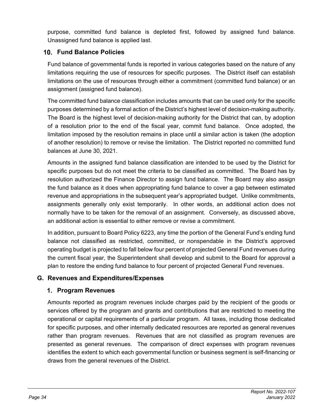purpose, committed fund balance is depleted first, followed by assigned fund balance. Unassigned fund balance is applied last.

# **Fund Balance Policies**

Fund balance of governmental funds is reported in various categories based on the nature of any limitations requiring the use of resources for specific purposes. The District itself can establish limitations on the use of resources through either a commitment (committed fund balance) or an assignment (assigned fund balance).

The committed fund balance classification includes amounts that can be used only for the specific purposes determined by a formal action of the District's highest level of decision-making authority. The Board is the highest level of decision-making authority for the District that can, by adoption of a resolution prior to the end of the fiscal year, commit fund balance. Once adopted, the limitation imposed by the resolution remains in place until a similar action is taken (the adoption of another resolution) to remove or revise the limitation. The District reported no committed fund balances at June 30, 2021.

Amounts in the assigned fund balance classification are intended to be used by the District for specific purposes but do not meet the criteria to be classified as committed. The Board has by resolution authorized the Finance Director to assign fund balance. The Board may also assign the fund balance as it does when appropriating fund balance to cover a gap between estimated revenue and appropriations in the subsequent year's appropriated budget. Unlike commitments, assignments generally only exist temporarily. In other words, an additional action does not normally have to be taken for the removal of an assignment. Conversely, as discussed above, an additional action is essential to either remove or revise a commitment.

In addition, pursuant to Board Policy 6223, any time the portion of the General Fund's ending fund balance not classified as restricted, committed, or nonspendable in the District's approved operating budget is projected to fall below four percent of projected General Fund revenues during the current fiscal year, the Superintendent shall develop and submit to the Board for approval a plan to restore the ending fund balance to four percent of projected General Fund revenues.

### **G. Revenues and Expenditures/Expenses**

# **Program Revenues**

Amounts reported as program revenues include charges paid by the recipient of the goods or services offered by the program and grants and contributions that are restricted to meeting the operational or capital requirements of a particular program. All taxes, including those dedicated for specific purposes, and other internally dedicated resources are reported as general revenues rather than program revenues. Revenues that are not classified as program revenues are presented as general revenues. The comparison of direct expenses with program revenues identifies the extent to which each governmental function or business segment is self-financing or draws from the general revenues of the District.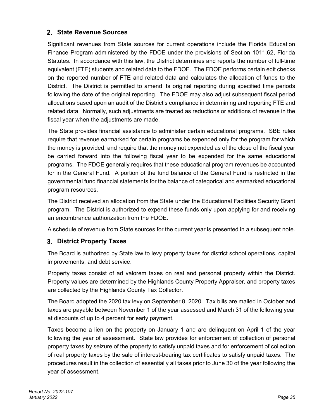# **State Revenue Sources**

Significant revenues from State sources for current operations include the Florida Education Finance Program administered by the FDOE under the provisions of Section 1011.62, Florida Statutes. In accordance with this law, the District determines and reports the number of full-time equivalent (FTE) students and related data to the FDOE. The FDOE performs certain edit checks on the reported number of FTE and related data and calculates the allocation of funds to the District. The District is permitted to amend its original reporting during specified time periods following the date of the original reporting. The FDOE may also adjust subsequent fiscal period allocations based upon an audit of the District's compliance in determining and reporting FTE and related data. Normally, such adjustments are treated as reductions or additions of revenue in the fiscal year when the adjustments are made.

The State provides financial assistance to administer certain educational programs. SBE rules require that revenue earmarked for certain programs be expended only for the program for which the money is provided, and require that the money not expended as of the close of the fiscal year be carried forward into the following fiscal year to be expended for the same educational programs. The FDOE generally requires that these educational program revenues be accounted for in the General Fund. A portion of the fund balance of the General Fund is restricted in the governmental fund financial statements for the balance of categorical and earmarked educational program resources.

The District received an allocation from the State under the Educational Facilities Security Grant program. The District is authorized to expend these funds only upon applying for and receiving an encumbrance authorization from the FDOE.

A schedule of revenue from State sources for the current year is presented in a subsequent note.

# **District Property Taxes**

The Board is authorized by State law to levy property taxes for district school operations, capital improvements, and debt service.

Property taxes consist of ad valorem taxes on real and personal property within the District. Property values are determined by the Highlands County Property Appraiser, and property taxes are collected by the Highlands County Tax Collector.

The Board adopted the 2020 tax levy on September 8, 2020. Tax bills are mailed in October and taxes are payable between November 1 of the year assessed and March 31 of the following year at discounts of up to 4 percent for early payment.

Taxes become a lien on the property on January 1 and are delinquent on April 1 of the year following the year of assessment. State law provides for enforcement of collection of personal property taxes by seizure of the property to satisfy unpaid taxes and for enforcement of collection of real property taxes by the sale of interest-bearing tax certificates to satisfy unpaid taxes. The procedures result in the collection of essentially all taxes prior to June 30 of the year following the year of assessment.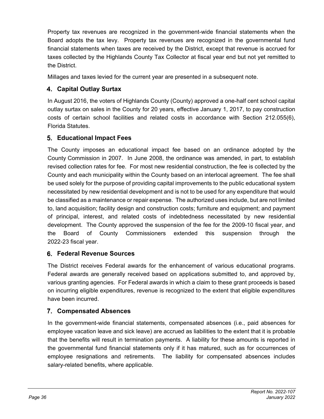Property tax revenues are recognized in the government-wide financial statements when the Board adopts the tax levy. Property tax revenues are recognized in the governmental fund financial statements when taxes are received by the District, except that revenue is accrued for taxes collected by the Highlands County Tax Collector at fiscal year end but not yet remitted to the District.

Millages and taxes levied for the current year are presented in a subsequent note.

# **Capital Outlay Surtax**

In August 2016, the voters of Highlands County (County) approved a one-half cent school capital outlay surtax on sales in the County for 20 years, effective January 1, 2017, to pay construction costs of certain school facilities and related costs in accordance with Section 212.055(6), Florida Statutes.

# **Educational Impact Fees**

The County imposes an educational impact fee based on an ordinance adopted by the County Commission in 2007. In June 2008, the ordinance was amended, in part, to establish revised collection rates for fee. For most new residential construction, the fee is collected by the County and each municipality within the County based on an interlocal agreement. The fee shall be used solely for the purpose of providing capital improvements to the public educational system necessitated by new residential development and is not to be used for any expenditure that would be classified as a maintenance or repair expense. The authorized uses include, but are not limited to, land acquisition; facility design and construction costs; furniture and equipment; and payment of principal, interest, and related costs of indebtedness necessitated by new residential development. The County approved the suspension of the fee for the 2009-10 fiscal year, and the Board of County Commissioners extended this suspension through the 2022-23 fiscal year.

# **Federal Revenue Sources**

The District receives Federal awards for the enhancement of various educational programs. Federal awards are generally received based on applications submitted to, and approved by, various granting agencies. For Federal awards in which a claim to these grant proceeds is based on incurring eligible expenditures, revenue is recognized to the extent that eligible expenditures have been incurred.

# **Compensated Absences**

In the government-wide financial statements, compensated absences (i.e., paid absences for employee vacation leave and sick leave) are accrued as liabilities to the extent that it is probable that the benefits will result in termination payments. A liability for these amounts is reported in the governmental fund financial statements only if it has matured, such as for occurrences of employee resignations and retirements. The liability for compensated absences includes salary-related benefits, where applicable.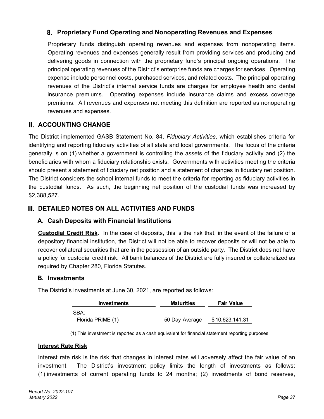# **Proprietary Fund Operating and Nonoperating Revenues and Expenses**

Proprietary funds distinguish operating revenues and expenses from nonoperating items. Operating revenues and expenses generally result from providing services and producing and delivering goods in connection with the proprietary fund's principal ongoing operations. The principal operating revenues of the District's enterprise funds are charges for services. Operating expense include personnel costs, purchased services, and related costs. The principal operating revenues of the District's internal service funds are charges for employee health and dental insurance premiums. Operating expenses include insurance claims and excess coverage premiums. All revenues and expenses not meeting this definition are reported as nonoperating revenues and expenses.

# **ACCOUNTING CHANGE**

The District implemented GASB Statement No. 84, *Fiduciary Activities*, which establishes criteria for identifying and reporting fiduciary activities of all state and local governments. The focus of the criteria generally is on (1) whether a government is controlling the assets of the fiduciary activity and (2) the beneficiaries with whom a fiduciary relationship exists. Governments with activities meeting the criteria should present a statement of fiduciary net position and a statement of changes in fiduciary net position. The District considers the school internal funds to meet the criteria for reporting as fiduciary activities in the custodial funds. As such, the beginning net position of the custodial funds was increased by \$2,388,527.

# **DETAILED NOTES ON ALL ACTIVITIES AND FUNDS**

# **A. Cash Deposits with Financial Institutions**

**Custodial Credit Risk**. In the case of deposits, this is the risk that, in the event of the failure of a depository financial institution, the District will not be able to recover deposits or will not be able to recover collateral securities that are in the possession of an outside party. The District does not have a policy for custodial credit risk. All bank balances of the District are fully insured or collateralized as required by Chapter 280, Florida Statutes.

### **B. Investments**

The District's investments at June 30, 2021, are reported as follows:

| <b>Investments</b> | <b>Maturities</b> | <b>Fair Value</b> |
|--------------------|-------------------|-------------------|
| SBA:               |                   |                   |
| Florida PRIME (1)  | 50 Day Average    | \$10,623,141.31   |

(1) This investment is reported as a cash equivalent for financial statement reporting purposes.

#### **Interest Rate Risk**

Interest rate risk is the risk that changes in interest rates will adversely affect the fair value of an investment. The District's investment policy limits the length of investments as follows: (1) investments of current operating funds to 24 months; (2) investments of bond reserves,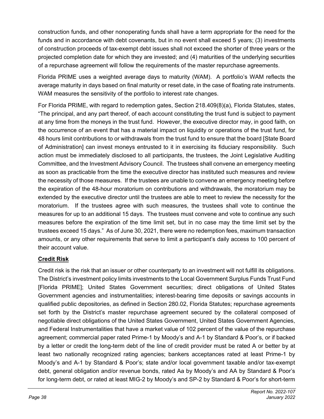construction funds, and other nonoperating funds shall have a term appropriate for the need for the funds and in accordance with debt covenants, but in no event shall exceed 5 years; (3) investments of construction proceeds of tax-exempt debt issues shall not exceed the shorter of three years or the projected completion date for which they are invested; and (4) maturities of the underlying securities of a repurchase agreement will follow the requirements of the master repurchase agreements.

Florida PRIME uses a weighted average days to maturity (WAM). A portfolio's WAM reflects the average maturity in days based on final maturity or reset date, in the case of floating rate instruments. WAM measures the sensitivity of the portfolio to interest rate changes.

For Florida PRIME, with regard to redemption gates, Section 218.409(8)(a), Florida Statutes, states, "The principal, and any part thereof, of each account constituting the trust fund is subject to payment at any time from the moneys in the trust fund. However, the executive director may, in good faith, on the occurrence of an event that has a material impact on liquidity or operations of the trust fund, for 48 hours limit contributions to or withdrawals from the trust fund to ensure that the board [State Board of Administration] can invest moneys entrusted to it in exercising its fiduciary responsibility. Such action must be immediately disclosed to all participants, the trustees, the Joint Legislative Auditing Committee, and the Investment Advisory Council. The trustees shall convene an emergency meeting as soon as practicable from the time the executive director has instituted such measures and review the necessity of those measures. If the trustees are unable to convene an emergency meeting before the expiration of the 48-hour moratorium on contributions and withdrawals, the moratorium may be extended by the executive director until the trustees are able to meet to review the necessity for the moratorium. If the trustees agree with such measures, the trustees shall vote to continue the measures for up to an additional 15 days. The trustees must convene and vote to continue any such measures before the expiration of the time limit set, but in no case may the time limit set by the trustees exceed 15 days." As of June 30, 2021, there were no redemption fees, maximum transaction amounts, or any other requirements that serve to limit a participant's daily access to 100 percent of their account value.

### **Credit Risk**

Credit risk is the risk that an issuer or other counterparty to an investment will not fulfill its obligations. The District's investment policy limits investments to the Local Government Surplus Funds Trust Fund [Florida PRIME]; United States Government securities; direct obligations of United States Government agencies and instrumentalities; interest-bearing time deposits or savings accounts in qualified public depositories, as defined in Section 280.02, Florida Statutes; repurchase agreements set forth by the District's master repurchase agreement secured by the collateral composed of negotiable direct obligations of the United States Government, United States Government Agencies, and Federal Instrumentalities that have a market value of 102 percent of the value of the repurchase agreement; commercial paper rated Prime-1 by Moody's and A-1 by Standard & Poor's, or if backed by a letter or credit the long-term debt of the line of credit provider must be rated A or better by at least two nationally recognized rating agencies; bankers acceptances rated at least Prime-1 by Moody's and A-1 by Standard & Poor's; state and/or local government taxable and/or tax-exempt debt, general obligation and/or revenue bonds, rated Aa by Moody's and AA by Standard & Poor's for long-term debt, or rated at least MIG-2 by Moody's and SP-2 by Standard & Poor's for short-term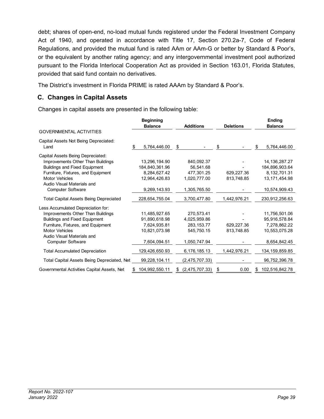debt; shares of open-end, no-load mutual funds registered under the Federal Investment Company Act of 1940, and operated in accordance with Title 17, Section 270.2a-7, Code of Federal Regulations, and provided the mutual fund is rated AAm or AAm-G or better by Standard & Poor's, or the equivalent by another rating agency; and any intergovernmental investment pool authorized pursuant to the Florida Interlocal Cooperation Act as provided in Section 163.01, Florida Statutes, provided that said fund contain no derivatives.

The District's investment in Florida PRIME is rated AAAm by Standard & Poor's.

# **C. Changes in Capital Assets**

Changes in capital assets are presented in the following table:

|                                                                                                                                                                                                                                          | <b>Beginning</b><br><b>Balance</b>                                               | <b>Additions</b>                                                         | <b>Deletions</b>         | <b>Ending</b><br><b>Balance</b>                                                          |
|------------------------------------------------------------------------------------------------------------------------------------------------------------------------------------------------------------------------------------------|----------------------------------------------------------------------------------|--------------------------------------------------------------------------|--------------------------|------------------------------------------------------------------------------------------|
| <b>GOVERNMENTAL ACTIVITIES</b>                                                                                                                                                                                                           |                                                                                  |                                                                          |                          |                                                                                          |
| Capital Assets Not Being Depreciated:<br>Land                                                                                                                                                                                            | 5,764,446.00                                                                     | \$<br>$\overline{\phantom{a}}$                                           | \$                       | 5,764,446.00<br>S                                                                        |
| Capital Assets Being Depreciated:<br>Improvements Other Than Buildings<br><b>Buildings and Fixed Equipment</b><br>Furniture, Fixtures, and Equipment<br><b>Motor Vehicles</b><br>Audio Visual Materials and<br><b>Computer Software</b>  | 13,296,194.90<br>184,840,361.96<br>8,284,627.42<br>12,964,426.83<br>9,269,143.93 | 840.092.37<br>56,541.68<br>477.301.25<br>1,020,777.00<br>1,305,765.50    | 629,227.36<br>813,748.85 | 14, 136, 287. 27<br>184,896,903.64<br>8, 132, 701.31<br>13, 171, 454.98<br>10,574,909.43 |
| <b>Total Capital Assets Being Depreciated</b>                                                                                                                                                                                            | 228,654,755.04                                                                   | 3,700,477.80                                                             | 1,442,976.21             | 230,912,256.63                                                                           |
| Less Accumulated Depreciation for:<br>Improvements Other Than Buildings<br><b>Buildings and Fixed Equipment</b><br>Furniture, Fixtures, and Equipment<br><b>Motor Vehicles</b><br>Audio Visual Materials and<br><b>Computer Software</b> | 11,485,927.65<br>91,890,618.98<br>7,624,935.81<br>10,821,073.98<br>7,604,094.51  | 270,573.41<br>4.025.959.86<br>283, 153. 77<br>545,750.15<br>1,050,747.94 | 629,227.36<br>813,748.85 | 11,756,501.06<br>95,916,578.84<br>7,278,862.22<br>10,553,075.28<br>8.654,842.45          |
| <b>Total Accumulated Depreciation</b>                                                                                                                                                                                                    | 129,426,650.93                                                                   | 6,176,185.13                                                             | 1,442,976.21             | 134, 159, 859.85                                                                         |
| Total Capital Assets Being Depreciated, Net                                                                                                                                                                                              | 99,228,104.11                                                                    | (2,475,707.33)                                                           |                          | 96,752,396.78                                                                            |
| Governmental Activities Capital Assets, Net                                                                                                                                                                                              | 104,992,550.11                                                                   | (2,475,707.33)<br>\$                                                     | \$<br>0.00               | \$<br>102,516,842.78                                                                     |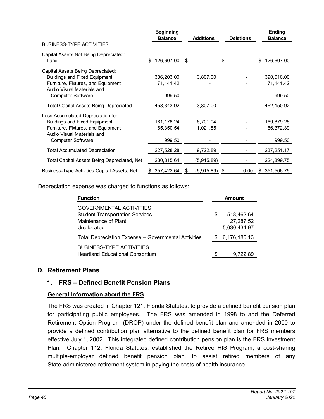|                                                                                                                                                                            | <b>Beginning</b><br><b>Balance</b> | <b>Additions</b>     | <b>Deletions</b> | <b>Ending</b><br><b>Balance</b>   |
|----------------------------------------------------------------------------------------------------------------------------------------------------------------------------|------------------------------------|----------------------|------------------|-----------------------------------|
| <b>BUSINESS-TYPE ACTIVITIES</b>                                                                                                                                            |                                    |                      |                  |                                   |
| Capital Assets Not Being Depreciated:<br>Land                                                                                                                              | 126,607.00<br>\$                   | \$                   | \$               | 126,607.00<br>\$                  |
| Capital Assets Being Depreciated:<br><b>Buildings and Fixed Equipment</b><br>Furniture, Fixtures, and Equipment<br>Audio Visual Materials and                              | 386,203.00<br>71,141.42            | 3,807.00             |                  | 390,010.00<br>71,141.42           |
| <b>Computer Software</b><br><b>Total Capital Assets Being Depreciated</b>                                                                                                  | 999.50<br>458,343.92               | 3,807.00             |                  | 999.50<br>462,150.92              |
| Less Accumulated Depreciation for:<br><b>Buildings and Fixed Equipment</b><br>Furniture, Fixtures, and Equipment<br>Audio Visual Materials and<br><b>Computer Software</b> | 161, 178.24<br>65,350.54<br>999.50 | 8,701.04<br>1,021.85 |                  | 169,879.28<br>66,372.39<br>999.50 |
| <b>Total Accumulated Depreciation</b>                                                                                                                                      | 227,528.28                         | 9,722.89             |                  | 237,251.17                        |
| Total Capital Assets Being Depreciated, Net                                                                                                                                | 230,815.64                         | (5,915.89)           |                  | 224,899.75                        |
| Business-Type Activities Capital Assets, Net                                                                                                                               | 357,422.64<br>S.                   | (5,915.89)<br>S      | 0.00<br>\$       | 351,506.75<br>S.                  |

Depreciation expense was charged to functions as follows:

| <b>Function</b>                                      |   | <b>Amount</b> |
|------------------------------------------------------|---|---------------|
| <b>GOVERNMENTAL ACTIVITIES</b>                       |   |               |
| <b>Student Transportation Services</b>               | S | 518,462.64    |
| Maintenance of Plant                                 |   | 27,287.52     |
| Unallocated                                          |   | 5,630,434.97  |
| Total Depreciation Expense – Governmental Activities |   | 6,176,185.13  |
| <b>BUSINESS-TYPE ACTIVITIES</b>                      |   |               |
| <b>Heartland Educational Consortium</b>              |   | 9.722.89      |

### **D. Retirement Plans**

### **FRS – Defined Benefit Pension Plans**

#### **General Information about the FRS**

The FRS was created in Chapter 121, Florida Statutes, to provide a defined benefit pension plan for participating public employees. The FRS was amended in 1998 to add the Deferred Retirement Option Program (DROP) under the defined benefit plan and amended in 2000 to provide a defined contribution plan alternative to the defined benefit plan for FRS members effective July 1, 2002. This integrated defined contribution pension plan is the FRS Investment Plan. Chapter 112, Florida Statutes, established the Retiree HIS Program, a cost-sharing multiple-employer defined benefit pension plan, to assist retired members of any State-administered retirement system in paying the costs of health insurance.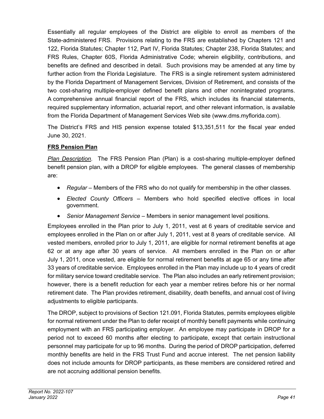Essentially all regular employees of the District are eligible to enroll as members of the State-administered FRS. Provisions relating to the FRS are established by Chapters 121 and 122, Florida Statutes; Chapter 112, Part IV, Florida Statutes; Chapter 238, Florida Statutes; and FRS Rules, Chapter 60S, Florida Administrative Code; wherein eligibility, contributions, and benefits are defined and described in detail. Such provisions may be amended at any time by further action from the Florida Legislature. The FRS is a single retirement system administered by the Florida Department of Management Services, Division of Retirement, and consists of the two cost-sharing multiple-employer defined benefit plans and other nonintegrated programs. A comprehensive annual financial report of the FRS, which includes its financial statements, required supplementary information, actuarial report, and other relevant information, is available from the Florida Department of Management Services Web site (www.dms.myflorida.com).

The District's FRS and HIS pension expense totaled \$13,351,511 for the fiscal year ended June 30, 2021.

### **FRS Pension Plan**

*Plan Description*. The FRS Pension Plan (Plan) is a cost-sharing multiple-employer defined benefit pension plan, with a DROP for eligible employees. The general classes of membership are:

- *Regular* Members of the FRS who do not qualify for membership in the other classes.
- *Elected County Officers* Members who hold specified elective offices in local government.
- *Senior Management Service*  Members in senior management level positions.

Employees enrolled in the Plan prior to July 1, 2011, vest at 6 years of creditable service and employees enrolled in the Plan on or after July 1, 2011, vest at 8 years of creditable service. All vested members, enrolled prior to July 1, 2011, are eligible for normal retirement benefits at age 62 or at any age after 30 years of service. All members enrolled in the Plan on or after July 1, 2011, once vested, are eligible for normal retirement benefits at age 65 or any time after 33 years of creditable service. Employees enrolled in the Plan may include up to 4 years of credit for military service toward creditable service. The Plan also includes an early retirement provision; however, there is a benefit reduction for each year a member retires before his or her normal retirement date. The Plan provides retirement, disability, death benefits, and annual cost of living adjustments to eligible participants.

The DROP, subject to provisions of Section 121.091, Florida Statutes, permits employees eligible for normal retirement under the Plan to defer receipt of monthly benefit payments while continuing employment with an FRS participating employer. An employee may participate in DROP for a period not to exceed 60 months after electing to participate, except that certain instructional personnel may participate for up to 96 months. During the period of DROP participation, deferred monthly benefits are held in the FRS Trust Fund and accrue interest. The net pension liability does not include amounts for DROP participants, as these members are considered retired and are not accruing additional pension benefits.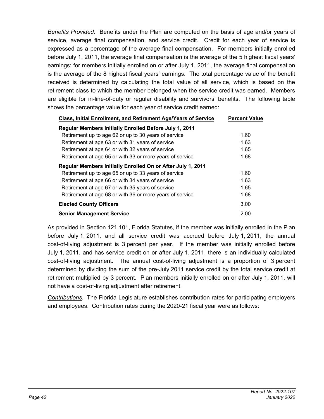*Benefits Provided*. Benefits under the Plan are computed on the basis of age and/or years of service, average final compensation, and service credit. Credit for each year of service is expressed as a percentage of the average final compensation. For members initially enrolled before July 1, 2011, the average final compensation is the average of the 5 highest fiscal years' earnings; for members initially enrolled on or after July 1, 2011, the average final compensation is the average of the 8 highest fiscal years' earnings. The total percentage value of the benefit received is determined by calculating the total value of all service, which is based on the retirement class to which the member belonged when the service credit was earned. Members are eligible for in-line-of-duty or regular disability and survivors' benefits. The following table shows the percentage value for each year of service credit earned:

| Class, Initial Enrollment, and Retirement Age/Years of Service | <b>Percent Value</b> |
|----------------------------------------------------------------|----------------------|
| <b>Regular Members Initially Enrolled Before July 1, 2011</b>  |                      |
| Retirement up to age 62 or up to 30 years of service           | 1.60                 |
| Retirement at age 63 or with 31 years of service               | 1.63                 |
| Retirement at age 64 or with 32 years of service               | 1.65                 |
| Retirement at age 65 or with 33 or more years of service       | 1.68                 |
| Regular Members Initially Enrolled On or After July 1, 2011    |                      |
| Retirement up to age 65 or up to 33 years of service           | 1.60                 |
| Retirement at age 66 or with 34 years of service               | 1.63                 |
| Retirement at age 67 or with 35 years of service               | 1.65                 |
| Retirement at age 68 or with 36 or more years of service       | 1.68                 |
| <b>Elected County Officers</b>                                 | 3.00                 |
| <b>Senior Management Service</b>                               | 2.00                 |

As provided in Section 121.101, Florida Statutes, if the member was initially enrolled in the Plan before July 1, 2011, and all service credit was accrued before July 1, 2011, the annual cost-of-living adjustment is 3 percent per year. If the member was initially enrolled before July 1, 2011, and has service credit on or after July 1, 2011, there is an individually calculated cost-of-living adjustment. The annual cost-of-living adjustment is a proportion of 3 percent determined by dividing the sum of the pre-July 2011 service credit by the total service credit at retirement multiplied by 3 percent. Plan members initially enrolled on or after July 1, 2011, will not have a cost-of-living adjustment after retirement.

*Contributions*. The Florida Legislature establishes contribution rates for participating employers and employees. Contribution rates during the 2020-21 fiscal year were as follows: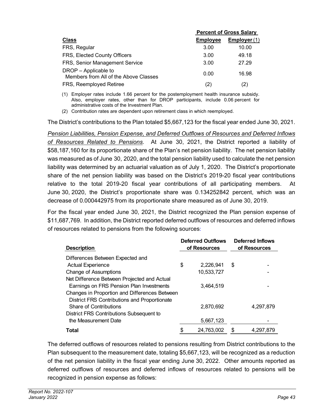|                                                               |                 | <b>Percent of Gross Salary</b> |  |  |
|---------------------------------------------------------------|-----------------|--------------------------------|--|--|
| <b>Class</b>                                                  | <b>Employee</b> | Emplover(1)                    |  |  |
| FRS, Regular                                                  | 3.00            | 10.00                          |  |  |
| FRS, Elected County Officers                                  | 3.00            | 49.18                          |  |  |
| FRS, Senior Management Service                                | 3.00            | 27.29                          |  |  |
| DROP - Applicable to<br>Members from All of the Above Classes | 0.00            | 16.98                          |  |  |
| FRS, Reemployed Retiree                                       | (2)             | (2)                            |  |  |

(1) Employer rates include 1.66 percent for the postemployment health insurance subsidy. Also, employer rates, other than for DROP participants, include 0.06 percent for administrative costs of the Investment Plan.

(2) Contribution rates are dependent upon retirement class in which reemployed.

The District's contributions to the Plan totaled \$5,667,123 for the fiscal year ended June 30, 2021.

*Pension Liabilities, Pension Expense, and Deferred Outflows of Resources and Deferred Inflows of Resources Related to Pensions*. At June 30, 2021, the District reported a liability of \$58,187,160 for its proportionate share of the Plan's net pension liability. The net pension liability was measured as of June 30, 2020, and the total pension liability used to calculate the net pension liability was determined by an actuarial valuation as of July 1, 2020. The District's proportionate share of the net pension liability was based on the District's 2019-20 fiscal year contributions relative to the total 2019-20 fiscal year contributions of all participating members. At June 30, 2020, the District's proportionate share was 0.134252842 percent, which was an decrease of 0.000442975 from its proportionate share measured as of June 30, 2019.

For the fiscal year ended June 30, 2021, the District recognized the Plan pension expense of \$11,687,769. In addition, the District reported deferred outflows of resources and deferred inflows of resources related to pensions from the following sources:

| <b>Description</b>                            | <b>Deferred Outflows</b><br>of Resources |            | <b>Deferred Inflows</b><br>of Resources |           |
|-----------------------------------------------|------------------------------------------|------------|-----------------------------------------|-----------|
| Differences Between Expected and              |                                          |            |                                         |           |
|                                               |                                          |            |                                         |           |
| <b>Actual Experience</b>                      | \$                                       | 2,226,941  | \$                                      |           |
| <b>Change of Assumptions</b>                  |                                          | 10,533,727 |                                         |           |
| Net Difference Between Projected and Actual   |                                          |            |                                         |           |
| Earnings on FRS Pension Plan Investments      |                                          | 3,464,519  |                                         |           |
| Changes in Proportion and Differences Between |                                          |            |                                         |           |
| District FRS Contributions and Proportionate  |                                          |            |                                         |           |
| Share of Contributions                        |                                          | 2,870,692  |                                         | 4,297,879 |
| District FRS Contributions Subsequent to      |                                          |            |                                         |           |
| the Measurement Date                          |                                          | 5,667,123  |                                         |           |
| Total                                         |                                          | 24,763,002 |                                         | 4,297,879 |

The deferred outflows of resources related to pensions resulting from District contributions to the Plan subsequent to the measurement date, totaling \$5,667,123, will be recognized as a reduction of the net pension liability in the fiscal year ending June 30, 2022. Other amounts reported as deferred outflows of resources and deferred inflows of resources related to pensions will be recognized in pension expense as follows: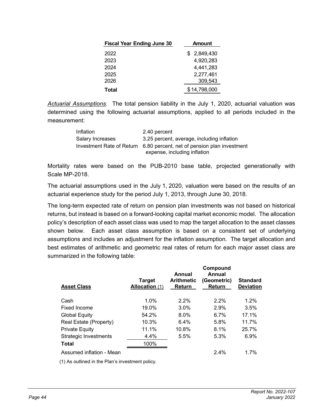| <b>Fiscal Year Ending June 30</b><br>Amount |              |
|---------------------------------------------|--------------|
| 2022                                        | \$2,849,430  |
| 2023                                        | 4,920,283    |
| 2024                                        | 4,441,283    |
| 2025                                        | 2,277,461    |
| 2026                                        | 309,543      |
| <b>Total</b>                                | \$14,798,000 |

*Actuarial Assumptions*. The total pension liability in the July 1, 2020, actuarial valuation was determined using the following actuarial assumptions, applied to all periods included in the measurement:

| Inflation        | 2.40 percent                                                           |
|------------------|------------------------------------------------------------------------|
| Salary Increases | 3.25 percent, average, including inflation                             |
|                  | Investment Rate of Return 6.80 percent, net of pension plan investment |
|                  | expense, including inflation                                           |

Mortality rates were based on the PUB-2010 base table, projected generationally with Scale MP-2018.

The actuarial assumptions used in the July 1, 2020, valuation were based on the results of an actuarial experience study for the period July 1, 2013, through June 30, 2018.

The long-term expected rate of return on pension plan investments was not based on historical returns, but instead is based on a forward-looking capital market economic model. The allocation policy's description of each asset class was used to map the target allocation to the asset classes shown below. Each asset class assumption is based on a consistent set of underlying assumptions and includes an adjustment for the inflation assumption. The target allocation and best estimates of arithmetic and geometric real rates of return for each major asset class are summarized in the following table:

| <b>Asset Class</b>           | <b>Target</b><br><b>Allocation</b> (1) | Annual<br><b>Arithmetic</b><br>Return | Compound<br>Annual<br>(Geometric)<br>Return | <b>Standard</b><br><b>Deviation</b> |
|------------------------------|----------------------------------------|---------------------------------------|---------------------------------------------|-------------------------------------|
| Cash                         | $1.0\%$                                | $2.2\%$                               | $2.2\%$                                     | $1.2\%$                             |
| Fixed Income                 | 19.0%                                  | $3.0\%$                               | 2.9%                                        | 3.5%                                |
| <b>Global Equity</b>         | 54.2%                                  | $8.0\%$                               | 6.7%                                        | 17.1%                               |
| Real Estate (Property)       | 10.3%                                  | 6.4%                                  | 5.8%                                        | 11.7%                               |
| <b>Private Equity</b>        | 11.1%                                  | 10.8%                                 | 8.1%                                        | 25.7%                               |
| <b>Strategic Investments</b> | 4.4%                                   | 5.5%                                  | 5.3%                                        | 6.9%                                |
| <b>Total</b>                 | 100%                                   |                                       |                                             |                                     |
| Assumed inflation - Mean     |                                        |                                       | 2.4%                                        | 1.7%                                |

(1) As outlined in the Plan's investment policy.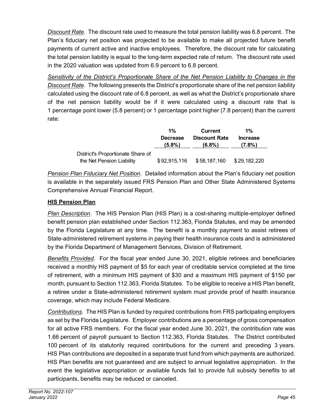*Discount Rate*. The discount rate used to measure the total pension liability was 6.8 percent. The Plan's fiduciary net position was projected to be available to make all projected future benefit payments of current active and inactive employees. Therefore, the discount rate for calculating the total pension liability is equal to the long-term expected rate of return. The discount rate used in the 2020 valuation was updated from 6.9 percent to 6.8 percent.

*Sensitivity of the District's Proportionate Share of the Net Pension Liability to Changes in the Discount Rate*. The following presents the District's proportionate share of the net pension liability calculated using the discount rate of 6.8 percent, as well as what the District's proportionate share of the net pension liability would be if it were calculated using a discount rate that is 1 percentage point lower (5.8 percent) or 1 percentage point higher (7.8 percent) than the current rate:

|                                   | $1\%$                     | <b>Current</b>                    | $1\%$                        |
|-----------------------------------|---------------------------|-----------------------------------|------------------------------|
|                                   | <b>Decrease</b><br>(5.8%) | <b>Discount Rate</b><br>$(6.8\%)$ | <b>Increase</b><br>$(7.8\%)$ |
| District's Proportionate Share of |                           |                                   |                              |
| the Net Pension Liability         | \$92,915,116              | \$58,187,160                      | \$29,182,220                 |

*Pension Plan Fiduciary Net Position*. Detailed information about the Plan's fiduciary net position is available in the separately issued FRS Pension Plan and Other State Administered Systems Comprehensive Annual Financial Report.

# **HIS Pension Plan**

*Plan Description*. The HIS Pension Plan (HIS Plan) is a cost-sharing multiple-employer defined benefit pension plan established under Section 112.363, Florida Statutes, and may be amended by the Florida Legislature at any time. The benefit is a monthly payment to assist retirees of State-administered retirement systems in paying their health insurance costs and is administered by the Florida Department of Management Services, Division of Retirement.

*Benefits Provided*. For the fiscal year ended June 30, 2021, eligible retirees and beneficiaries received a monthly HIS payment of \$5 for each year of creditable service completed at the time of retirement, with a minimum HIS payment of \$30 and a maximum HIS payment of \$150 per month, pursuant to Section 112.363, Florida Statutes. To be eligible to receive a HIS Plan benefit, a retiree under a State-administered retirement system must provide proof of health insurance coverage, which may include Federal Medicare.

*Contributions*. The HIS Plan is funded by required contributions from FRS participating employers as set by the Florida Legislature. Employer contributions are a percentage of gross compensation for all active FRS members. For the fiscal year ended June 30, 2021, the contribution rate was 1.66 percent of payroll pursuant to Section 112.363, Florida Statutes. The District contributed 100 percent of its statutorily required contributions for the current and preceding 3 years. HIS Plan contributions are deposited in a separate trust fund from which payments are authorized. HIS Plan benefits are not guaranteed and are subject to annual legislative appropriation. In the event the legislative appropriation or available funds fail to provide full subsidy benefits to all participants, benefits may be reduced or canceled.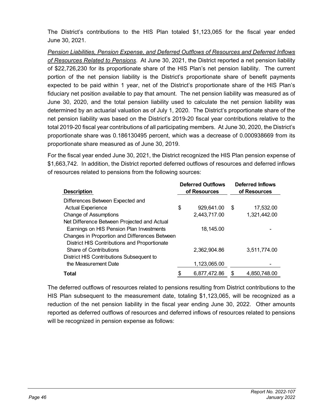The District's contributions to the HIS Plan totaled \$1,123,065 for the fiscal year ended June 30, 2021.

*Pension Liabilities, Pension Expense, and Deferred Outflows of Resources and Deferred Inflows of Resources Related to Pensions*. At June 30, 2021, the District reported a net pension liability of \$22,726,230 for its proportionate share of the HIS Plan's net pension liability. The current portion of the net pension liability is the District's proportionate share of benefit payments expected to be paid within 1 year, net of the District's proportionate share of the HIS Plan's fiduciary net position available to pay that amount. The net pension liability was measured as of June 30, 2020, and the total pension liability used to calculate the net pension liability was determined by an actuarial valuation as of July 1, 2020. The District's proportionate share of the net pension liability was based on the District's 2019-20 fiscal year contributions relative to the total 2019-20 fiscal year contributions of all participating members. At June 30, 2020, the District's proportionate share was 0.186130495 percent, which was a decrease of 0.000938669 from its proportionate share measured as of June 30, 2019.

For the fiscal year ended June 30, 2021, the District recognized the HIS Plan pension expense of \$1,663,742. In addition, the District reported deferred outflows of resources and deferred inflows of resources related to pensions from the following sources:

|                                               | <b>Deferred Outflows</b> |              | <b>Deferred Inflows</b> |              |
|-----------------------------------------------|--------------------------|--------------|-------------------------|--------------|
| <b>Description</b>                            | of Resources             |              | of Resources            |              |
| Differences Between Expected and              |                          |              |                         |              |
| <b>Actual Experience</b>                      | \$                       | 929,641.00   | \$                      | 17,532.00    |
| <b>Change of Assumptions</b>                  |                          | 2,443,717.00 |                         | 1,321,442.00 |
| Net Difference Between Projected and Actual   |                          |              |                         |              |
| Earnings on HIS Pension Plan Investments      |                          | 18,145.00    |                         |              |
| Changes in Proportion and Differences Between |                          |              |                         |              |
| District HIS Contributions and Proportionate  |                          |              |                         |              |
| Share of Contributions                        |                          | 2,362,904.86 |                         | 3,511,774.00 |
| District HIS Contributions Subsequent to      |                          |              |                         |              |
| the Measurement Date                          |                          | 1,123,065.00 |                         |              |
| <b>Total</b>                                  | \$                       | 6,877,472.86 | \$                      | 4,850,748.00 |
|                                               |                          |              |                         |              |

The deferred outflows of resources related to pensions resulting from District contributions to the HIS Plan subsequent to the measurement date, totaling \$1,123,065, will be recognized as a reduction of the net pension liability in the fiscal year ending June 30, 2022. Other amounts reported as deferred outflows of resources and deferred inflows of resources related to pensions will be recognized in pension expense as follows: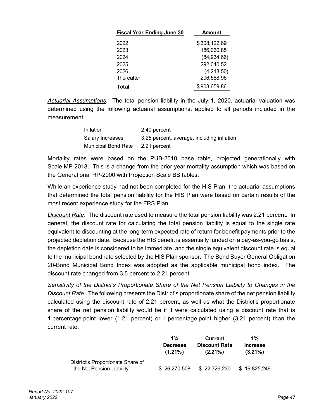| <b>Fiscal Year Ending June 30</b> | Amount       |
|-----------------------------------|--------------|
| 2022                              | \$308,122.69 |
| 2023                              | 186,060.85   |
| 2024                              | (84, 934.66) |
| 2025                              | 292,040.52   |
| 2026                              | (4,218.50)   |
| Thereafter                        | 206,588.96   |
| Total                             | \$903,659.86 |

*Actuarial Assumptions*. The total pension liability in the July 1, 2020, actuarial valuation was determined using the following actuarial assumptions, applied to all periods included in the measurement:

| Inflation           | 2.40 percent                               |
|---------------------|--------------------------------------------|
| Salary Increases    | 3.25 percent, average, including inflation |
| Municipal Bond Rate | 2.21 percent                               |

Mortality rates were based on the PUB-2010 base table, projected generationally with Scale MP-2018. This is a change from the prior year mortality assumption which was based on the Generational RP-2000 with Projection Scale BB tables.

While an experience study had not been completed for the HIS Plan, the actuarial assumptions that determined the total pension liability for the HIS Plan were based on certain results of the most recent experience study for the FRS Plan.

*Discount Rate*. The discount rate used to measure the total pension liability was 2.21 percent. In general, the discount rate for calculating the total pension liability is equal to the single rate equivalent to discounting at the long-term expected rate of return for benefit payments prior to the projected depletion date. Because the HIS benefit is essentially funded on a pay-as-you-go basis, the depletion date is considered to be immediate, and the single equivalent discount rate is equal to the municipal bond rate selected by the HIS Plan sponsor. The Bond Buyer General Obligation 20-Bond Municipal Bond Index was adopted as the applicable municipal bond index. The discount rate changed from 3.5 percent to 2.21 percent.

*Sensitivity of the District's Proportionate Share of the Net Pension Liability to Changes in the Discount Rate*. The following presents the District's proportionate share of the net pension liability calculated using the discount rate of 2.21 percent, as well as what the District's proportionate share of the net pension liability would be if it were calculated using a discount rate that is 1 percentage point lower (1.21 percent) or 1 percentage point higher (3.21 percent) than the current rate:

|                                                                | $1\%$                         | <b>Current</b>                     | 1%                            |
|----------------------------------------------------------------|-------------------------------|------------------------------------|-------------------------------|
|                                                                | <b>Decrease</b><br>$(1.21\%)$ | <b>Discount Rate</b><br>$(2.21\%)$ | <b>Increase</b><br>$(3.21\%)$ |
| District's Proportionate Share of<br>the Net Pension Liability | \$26,270,508                  | \$22,726,230                       | \$19,825,249                  |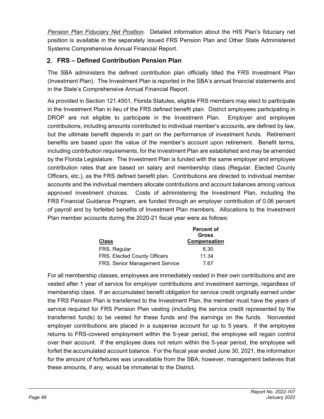*Pension Plan Fiduciary Net Position*. Detailed information about the HIS Plan's fiduciary net position is available in the separately issued FRS Pension Plan and Other State Administered Systems Comprehensive Annual Financial Report.

# **FRS – Defined Contribution Pension Plan**

The SBA administers the defined contribution plan officially titled the FRS Investment Plan (Investment Plan). The Investment Plan is reported in the SBA's annual financial statements and in the State's Comprehensive Annual Financial Report.

As provided in Section 121.4501, Florida Statutes, eligible FRS members may elect to participate in the Investment Plan in lieu of the FRS defined benefit plan. District employees participating in DROP are not eligible to participate in the Investment Plan. Employer and employee contributions, including amounts contributed to individual member's accounts, are defined by law, but the ultimate benefit depends in part on the performance of investment funds. Retirement benefits are based upon the value of the member's account upon retirement. Benefit terms, including contribution requirements, for the Investment Plan are established and may be amended by the Florida Legislature. The Investment Plan is funded with the same employer and employee contribution rates that are based on salary and membership class (Regular, Elected County Officers, etc.), as the FRS defined benefit plan. Contributions are directed to individual member accounts and the individual members allocate contributions and account balances among various approved investment choices. Costs of administering the Investment Plan, including the FRS Financial Guidance Program, are funded through an employer contribution of 0.06 percent of payroll and by forfeited benefits of Investment Plan members. Allocations to the Investment Plan member accounts during the 2020-21 fiscal year were as follows:

|                                | <b>Percent of</b> |
|--------------------------------|-------------------|
|                                | Gross             |
| <b>Class</b>                   | Compensation      |
| FRS, Regular                   | 6.30              |
| FRS, Elected County Officers   | 11.34             |
| FRS, Senior Management Service | 7 67              |

For all membership classes, employees are immediately vested in their own contributions and are vested after 1 year of service for employer contributions and investment earnings, regardless of membership class. If an accumulated benefit obligation for service credit originally earned under the FRS Pension Plan is transferred to the Investment Plan, the member must have the years of service required for FRS Pension Plan vesting (including the service credit represented by the transferred funds) to be vested for these funds and the earnings on the funds. Nonvested employer contributions are placed in a suspense account for up to 5 years. If the employee returns to FRS-covered employment within the 5-year period, the employee will regain control over their account. If the employee does not return within the 5-year period, the employee will forfeit the accumulated account balance. For the fiscal year ended June 30, 2021, the information for the amount of forfeitures was unavailable from the SBA; however, management believes that these amounts, if any, would be immaterial to the District.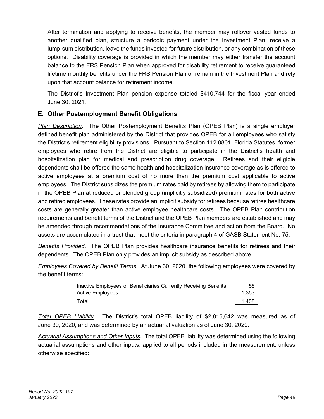After termination and applying to receive benefits, the member may rollover vested funds to another qualified plan, structure a periodic payment under the Investment Plan, receive a lump-sum distribution, leave the funds invested for future distribution, or any combination of these options. Disability coverage is provided in which the member may either transfer the account balance to the FRS Pension Plan when approved for disability retirement to receive guaranteed lifetime monthly benefits under the FRS Pension Plan or remain in the Investment Plan and rely upon that account balance for retirement income.

The District's Investment Plan pension expense totaled \$410,744 for the fiscal year ended June 30, 2021.

# **E. Other Postemployment Benefit Obligations**

*Plan Description*. The Other Postemployment Benefits Plan (OPEB Plan) is a single employer defined benefit plan administered by the District that provides OPEB for all employees who satisfy the District's retirement eligibility provisions. Pursuant to Section 112.0801, Florida Statutes, former employees who retire from the District are eligible to participate in the District's health and hospitalization plan for medical and prescription drug coverage. Retirees and their eligible dependents shall be offered the same health and hospitalization insurance coverage as is offered to active employees at a premium cost of no more than the premium cost applicable to active employees. The District subsidizes the premium rates paid by retirees by allowing them to participate in the OPEB Plan at reduced or blended group (implicitly subsidized) premium rates for both active and retired employees. These rates provide an implicit subsidy for retirees because retiree healthcare costs are generally greater than active employee healthcare costs. The OPEB Plan contribution requirements and benefit terms of the District and the OPEB Plan members are established and may be amended through recommendations of the Insurance Committee and action from the Board. No assets are accumulated in a trust that meet the criteria in paragraph 4 of GASB Statement No. 75.

*Benefits Provided*.The OPEB Plan provides healthcare insurance benefits for retirees and their dependents. The OPEB Plan only provides an implicit subsidy as described above.

*Employees Covered by Benefit Terms*. At June 30, 2020, the following employees were covered by the benefit terms:

| Inactive Employees or Beneficiaries Currently Receiving Benefits | 55    |
|------------------------------------------------------------------|-------|
| <b>Active Employees</b>                                          | 1.353 |
| Total                                                            | 1.408 |

*Total OPEB Liability*. The District's total OPEB liability of \$2,815,642 was measured as of June 30, 2020, and was determined by an actuarial valuation as of June 30, 2020.

*Actuarial Assumptions and Other Inputs*. The total OPEB liability was determined using the following actuarial assumptions and other inputs, applied to all periods included in the measurement, unless otherwise specified: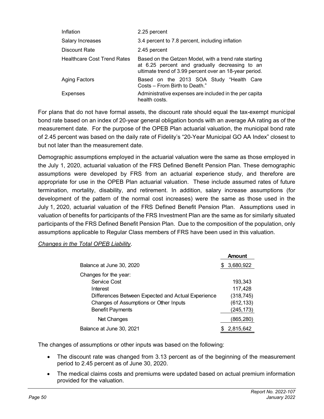| Inflation                          | 2.25 percent                                                                                                                                                      |  |  |
|------------------------------------|-------------------------------------------------------------------------------------------------------------------------------------------------------------------|--|--|
| Salary Increases                   | 3.4 percent to 7.8 percent, including inflation                                                                                                                   |  |  |
| Discount Rate                      | 2.45 percent                                                                                                                                                      |  |  |
| <b>Healthcare Cost Trend Rates</b> | Based on the Getzen Model, with a trend rate starting<br>at 6.25 percent and gradually decreasing to an<br>ultimate trend of 3.99 percent over an 18-year period. |  |  |
| <b>Aging Factors</b>               | Based on the 2013 SOA Study "Health Care<br>Costs – From Birth to Death."                                                                                         |  |  |
| Expenses                           | Administrative expenses are included in the per capita<br>health costs.                                                                                           |  |  |

For plans that do not have formal assets, the discount rate should equal the tax-exempt municipal bond rate based on an index of 20-year general obligation bonds with an average AA rating as of the measurement date. For the purpose of the OPEB Plan actuarial valuation, the municipal bond rate of 2.45 percent was based on the daily rate of Fidelity's "20-Year Municipal GO AA Index" closest to but not later than the measurement date.

Demographic assumptions employed in the actuarial valuation were the same as those employed in the July 1, 2020, actuarial valuation of the FRS Defined Benefit Pension Plan. These demographic assumptions were developed by FRS from an actuarial experience study, and therefore are appropriate for use in the OPEB Plan actuarial valuation. These include assumed rates of future termination, mortality, disability, and retirement. In addition, salary increase assumptions (for development of the pattern of the normal cost increases) were the same as those used in the July 1, 2020, actuarial valuation of the FRS Defined Benefit Pension Plan. Assumptions used in valuation of benefits for participants of the FRS Investment Plan are the same as for similarly situated participants of the FRS Defined Benefit Pension Plan. Due to the composition of the population, only assumptions applicable to Regular Class members of FRS have been used in this valuation.

#### *Changes in the Total OPEB Liability*.

|                                                    |   | <b>Amount</b> |
|----------------------------------------------------|---|---------------|
| Balance at June 30, 2020                           | S | 3,680,922     |
| Changes for the year:                              |   |               |
| Service Cost                                       |   | 193.343       |
| Interest                                           |   | 117,428       |
| Differences Between Expected and Actual Experience |   | (318, 745)    |
| Changes of Assumptions or Other Inputs             |   | (612, 133)    |
| <b>Benefit Payments</b>                            |   | (245, 173)    |
| Net Changes                                        |   | (865,280)     |
| Balance at June 30, 2021                           |   | 2,815,642     |

The changes of assumptions or other inputs was based on the following:

- The discount rate was changed from 3.13 percent as of the beginning of the measurement period to 2.45 percent as of June 30, 2020.
- The medical claims costs and premiums were updated based on actual premium information provided for the valuation.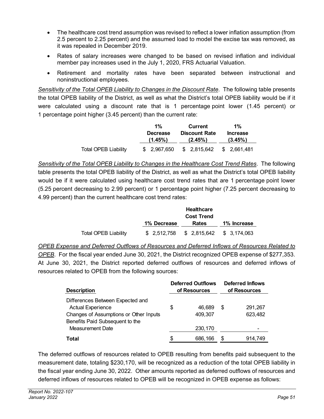- The healthcare cost trend assumption was revised to reflect a lower inflation assumption (from 2.5 percent to 2.25 percent) and the assumed load to model the excise tax was removed, as it was repealed in December 2019.
- Rates of salary increases were changed to be based on revised inflation and individual member pay increases used in the July 1, 2020, FRS Actuarial Valuation.
- Retirement and mortality rates have been separated between instructional and noninstructional employees.

*Sensitivity of the Total OPEB Liability to Changes in the Discount Rate*. The following table presents the total OPEB liability of the District, as well as what the District's total OPEB liability would be if it were calculated using a discount rate that is 1 percentage point lower (1.45 percent) or 1 percentage point higher (3.45 percent) than the current rate:

|                             | $1\%$                         | <b>Current</b>                     | $1\%$                         |
|-----------------------------|-------------------------------|------------------------------------|-------------------------------|
|                             | <b>Decrease</b><br>$(1.45\%)$ | <b>Discount Rate</b><br>$(2.45\%)$ | <b>Increase</b><br>$(3.45\%)$ |
| <b>Total OPEB Liability</b> | \$ 2,967,650                  | \$ 2,815,642                       | \$2.661.481                   |

*Sensitivity of the Total OPEB Liability to Changes in the Healthcare Cost Trend Rates*. The following table presents the total OPEB liability of the District, as well as what the District's total OPEB liability would be if it were calculated using healthcare cost trend rates that are 1 percentage point lower (5.25 percent decreasing to 2.99 percent) or 1 percentage point higher (7.25 percent decreasing to 4.99 percent) than the current healthcare cost trend rates:

|                             | <b>Healthcare</b><br><b>Cost Trend</b> |                           |              |
|-----------------------------|----------------------------------------|---------------------------|--------------|
|                             | 1% Decrease                            | <b>Rates</b>              | 1% Increase  |
| <b>Total OPEB Liability</b> |                                        | \$ 2,512,758 \$ 2,815,642 | \$ 3.174.063 |

*OPEB Expense and Deferred Outflows of Resources and Deferred Inflows of Resources Related to OPEB*. For the fiscal year ended June 30, 2021, the District recognized OPEB expense of \$277,353. At June 30, 2021, the District reported deferred outflows of resources and deferred inflows of resources related to OPEB from the following sources:

| <b>Description</b>                                                        | <b>Deferred Outflows</b><br>of Resources |         | <b>Deferred Inflows</b><br>of Resources |         |
|---------------------------------------------------------------------------|------------------------------------------|---------|-----------------------------------------|---------|
| Differences Between Expected and<br><b>Actual Experience</b>              | S                                        | 46,689  | S                                       | 291,267 |
| Changes of Assumptions or Other Inputs<br>Benefits Paid Subsequent to the |                                          | 409,307 |                                         | 623,482 |
| Measurement Date                                                          |                                          | 230,170 |                                         |         |
| Total                                                                     | \$.                                      | 686,166 | S                                       | 914,749 |

The deferred outflows of resources related to OPEB resulting from benefits paid subsequent to the measurement date, totaling \$230,170, will be recognized as a reduction of the total OPEB liability in the fiscal year ending June 30, 2022. Other amounts reported as deferred outflows of resources and deferred inflows of resources related to OPEB will be recognized in OPEB expense as follows: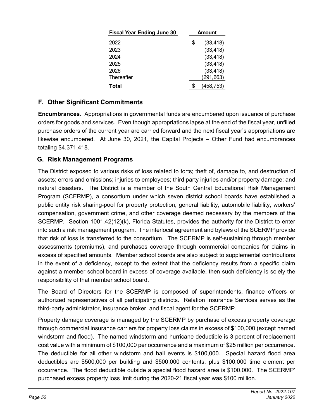| <b>Fiscal Year Ending June 30</b> |    | Amount     |  |  |
|-----------------------------------|----|------------|--|--|
| 2022                              | \$ | (33, 418)  |  |  |
| 2023                              |    | (33, 418)  |  |  |
| 2024                              |    | (33, 418)  |  |  |
| 2025                              |    | (33, 418)  |  |  |
| 2026                              |    | (33, 418)  |  |  |
| Thereafter                        |    | (291, 663) |  |  |
| Total                             |    | (458.753)  |  |  |

#### **F. Other Significant Commitments**

**Encumbrances**. Appropriations in governmental funds are encumbered upon issuance of purchase orders for goods and services. Even though appropriations lapse at the end of the fiscal year, unfilled purchase orders of the current year are carried forward and the next fiscal year's appropriations are likewise encumbered. At June 30, 2021, the Capital Projects – Other Fund had encumbrances totaling \$4,371,418.

#### **G. Risk Management Programs**

The District exposed to various risks of loss related to torts; theft of, damage to, and destruction of assets; errors and omissions; injuries to employees; third party injuries and/or property damage; and natural disasters. The District is a member of the South Central Educational Risk Management Program (SCERMP), a consortium under which seven district school boards have established a public entity risk sharing-pool for property protection, general liability, automobile liability, workers' compensation, government crime, and other coverage deemed necessary by the members of the SCERMP. Section 1001.42(12)(k), Florida Statutes, provides the authority for the District to enter into such a risk management program. The interlocal agreement and bylaws of the SCERMP provide that risk of loss is transferred to the consortium. The SCERMP is self-sustaining through member assessments (premiums), and purchases coverage through commercial companies for claims in excess of specified amounts. Member school boards are also subject to supplemental contributions in the event of a deficiency, except to the extent that the deficiency results from a specific claim against a member school board in excess of coverage available, then such deficiency is solely the responsibility of that member school board.

The Board of Directors for the SCERMP is composed of superintendents, finance officers or authorized representatives of all participating districts. Relation Insurance Services serves as the third-party administrator, insurance broker, and fiscal agent for the SCERMP.

Property damage coverage is managed by the SCERMP by purchase of excess property coverage through commercial insurance carriers for property loss claims in excess of \$100,000 (except named windstorm and flood). The named windstorm and hurricane deductible is 3 percent of replacement cost value with a minimum of \$100,000 per occurrence and a maximum of \$25 million per occurrence. The deductible for all other windstorm and hail events is \$100,000. Special hazard flood area deductibles are \$500,000 per building and \$500,000 contents, plus \$100,000 time element per occurrence. The flood deductible outside a special flood hazard area is \$100,000. The SCERMP' purchased excess property loss limit during the 2020-21 fiscal year was \$100 million.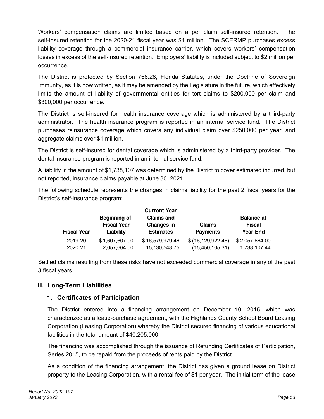Workers' compensation claims are limited based on a per claim self-insured retention. The self-insured retention for the 2020-21 fiscal year was \$1 million. The SCERMP purchases excess liability coverage through a commercial insurance carrier, which covers workers' compensation losses in excess of the self-insured retention. Employers' liability is included subject to \$2 million per occurrence.

The District is protected by Section 768.28, Florida Statutes, under the Doctrine of Sovereign Immunity, as it is now written, as it may be amended by the Legislature in the future, which effectively limits the amount of liability of governmental entities for tort claims to \$200,000 per claim and \$300,000 per occurrence.

The District is self-insured for health insurance coverage which is administered by a third-party administrator. The health insurance program is reported in an internal service fund. The District purchases reinsurance coverage which covers any individual claim over \$250,000 per year, and aggregate claims over \$1 million.

The District is self-insured for dental coverage which is administered by a third-party provider. The dental insurance program is reported in an internal service fund.

A liability in the amount of \$1,738,107 was determined by the District to cover estimated incurred, but not reported, insurance claims payable at June 30, 2021.

The following schedule represents the changes in claims liability for the past 2 fiscal years for the District's self-insurance program:

| <b>Fiscal Year</b> | <b>Beginning of</b><br><b>Fiscal Year</b><br>Liability | <b>Current Year</b><br><b>Claims and</b><br><b>Changes in</b><br><b>Estimates</b> | <b>Claims</b><br><b>Payments</b> | <b>Balance at</b><br><b>Fiscal</b><br><b>Year End</b> |
|--------------------|--------------------------------------------------------|-----------------------------------------------------------------------------------|----------------------------------|-------------------------------------------------------|
| 2019-20            | \$1,607,607.00                                         | \$16,579,979.46                                                                   | \$(16, 129, 922.46)              | \$2,057,664.00                                        |
| 2020-21            | 2,057,664.00                                           | 15, 130, 548. 75                                                                  | (15, 450, 105.31)                | 1,738,107.44                                          |

Settled claims resulting from these risks have not exceeded commercial coverage in any of the past 3 fiscal years.

### **H. Long-Term Liabilities**

### **Certificates of Participation**

The District entered into a financing arrangement on December 10, 2015, which was characterized as a lease-purchase agreement, with the Highlands County School Board Leasing Corporation (Leasing Corporation) whereby the District secured financing of various educational facilities in the total amount of \$40,205,000.

The financing was accomplished through the issuance of Refunding Certificates of Participation, Series 2015, to be repaid from the proceeds of rents paid by the District.

As a condition of the financing arrangement, the District has given a ground lease on District property to the Leasing Corporation, with a rental fee of \$1 per year. The initial term of the lease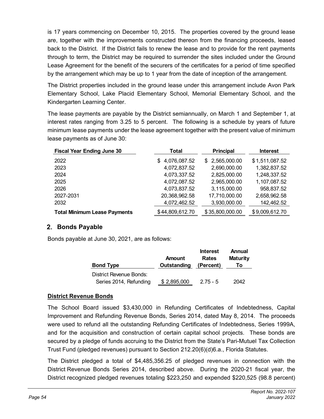is 17 years commencing on December 10, 2015. The properties covered by the ground lease are, together with the improvements constructed thereon from the financing proceeds, leased back to the District. If the District fails to renew the lease and to provide for the rent payments through to term, the District may be required to surrender the sites included under the Ground Lease Agreement for the benefit of the securers of the certificates for a period of time specified by the arrangement which may be up to 1 year from the date of inception of the arrangement.

The District properties included in the ground lease under this arrangement include Avon Park Elementary School, Lake Placid Elementary School, Memorial Elementary School, and the Kindergarten Learning Center.

The lease payments are payable by the District semiannually, on March 1 and September 1, at interest rates ranging from 3.25 to 5 percent. The following is a schedule by years of future minimum lease payments under the lease agreement together with the present value of minimum lease payments as of June 30:

| <b>Fiscal Year Ending June 30</b>   | <b>Total</b>        | <b>Principal</b> | <b>Interest</b> |  |
|-------------------------------------|---------------------|------------------|-----------------|--|
| 2022                                | 4,076,087.52<br>\$. | \$2,565,000.00   | \$1,511,087.52  |  |
| 2023                                | 4,072,837.52        | 2,690,000.00     | 1,382,837.52    |  |
| 2024                                | 4,073,337.52        | 2,825,000.00     | 1,248,337.52    |  |
| 2025                                | 4,072,087.52        | 2,965,000.00     | 1,107,087.52    |  |
| 2026                                | 4,073,837.52        | 3,115,000.00     | 958,837.52      |  |
| 2027-2031                           | 20,368,962.58       | 17,710,000.00    | 2,658,962.58    |  |
| 2032                                | 4,072,462.52        | 3,930,000.00     | 142,462.52      |  |
| <b>Total Minimum Lease Payments</b> | \$44,809,612.70     | \$35,800,000.00  | \$9,009,612.70  |  |

### **Bonds Payable**

Bonds payable at June 30, 2021, are as follows:

| <b>Bond Type</b>                                  | <b>Amount</b><br>Outstanding | <b>Interest</b><br>Rates<br>(Percent) | <b>Annual</b><br><b>Maturity</b><br>Τo |  |
|---------------------------------------------------|------------------------------|---------------------------------------|----------------------------------------|--|
| District Revenue Bonds:<br>Series 2014, Refunding | \$2,895,000                  | $2.75 - 5$                            | 2042                                   |  |

#### **District Revenue Bonds**

The School Board issued \$3,430,000 in Refunding Certificates of Indebtedness, Capital Improvement and Refunding Revenue Bonds, Series 2014, dated May 8, 2014. The proceeds were used to refund all the outstanding Refunding Certificates of Indebtedness, Series 1999A, and for the acquisition and construction of certain capital school projects. These bonds are secured by a pledge of funds accruing to the District from the State's Pari-Mutuel Tax Collection Trust Fund (pledged revenues) pursuant to Section 212.20(6)(d)6.a., Florida Statutes.

The District pledged a total of \$4,485,356.25 of pledged revenues in connection with the District Revenue Bonds Series 2014, described above. During the 2020-21 fiscal year, the District recognized pledged revenues totaling \$223,250 and expended \$220,525 (98.8 percent)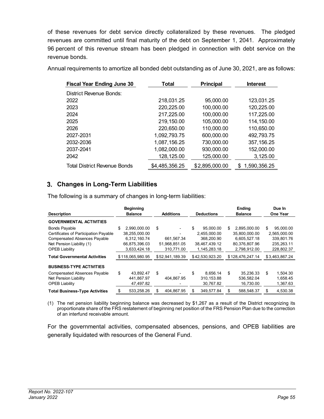of these revenues for debt service directly collateralized by these revenues. The pledged revenues are committed until final maturity of the debt on September 1, 2041. Approximately 96 percent of this revenue stream has been pledged in connection with debt service on the revenue bonds.

Annual requirements to amortize all bonded debt outstanding as of June 30, 2021, are as follows:

| <b>Fiscal Year Ending June 30</b>   | Total          | <b>Principal</b> | <b>Interest</b>   |  |
|-------------------------------------|----------------|------------------|-------------------|--|
| District Revenue Bonds:             |                |                  |                   |  |
| 2022                                | 218,031.25     | 95,000.00        | 123,031.25        |  |
| 2023                                | 220,225.00     | 100,000.00       | 120,225.00        |  |
| 2024                                | 217,225.00     | 100,000.00       | 117,225.00        |  |
| 2025                                | 219,150.00     | 105,000.00       | 114,150.00        |  |
| 2026                                | 220,650.00     | 110,000.00       | 110,650.00        |  |
| 2027-2031                           | 1,092,793.75   | 600,000.00       | 492,793.75        |  |
| 2032-2036                           | 1,087,156.25   | 730,000.00       | 357, 156.25       |  |
| 2037-2041                           | 1,082,000.00   | 930,000.00       | 152,000.00        |  |
| 2042                                | 128, 125.00    | 125,000.00       | 3,125.00          |  |
| <b>Total District Revenue Bonds</b> | \$4,485,356.25 | \$2,895,000.00   | 1,590,356.25<br>S |  |

# **Changes in Long-Term Liabilities**

The following is a summary of changes in long-term liabilities:

| <b>Description</b>                                                                                                                                         | <b>Beginning</b><br><b>Balance</b>                                                   |    | <b>Additions</b>                          |    | <b>Deductions</b>                                                        |     | <b>Ending</b><br><b>Balance</b>                                                | Due In<br>One Year                                                        |
|------------------------------------------------------------------------------------------------------------------------------------------------------------|--------------------------------------------------------------------------------------|----|-------------------------------------------|----|--------------------------------------------------------------------------|-----|--------------------------------------------------------------------------------|---------------------------------------------------------------------------|
| <b>GOVERNMENTAL ACTIVITIES</b>                                                                                                                             |                                                                                      |    |                                           |    |                                                                          |     |                                                                                |                                                                           |
| <b>Bonds Payable</b><br>Certificates of Participation Payable<br><b>Compensated Absences Payable</b><br>Net Pension Liability (1)<br><b>OPEB Liability</b> | \$<br>2.990.000.00<br>38,255,000.00<br>6,312,160.74<br>66,875,396.03<br>3,633,424.18 | \$ | 661,567.34<br>51,968,851.05<br>310,771.00 | \$ | 95.000.00<br>2,455,000.00<br>368.200.90<br>38,467,439.12<br>1,145,283.18 | \$. | 2.895.000.00<br>35,800,000.00<br>6,605,527.18<br>80,376,807.96<br>2,798,912.00 | \$<br>95,000.00<br>2,565,000.00<br>339,801.76<br>235,263.11<br>228,802.37 |
| <b>Total Governmental Activities</b>                                                                                                                       | \$118,065,980.95                                                                     |    | \$52,941,189.39                           |    | \$42,530,923.20                                                          |     | \$128,476,247.14                                                               | \$3,463,867.24                                                            |
| <b>BUSINESS-TYPE ACTIVITIES</b>                                                                                                                            |                                                                                      |    |                                           |    |                                                                          |     |                                                                                |                                                                           |
| <b>Compensated Absences Payable</b><br>Net Pension Liability<br><b>OPEB Liability</b>                                                                      | \$<br>43.892.47<br>441,867.97<br>47,497.82                                           | \$ | 404.867.95                                | \$ | 8.656.14<br>310, 153.88<br>30,767.82                                     | \$  | 35.236.33<br>536.582.04<br>16,730.00                                           | \$<br>1,504.30<br>1,658.45<br>1,367.63                                    |
| <b>Total Business-Type Activities</b>                                                                                                                      | 533,258.26                                                                           | SБ | 404.867.95                                | S  | 349.577.84                                                               | S   | 588.548.37                                                                     | \$<br>4,530.38                                                            |

(1) The net pension liability beginning balance was decreased by \$1,267 as a result of the District recognizing its proportionate share of the FRS restatement of beginning net position of the FRS Pension Plan due to the correction of an interfund receivable amount.

For the governmental activities, compensated absences, pensions, and OPEB liabilities are generally liquidated with resources of the General Fund.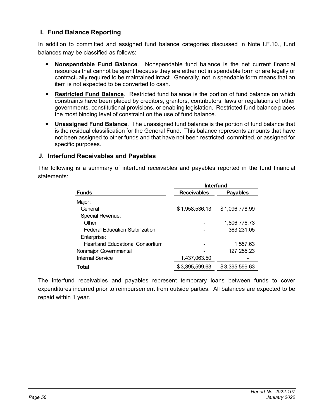### **I. Fund Balance Reporting**

In addition to committed and assigned fund balance categories discussed in Note I.F.10., fund balances may be classified as follows:

- **Nonspendable Fund Balance**. Nonspendable fund balance is the net current financial resources that cannot be spent because they are either not in spendable form or are legally or contractually required to be maintained intact. Generally, not in spendable form means that an item is not expected to be converted to cash.
- **Restricted Fund Balance**. Restricted fund balance is the portion of fund balance on which constraints have been placed by creditors, grantors, contributors, laws or regulations of other governments, constitutional provisions, or enabling legislation. Restricted fund balance places the most binding level of constraint on the use of fund balance.
- **Unassigned Fund Balance**. The unassigned fund balance is the portion of fund balance that is the residual classification for the General Fund. This balance represents amounts that have not been assigned to other funds and that have not been restricted, committed, or assigned for specific purposes.

### **J. Interfund Receivables and Payables**

The following is a summary of interfund receivables and payables reported in the fund financial statements:

|                                         | <b>Interfund</b>   |                 |  |  |  |
|-----------------------------------------|--------------------|-----------------|--|--|--|
| <b>Funds</b>                            | <b>Receivables</b> | <b>Payables</b> |  |  |  |
| Major:                                  |                    |                 |  |  |  |
| General                                 | \$1,958,536.13     | \$1,096,778.99  |  |  |  |
| Special Revenue:                        |                    |                 |  |  |  |
| Other                                   |                    | 1,806,776.73    |  |  |  |
| <b>Federal Education Stabilization</b>  |                    | 363,231.05      |  |  |  |
| Enterprise:                             |                    |                 |  |  |  |
| <b>Heartland Educational Consortium</b> |                    | 1,557.63        |  |  |  |
| Nonmajor Governmental                   |                    | 127,255.23      |  |  |  |
| Internal Service                        | 1,437,063.50       |                 |  |  |  |
| <b>Total</b>                            | \$3,395,599.63     | \$3,395,599.63  |  |  |  |
|                                         |                    |                 |  |  |  |

The interfund receivables and payables represent temporary loans between funds to cover expenditures incurred prior to reimbursement from outside parties. All balances are expected to be repaid within 1 year.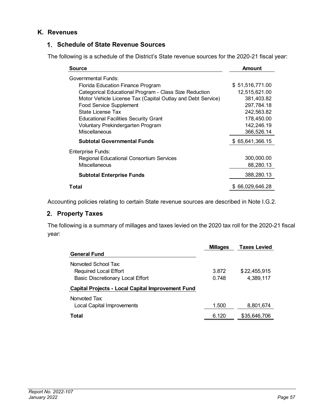### **K. Revenues**

#### **Schedule of State Revenue Sources**

The following is a schedule of the District's State revenue sources for the 2020-21 fiscal year:

| <b>Source</b>                                               | <b>Amount</b>   |
|-------------------------------------------------------------|-----------------|
| Governmental Funds:                                         |                 |
| Florida Education Finance Program                           | \$51,516,771.00 |
| Categorical Educational Program - Class Size Reduction      | 12,515,621.00   |
| Motor Vehicle License Tax (Capital Outlay and Debt Service) | 381,403.82      |
| <b>Food Service Supplement</b>                              | 297,784.18      |
| State License Tax                                           | 242,563.82      |
| <b>Educational Facilities Security Grant</b>                | 178,450.00      |
| Voluntary Prekindergarten Program                           | 142,246.19      |
| Miscellaneous                                               | 366,526.14      |
| <b>Subtotal Governmental Funds</b>                          | \$65,641,366.15 |
| <b>Enterprise Funds:</b>                                    |                 |
| Regional Educational Consortium Services                    | 300,000.00      |
| Miscellaneous                                               | 88,280.13       |
| <b>Subtotal Enterprise Funds</b>                            | 388,280.13      |
| Total                                                       | \$66,029,646.28 |

Accounting policies relating to certain State revenue sources are described in Note I.G.2.

### **Property Taxes**

The following is a summary of millages and taxes levied on the 2020 tax roll for the 2020-21 fiscal year:

|                                                   | <b>Millages</b> | Taxes Levied |
|---------------------------------------------------|-----------------|--------------|
| <b>General Fund</b>                               |                 |              |
| Nonvoted School Tax:                              |                 |              |
| Required Local Effort                             | 3.872           | \$22,455,915 |
| <b>Basic Discretionary Local Effort</b>           | 0.748           | 4,389,117    |
| Capital Projects - Local Capital Improvement Fund |                 |              |
| Nonvoted Tax:                                     |                 |              |
| Local Capital Improvements                        | 1.500           | 8,801,674    |
| Total                                             | 6.120           | \$35,646,706 |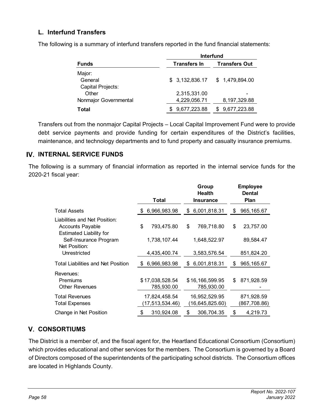#### **L. Interfund Transfers**

|                       | <b>Interfund</b>    |                      |  |  |  |
|-----------------------|---------------------|----------------------|--|--|--|
| <b>Funds</b>          | <b>Transfers In</b> | <b>Transfers Out</b> |  |  |  |
| Major:                |                     |                      |  |  |  |
| General               | \$3,132,836.17      | \$1,479,894.00       |  |  |  |
| Capital Projects:     |                     |                      |  |  |  |
| Other                 | 2,315,331.00        |                      |  |  |  |
| Nonmajor Governmental | 4,229,056.71        | 8, 197, 329.88       |  |  |  |
| Total                 | 9,677,223.88        | 9,677,223.88<br>S    |  |  |  |

The following is a summary of interfund transfers reported in the fund financial statements:

Transfers out from the nonmajor Capital Projects – Local Capital Improvement Fund were to provide debt service payments and provide funding for certain expenditures of the District's facilities, maintenance, and technology departments and to fund property and casualty insurance premiums.

#### **IV. INTERNAL SERVICE FUNDS**

The following is a summary of financial information as reported in the internal service funds for the 2020-21 fiscal year:

|                                                                                            | Total                              | Group<br>Health<br><b>Insurance</b> | <b>Employee</b><br><b>Dental</b><br>Plan |
|--------------------------------------------------------------------------------------------|------------------------------------|-------------------------------------|------------------------------------------|
| <b>Total Assets</b>                                                                        | 6,966,983.98                       | \$6,001,818.31                      | 965, 165.67<br>\$                        |
| Liabilities and Net Position:<br><b>Accounts Payable</b><br><b>Estimated Liability for</b> | \$<br>793,475.80                   | \$<br>769,718.80                    | \$<br>23,757.00                          |
| Self-Insurance Program<br>Net Position:                                                    | 1,738,107.44                       | 1,648,522.97                        | 89,584.47                                |
| Unrestricted                                                                               | 4,435,400.74                       | 3,583,576.54                        | 851,824.20                               |
| <b>Total Liabilities and Net Position</b>                                                  | 6,966,983.98<br>\$                 | \$6,001,818.31                      | 965, 165.67<br>\$                        |
| Revenues:<br><b>Premiums</b><br><b>Other Revenues</b>                                      | \$17,038,528.54<br>785,930.00      | \$16,166,599.95<br>785,930.00       | 871,928.59<br>\$                         |
| <b>Total Revenues</b><br>Total Expenses                                                    | 17,824,458.54<br>(17, 513, 534.46) | 16,952,529.95<br>(16,645,825.60)    | 871,928.59<br>(867,708.86)               |
| Change in Net Position                                                                     | 310,924.08<br>\$                   | 306,704.35<br>\$                    | \$<br>4,219.73                           |

### **CONSORTIUMS**

The District is a member of, and the fiscal agent for, the Heartland Educational Consortium (Consortium) which provides educational and other services for the members. The Consortium is governed by a Board of Directors composed of the superintendents of the participating school districts. The Consortium offices are located in Highlands County.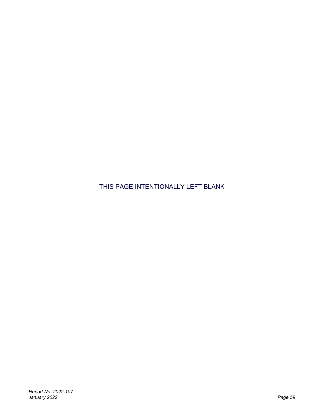THIS PAGE INTENTIONALLY LEFT BLANK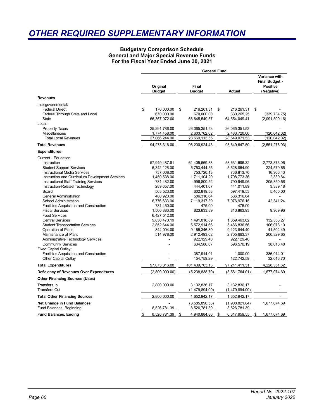# *OTHER REQUIRED SUPPLEMENTARY INFORMATION*

#### **Budgetary Comparison Schedule General and Major Special Revenue Funds For the Fiscal Year Ended June 30, 2021**

|                                                                                                                                                                                                                                                                                                                                                                                                                                                                                                                                                                                                                                                                                                                           | <b>General Fund</b>                                                                                                                                                                                                                           |                                                                                                                                                                                                                                                                                     |                                                                                                                                                                                                                                                                                      |                                                                                                                                                                                                                     |  |
|---------------------------------------------------------------------------------------------------------------------------------------------------------------------------------------------------------------------------------------------------------------------------------------------------------------------------------------------------------------------------------------------------------------------------------------------------------------------------------------------------------------------------------------------------------------------------------------------------------------------------------------------------------------------------------------------------------------------------|-----------------------------------------------------------------------------------------------------------------------------------------------------------------------------------------------------------------------------------------------|-------------------------------------------------------------------------------------------------------------------------------------------------------------------------------------------------------------------------------------------------------------------------------------|--------------------------------------------------------------------------------------------------------------------------------------------------------------------------------------------------------------------------------------------------------------------------------------|---------------------------------------------------------------------------------------------------------------------------------------------------------------------------------------------------------------------|--|
|                                                                                                                                                                                                                                                                                                                                                                                                                                                                                                                                                                                                                                                                                                                           | Original<br><b>Budget</b>                                                                                                                                                                                                                     | <b>Final</b><br><b>Budget</b>                                                                                                                                                                                                                                                       | Actual                                                                                                                                                                                                                                                                               | Variance with<br>Final Budget -<br><b>Positive</b><br>(Negative)                                                                                                                                                    |  |
| <b>Revenues</b>                                                                                                                                                                                                                                                                                                                                                                                                                                                                                                                                                                                                                                                                                                           |                                                                                                                                                                                                                                               |                                                                                                                                                                                                                                                                                     |                                                                                                                                                                                                                                                                                      |                                                                                                                                                                                                                     |  |
| Intergovernmental:<br><b>Federal Direct</b><br>Federal Through State and Local<br>State<br>Local:<br><b>Property Taxes</b><br>Miscellaneous                                                                                                                                                                                                                                                                                                                                                                                                                                                                                                                                                                               | \$<br>170,000.00<br>670,000.00<br>66,367,072.00<br>25,291,786.00<br>1,774,458.00                                                                                                                                                              | \$<br>216,261.31<br>670,000.00<br>66,645,549.57<br>26,065,351.53<br>2,603,762.02                                                                                                                                                                                                    | \$<br>216,261.31<br>330, 265. 25<br>64,554,049.41<br>26,065,351.53<br>2,483,720.00                                                                                                                                                                                                   | \$<br>(339, 734.75)<br>(2,091,500.16)<br>(120,042.02)                                                                                                                                                               |  |
| <b>Total Local Revenues</b>                                                                                                                                                                                                                                                                                                                                                                                                                                                                                                                                                                                                                                                                                               | 27,066,244.00                                                                                                                                                                                                                                 | 28,669,113.55                                                                                                                                                                                                                                                                       | 28,549,071.53                                                                                                                                                                                                                                                                        | (120,042.02)                                                                                                                                                                                                        |  |
| <b>Total Revenues</b>                                                                                                                                                                                                                                                                                                                                                                                                                                                                                                                                                                                                                                                                                                     | 94,273,316.00                                                                                                                                                                                                                                 | 96,200,924.43                                                                                                                                                                                                                                                                       | 93,649,647.50                                                                                                                                                                                                                                                                        | (2,551,276.93)                                                                                                                                                                                                      |  |
| <b>Expenditures</b>                                                                                                                                                                                                                                                                                                                                                                                                                                                                                                                                                                                                                                                                                                       |                                                                                                                                                                                                                                               |                                                                                                                                                                                                                                                                                     |                                                                                                                                                                                                                                                                                      |                                                                                                                                                                                                                     |  |
| Current - Education:<br>Instruction<br><b>Student Support Services</b><br><b>Instructional Media Services</b><br>Instruction and Curriculum Development Services<br><b>Instructional Staff Training Services</b><br>Instruction-Related Technology<br>Board<br><b>General Administration</b><br>School Administration<br>Facilities Acquisition and Construction<br><b>Fiscal Services</b><br><b>Food Services</b><br><b>Central Services</b><br><b>Student Transportation Services</b><br>Operation of Plant<br>Maintenance of Plant<br><b>Administrative Technology Services</b><br><b>Community Services</b><br>Fixed Capital Outlay:<br><b>Facilities Acquisition and Construction</b><br><b>Other Capital Outlay</b> | 57,949,487.81<br>5,342,126.00<br>737,008.00<br>1,450,538.00<br>781,482.00<br>289,657.00<br>563,523.00<br>480,920.00<br>6,776,633.00<br>731,450.00<br>1,500,883.00<br>6,427,512.00<br>9,830,470.19<br>2,852,644.00<br>844,004.00<br>514,978.00 | 61,405,569.38<br>5,753,444.55<br>753,720.13<br>1,711,104.20<br>996,800.52<br>444,401.07<br>602,819.53<br>586,316.64<br>7,119,317.39<br>475.00<br>823,833.89<br>1,491,816.89<br>5,572,914.66<br>9,165,346.89<br>2,912,493.02<br>922,129.40<br>634,586.67<br>387.914.01<br>154,759.29 | 58,631,696.32<br>5,528,864.90<br>736,813.70<br>1,708,773.36<br>790,949.96<br>441,011.89<br>597,419.53<br>586,316.64<br>7,076,976.15<br>475.00<br>813,863.93<br>1,359,463.62<br>5,466,836.56<br>9, 123, 844.40<br>2,705,663.37<br>922, 129.40<br>596,570.19<br>1.000.00<br>122,742.59 | 2,773,873.06<br>224,579.65<br>16,906.43<br>2,330.84<br>205,850.56<br>3,389.18<br>5,400.00<br>42,341.24<br>9,969.96<br>132, 353. 27<br>106,078.10<br>41,502.49<br>206,829.65<br>38,016.48<br>386.914.01<br>32,016.70 |  |
| <b>Total Expenditures</b>                                                                                                                                                                                                                                                                                                                                                                                                                                                                                                                                                                                                                                                                                                 | 97,073,316.00                                                                                                                                                                                                                                 | 101,439,763.13                                                                                                                                                                                                                                                                      | 97, 211, 411.51                                                                                                                                                                                                                                                                      | 4,228,351.62                                                                                                                                                                                                        |  |
| Deficiency of Revenues Over Expenditures                                                                                                                                                                                                                                                                                                                                                                                                                                                                                                                                                                                                                                                                                  | (2,800,000.00)                                                                                                                                                                                                                                | (5,238,838.70)                                                                                                                                                                                                                                                                      | (3, 561, 764.01)                                                                                                                                                                                                                                                                     | 1,677,074.69                                                                                                                                                                                                        |  |
| <b>Other Financing Sources (Uses)</b>                                                                                                                                                                                                                                                                                                                                                                                                                                                                                                                                                                                                                                                                                     |                                                                                                                                                                                                                                               |                                                                                                                                                                                                                                                                                     |                                                                                                                                                                                                                                                                                      |                                                                                                                                                                                                                     |  |
| Transfers In<br><b>Transfers Out</b>                                                                                                                                                                                                                                                                                                                                                                                                                                                                                                                                                                                                                                                                                      | 2,800,000.00                                                                                                                                                                                                                                  | 3,132,836.17<br>(1,479,894.00)                                                                                                                                                                                                                                                      | 3, 132, 836.17<br>(1,479,894.00)                                                                                                                                                                                                                                                     |                                                                                                                                                                                                                     |  |
| <b>Total Other Financing Sources</b>                                                                                                                                                                                                                                                                                                                                                                                                                                                                                                                                                                                                                                                                                      | 2,800,000.00                                                                                                                                                                                                                                  | 1,652,942.17                                                                                                                                                                                                                                                                        | 1,652,942.17                                                                                                                                                                                                                                                                         |                                                                                                                                                                                                                     |  |
| <b>Net Change in Fund Balances</b><br>Fund Balances, Beginning                                                                                                                                                                                                                                                                                                                                                                                                                                                                                                                                                                                                                                                            | 8,526,781.39                                                                                                                                                                                                                                  | (3,585,896.53)<br>8,526,781.39                                                                                                                                                                                                                                                      | (1,908,821.84)<br>8,526,781.39                                                                                                                                                                                                                                                       | 1,677,074.69                                                                                                                                                                                                        |  |
| <b>Fund Balances, Ending</b>                                                                                                                                                                                                                                                                                                                                                                                                                                                                                                                                                                                                                                                                                              | \$<br>8,526,781.39                                                                                                                                                                                                                            | \$<br>4,940,884.86                                                                                                                                                                                                                                                                  | \$<br>6,617,959.55                                                                                                                                                                                                                                                                   | \$<br>1,677,074.69                                                                                                                                                                                                  |  |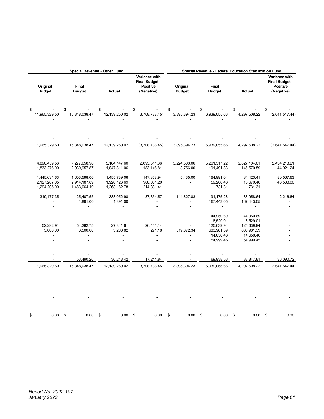|                           |                        | Special Revenue - Other Fund      |                                                                  | Special Revenue - Federal Education Stabilization Fund |                             |                             |                                                                  |
|---------------------------|------------------------|-----------------------------------|------------------------------------------------------------------|--------------------------------------------------------|-----------------------------|-----------------------------|------------------------------------------------------------------|
| Original<br><b>Budget</b> | Final<br><b>Budget</b> | Actual                            | Variance with<br>Final Budget -<br><b>Positive</b><br>(Negative) | Original<br><b>Budget</b>                              | Final<br><b>Budget</b>      | <b>Actual</b>               | Variance with<br>Final Budget -<br><b>Positive</b><br>(Negative) |
|                           |                        |                                   |                                                                  |                                                        |                             |                             |                                                                  |
|                           |                        |                                   |                                                                  |                                                        |                             |                             |                                                                  |
| \$<br>11,965,329.50       | \$<br>15,848,038.47    | \$<br>12, 139, 250.02             | \$<br>(3,708,788.45)                                             | \$<br>3,895,394.23                                     | \$<br>6,939,055.66          | \$<br>4,297,508.22          | \$<br>(2,641,547.44)                                             |
|                           |                        |                                   |                                                                  |                                                        |                             |                             |                                                                  |
|                           |                        |                                   |                                                                  |                                                        |                             |                             |                                                                  |
|                           |                        |                                   |                                                                  |                                                        |                             |                             |                                                                  |
|                           |                        |                                   |                                                                  |                                                        |                             |                             |                                                                  |
| 11,965,329.50             | 15,848,038.47          | 12,139,250.02                     | (3,708,788.45)                                                   | 3,895,394.23                                           | 6,939,055.66                | 4,297,508.22                | (2,641,547.44)                                                   |
|                           |                        |                                   |                                                                  |                                                        |                             |                             |                                                                  |
|                           |                        |                                   |                                                                  |                                                        |                             |                             |                                                                  |
| 4,890,459.56              | 7,277,658.96           | 5, 184, 147.60                    | 2,093,511.36                                                     | 3,224,503.06                                           | 5,261,317.22                | 2,827,104.01                | 2,434,213.21                                                     |
| 1,833,276.00              | 2,030,957.87           | 1,847,811.06                      | 183, 146.81                                                      | 3,756.00<br>$\mathbf{r}$                               | 191,491.83                  | 146,570.59<br>$\sim$        | 44,921.24                                                        |
| 1,445,631.63              | 1,603,598.00           | 1,455,739.06                      | 147,858.94                                                       | 5,435.00                                               | 164,991.04                  | 84,423.41                   | 80,567.63                                                        |
| 2, 127, 287.05            | 2,914,187.89           | 1,926,126.69                      | 988,061.20                                                       | ٠                                                      | 59,208.46                   | 15,670.46                   | 43,538.00                                                        |
| 1,294,205.00              | 1,483,064.19           | 1,268,182.78                      | 214,881.41                                                       |                                                        | 731.31                      | 731.31                      |                                                                  |
| 319, 177.35               | 425,407.55             | 388,052.98                        | 37,354.57                                                        | 141,827.83                                             | $\blacksquare$<br>91,175.28 | $\blacksquare$<br>88,958.64 | 2,216.64                                                         |
|                           | 1,891.00               | 1,891.00                          |                                                                  |                                                        | 167,443.05                  | 167,443.05                  |                                                                  |
|                           |                        |                                   |                                                                  |                                                        |                             |                             |                                                                  |
|                           |                        |                                   |                                                                  |                                                        |                             |                             |                                                                  |
|                           |                        |                                   |                                                                  |                                                        | 44,950.69                   | 44,950.69                   |                                                                  |
|                           |                        |                                   |                                                                  |                                                        | 8,529.01                    | 8,529.01                    |                                                                  |
| 52,292.91                 | 54,282.75              | 27,841.61                         | 26,441.14                                                        |                                                        | 125,639.94                  | 125,639.94                  |                                                                  |
| 3,000.00                  | 3,500.00               | 3,208.82                          | 291.18                                                           | 519,872.34                                             | 683,981.39                  | 683,981.39                  |                                                                  |
|                           |                        |                                   |                                                                  |                                                        | 14,658.46                   | 14,658.46                   |                                                                  |
|                           |                        |                                   |                                                                  |                                                        | 54,999.45                   | 54,999.45                   |                                                                  |
|                           |                        |                                   |                                                                  |                                                        |                             |                             |                                                                  |
|                           |                        |                                   |                                                                  |                                                        |                             |                             |                                                                  |
|                           | 53,490.26              | 36,248.42                         | 17,241.84                                                        |                                                        | 69,938.53                   | 33,847.81                   | 36,090.72                                                        |
| 11,965,329.50             | 15,848,038.47          | 12,139,250.02                     | 3,708,788.45                                                     | 3,895,394.23                                           | 6,939,055.66                | 4,297,508.22                | 2,641,547.44                                                     |
|                           |                        |                                   |                                                                  |                                                        |                             |                             |                                                                  |
|                           |                        |                                   |                                                                  |                                                        |                             |                             |                                                                  |
|                           |                        |                                   |                                                                  |                                                        |                             |                             |                                                                  |
|                           |                        |                                   |                                                                  |                                                        |                             |                             |                                                                  |
|                           |                        |                                   |                                                                  |                                                        |                             |                             |                                                                  |
|                           |                        |                                   |                                                                  |                                                        |                             |                             |                                                                  |
| 0.00<br>\$                | \$<br>0.00             | $\boldsymbol{\mathsf{S}}$<br>0.00 | $\frac{1}{2}$<br>0.00                                            | $\frac{1}{2}$<br>0.00                                  | $\frac{1}{2}$<br>0.00       | $\frac{1}{2}$<br>0.00       | \$<br>0.00                                                       |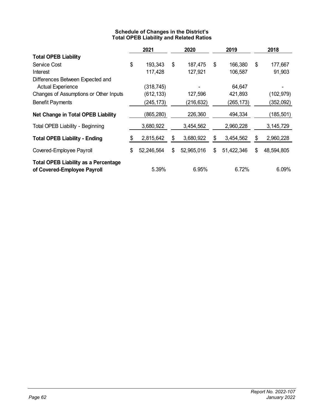#### **Schedule of Changes in the District's Total OPEB Liability and Related Ratios**

|                                                                            | 2021 |            | 2020 |            | 2019 |            | 2018 |             |
|----------------------------------------------------------------------------|------|------------|------|------------|------|------------|------|-------------|
| <b>Total OPEB Liability</b>                                                |      |            |      |            |      |            |      |             |
| Service Cost                                                               | \$   | 193,343    | \$   | 187,475    | \$   | 166,380    | \$   | 177,667     |
| Interest                                                                   |      | 117,428    |      | 127,921    |      | 106,587    |      | 91,903      |
| Differences Between Expected and                                           |      |            |      |            |      |            |      |             |
| <b>Actual Experience</b>                                                   |      | (318, 745) |      |            |      | 64,647     |      |             |
| Changes of Assumptions or Other Inputs                                     |      | (612, 133) |      | 127,596    |      | 421,893    |      | (102, 979)  |
| <b>Benefit Payments</b>                                                    |      | (245, 173) |      | (216,632)  |      | (265, 173) |      | (352,092)   |
| Net Change in Total OPEB Liability                                         |      | (865, 280) |      | 226,360    |      | 494,334    |      | (185, 501)  |
| Total OPEB Liability - Beginning                                           |      | 3,680,922  |      | 3,454,562  |      | 2,960,228  |      | 3, 145, 729 |
| <b>Total OPEB Liability - Ending</b>                                       | S    | 2,815,642  | \$   | 3,680,922  | \$   | 3,454,562  | \$   | 2,960,228   |
| Covered-Employee Payroll                                                   | \$   | 52,246,564 | \$   | 52,965,016 | \$   | 51,422,346 | \$   | 48,594,805  |
| <b>Total OPEB Liability as a Percentage</b><br>of Covered-Employee Payroll |      | 5.39%      |      | 6.95%      |      | 6.72%      |      | 6.09%       |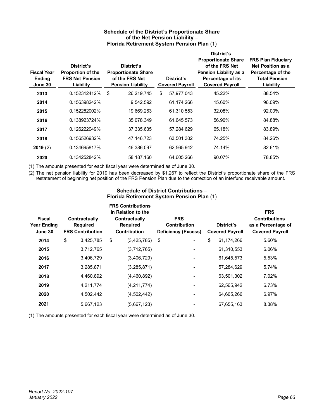#### **Schedule of the District's Proportionate Share of the Net Pension Liability – Florida Retirement System Pension Plan** (1)

| <b>Fiscal Year</b><br><b>Ending</b><br>June 30 | District's<br><b>Proportion of the</b><br><b>FRS Net Pension</b><br>Liability | District's<br><b>Proportionate Share</b><br>of the FRS Net<br><b>Pension Liability</b> | District's<br><b>Covered Payroll</b> | District's<br><b>Proportionate Share</b><br>of the FRS Net<br>Pension Liability as a<br>Percentage of its<br><b>Covered Payroll</b> | <b>FRS Plan Fiduciary</b><br>Net Position as a<br>Percentage of the<br><b>Total Pension</b><br>Liability |
|------------------------------------------------|-------------------------------------------------------------------------------|----------------------------------------------------------------------------------------|--------------------------------------|-------------------------------------------------------------------------------------------------------------------------------------|----------------------------------------------------------------------------------------------------------|
| 2013                                           | 0.152312412%                                                                  | \$<br>26,219,745                                                                       | \$<br>57,977,043                     | 45.22%                                                                                                                              | 88.54%                                                                                                   |
| 2014                                           | 0.156398242%                                                                  | 9,542,592                                                                              | 61,174,266                           | 15.60%                                                                                                                              | 96.09%                                                                                                   |
| 2015                                           | 0.152282002%                                                                  | 19,669,263                                                                             | 61,310,553                           | 32.08%                                                                                                                              | 92.00%                                                                                                   |
| 2016                                           | 0.138923724%                                                                  | 35,078,349                                                                             | 61,645,573                           | 56.90%                                                                                                                              | 84.88%                                                                                                   |
| 2017                                           | 0.126222049%                                                                  | 37,335,635                                                                             | 57,284,629                           | 65.18%                                                                                                                              | 83.89%                                                                                                   |
| 2018                                           | 0.156526932%                                                                  | 47, 146, 723                                                                           | 63,501,302                           | 74.25%                                                                                                                              | 84.26%                                                                                                   |
| 2019(2)                                        | 0.134695817%                                                                  | 46,386,097                                                                             | 62,565,942                           | 74.14%                                                                                                                              | 82.61%                                                                                                   |
| 2020                                           | 0.134252842%                                                                  | 58.187.160                                                                             | 64.605.266                           | 90.07%                                                                                                                              | 78.85%                                                                                                   |

(1) The amounts presented for each fiscal year were determined as of June 30.

(2) The net pension liability for 2019 has been decreased by \$1,267 to reflect the District's proportionate share of the FRS restatement of beginning net position of the FRS Pension Plan due to the correction of an interfund receivable amount.

#### **Schedule of District Contributions – Florida Retirement System Pension Plan** (1)

| <b>Fiscal</b><br><b>Year Ending</b><br>June 30 | Contractually<br><b>Required</b><br><b>FRS Contribution</b> | <b>FRS Contributions</b><br>in Relation to the<br>Contractually<br><b>Required</b><br><b>Contribution</b> |               | <b>FRS</b><br><b>Contribution</b><br><b>Deficiency (Excess)</b> | District's<br><b>Covered Payroll</b> | <b>FRS</b><br><b>Contributions</b><br>as a Percentage of<br><b>Covered Payroll</b> |  |
|------------------------------------------------|-------------------------------------------------------------|-----------------------------------------------------------------------------------------------------------|---------------|-----------------------------------------------------------------|--------------------------------------|------------------------------------------------------------------------------------|--|
| 2014                                           | \$<br>3,425,785                                             | \$                                                                                                        | (3,425,785)   | \$                                                              | \$<br>61,174,266                     | 5.60%                                                                              |  |
| 2015                                           | 3,712,765                                                   |                                                                                                           | (3,712,765)   |                                                                 | 61,310,553                           | 6.06%                                                                              |  |
| 2016                                           | 3,406,729                                                   |                                                                                                           | (3,406,729)   |                                                                 | 61,645,573                           | 5.53%                                                                              |  |
| 2017                                           | 3,285,871                                                   |                                                                                                           | (3, 285, 871) |                                                                 | 57,284,629                           | 5.74%                                                                              |  |
| 2018                                           | 4,460,892                                                   |                                                                                                           | (4,460,892)   |                                                                 | 63,501,302                           | 7.02%                                                                              |  |
| 2019                                           | 4,211,774                                                   |                                                                                                           | (4,211,774)   |                                                                 | 62,565,942                           | 6.73%                                                                              |  |
| 2020                                           | 4,502,442                                                   |                                                                                                           | (4,502,442)   |                                                                 | 64,605,266                           | 6.97%                                                                              |  |
| 2021                                           | 5,667,123                                                   |                                                                                                           | (5,667,123)   |                                                                 | 67,655,163                           | 8.38%                                                                              |  |
|                                                |                                                             |                                                                                                           |               |                                                                 |                                      |                                                                                    |  |

(1) The amounts presented for each fiscal year were determined as of June 30.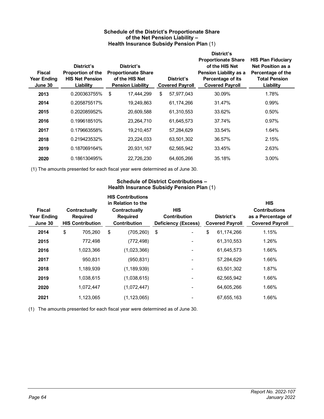#### **Schedule of the District's Proportionate Share of the Net Pension Liability – Health Insurance Subsidy Pension Plan** (1)

| <b>Fiscal</b>                 | District's<br><b>Proportion of the</b> | District's<br><b>Proportionate Share</b>   |                                      | District's<br><b>Proportionate Share</b><br>of the HIS Net<br>Pension Liability as a | <b>HIS Plan Fiduciary</b><br><b>Net Position as a</b><br>Percentage of the |
|-------------------------------|----------------------------------------|--------------------------------------------|--------------------------------------|--------------------------------------------------------------------------------------|----------------------------------------------------------------------------|
| <b>Year Ending</b><br>June 30 | <b>HIS Net Pension</b><br>Liability    | of the HIS Net<br><b>Pension Liability</b> | District's<br><b>Covered Payroll</b> | Percentage of its<br><b>Covered Payroll</b>                                          | <b>Total Pension</b><br>Liability                                          |
| 2013                          | 0.200363755%                           | \$<br>17,444,299                           | \$<br>57,977,043                     | 30.09%                                                                               | 1.78%                                                                      |
| 2014                          | 0.205875517%                           | 19,249,863                                 | 61,174,266                           | 31.47%                                                                               | 0.99%                                                                      |
| 2015                          | 0.202085952%                           | 20,609,588                                 | 61,310,553                           | 33.62%                                                                               | 0.50%                                                                      |
| 2016                          | 0.199618510%                           | 23,264,710                                 | 61,645,573                           | 37.74%                                                                               | 0.97%                                                                      |
| 2017                          | 0.179663558%                           | 19,210,457                                 | 57,284,629                           | 33.54%                                                                               | 1.64%                                                                      |
| 2018                          | 0.219423532%                           | 23,224,033                                 | 63,501,302                           | 36.57%                                                                               | 2.15%                                                                      |
| 2019                          | 0.187069164%                           | 20,931,167                                 | 62,565,942                           | 33.45%                                                                               | 2.63%                                                                      |
| 2020                          | 0.186130495%                           | 22.726.230                                 | 64.605.266                           | 35.18%                                                                               | 3.00%                                                                      |

(1) The amounts presented for each fiscal year were determined as of June 30.

#### **Schedule of District Contributions – Health Insurance Subsidy Pension Plan** (1)

| <b>Fiscal</b><br><b>Contractually</b><br><b>Year Ending</b><br><b>Required</b><br><b>HIS Contribution</b><br>June 30 |    |           | <b>HIS Contributions</b><br>in Relation to the<br>Contractually<br><b>Required</b><br><b>Contribution</b> |               | <b>HIS</b><br><b>Contribution</b><br><b>Deficiency (Excess)</b> |  |    | District's<br><b>Covered Payroll</b> | <b>HIS</b><br><b>Contributions</b><br>as a Percentage of<br><b>Covered Payroll</b> |  |
|----------------------------------------------------------------------------------------------------------------------|----|-----------|-----------------------------------------------------------------------------------------------------------|---------------|-----------------------------------------------------------------|--|----|--------------------------------------|------------------------------------------------------------------------------------|--|
| 2014                                                                                                                 | \$ | 705,260   | \$                                                                                                        | (705, 260)    | \$                                                              |  | \$ | 61,174,266                           | 1.15%                                                                              |  |
| 2015                                                                                                                 |    | 772,498   |                                                                                                           | (772, 498)    |                                                                 |  |    | 61,310,553                           | 1.26%                                                                              |  |
| 2016                                                                                                                 |    | 1,023,366 |                                                                                                           | (1,023,366)   |                                                                 |  |    | 61,645,573                           | 1.66%                                                                              |  |
| 2017                                                                                                                 |    | 950,831   |                                                                                                           | (950, 831)    |                                                                 |  |    | 57,284,629                           | 1.66%                                                                              |  |
| 2018                                                                                                                 |    | 1,189,939 |                                                                                                           | (1, 189, 939) |                                                                 |  |    | 63,501,302                           | 1.87%                                                                              |  |
| 2019                                                                                                                 |    | 1,038,615 |                                                                                                           | (1,038,615)   |                                                                 |  |    | 62,565,942                           | 1.66%                                                                              |  |
| 2020                                                                                                                 |    | 1,072,447 |                                                                                                           | (1,072,447)   |                                                                 |  |    | 64,605,266                           | 1.66%                                                                              |  |
| 2021                                                                                                                 |    | 1,123,065 |                                                                                                           | (1, 123, 065) |                                                                 |  |    | 67,655,163                           | 1.66%                                                                              |  |

(1) The amounts presented for each fiscal year were determined as of June 30.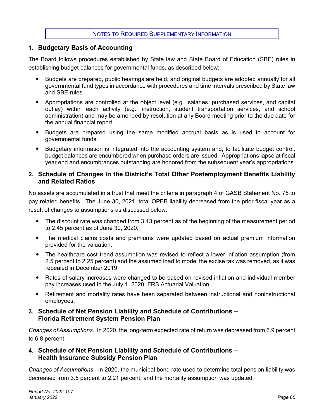#### NOTES TO REQUIRED SUPPLEMENTARY INFORMATION

#### **1. Budgetary Basis of Accounting**

The Board follows procedures established by State law and State Board of Education (SBE) rules in establishing budget balances for governmental funds, as described below:

- Budgets are prepared, public hearings are held, and original budgets are adopted annually for all governmental fund types in accordance with procedures and time intervals prescribed by State law and SBE rules.
- Appropriations are controlled at the object level (e.g., salaries, purchased services, and capital outlay) within each activity (e.g., instruction, student transportation services, and school administration) and may be amended by resolution at any Board meeting prior to the due date for the annual financial report.
- Budgets are prepared using the same modified accrual basis as is used to account for governmental funds.
- Budgetary information is integrated into the accounting system and, to facilitate budget control, budget balances are encumbered when purchase orders are issued. Appropriations lapse at fiscal year end and encumbrances outstanding are honored from the subsequent year's appropriations.

#### **2. Schedule of Changes in the District's Total Other Postemployment Benefits Liability and Related Ratios**

No assets are accumulated in a trust that meet the criteria in paragraph 4 of GASB Statement No. 75 to pay related benefits. The June 30, 2021, total OPEB liability decreased from the prior fiscal year as a result of changes to assumptions as discussed below:

- The discount rate was changed from 3.13 percent as of the beginning of the measurement period to 2.45 percent as of June 30, 2020.
- The medical claims costs and premiums were updated based on actual premium information provided for the valuation.
- The healthcare cost trend assumption was revised to reflect a lower inflation assumption (from 2.5 percent to 2.25 percent) and the assumed load to model the excise tax was removed, as it was repealed in December 2019.
- Rates of salary increases were changed to be based on revised inflation and individual member pay increases used in the July 1, 2020, FRS Actuarial Valuation.
- Retirement and mortality rates have been separated between instructional and noninstructional employees.

#### **3. Schedule of Net Pension Liability and Schedule of Contributions – Florida Retirement System Pension Plan**

*Changes of Assumptions.* In 2020, the long-term expected rate of return was decreased from 6.9 percent to 6.8 percent.

#### **4. Schedule of Net Pension Liability and Schedule of Contributions – Health Insurance Subsidy Pension Plan**

*Changes of Assumptions.* In 2020, the municipal bond rate used to determine total pension liability was decreased from 3.5 percent to 2.21 percent, and the mortality assumption was updated.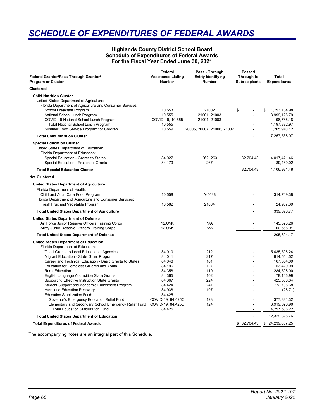# *SCHEDULE OF EXPENDITURES OF FEDERAL AWARDS*

#### **Highlands County District School Board Schedule of Expenditures of Federal Awards For the Fiscal Year Ended June 30, 2021**

| Federal Grantor/Pass-Through Grantor/<br><b>Program or Cluster</b>                                                                                                                                                                                                                                                                      | Federal<br><b>Assistance Listing</b><br><b>Number</b>    | Pass - Through<br><b>Entity Identifying</b><br><b>Number</b>        | Passed<br>Through to<br><b>Subrecipients</b> | <b>Total</b><br><b>Expenditures</b>                                              |
|-----------------------------------------------------------------------------------------------------------------------------------------------------------------------------------------------------------------------------------------------------------------------------------------------------------------------------------------|----------------------------------------------------------|---------------------------------------------------------------------|----------------------------------------------|----------------------------------------------------------------------------------|
| <b>Clustered</b>                                                                                                                                                                                                                                                                                                                        |                                                          |                                                                     |                                              |                                                                                  |
| <b>Child Nutrition Cluster</b><br>United States Department of Agriculture:<br>Florida Department of Agriculture and Consumer Services:<br>School Breakfast Program<br>National School Lunch Program<br>COVID-19 National School Lunch Program<br><b>Total National School Lunch Program</b><br>Summer Food Service Program for Children | 10.553<br>10.555<br>COVID-19, 10.555<br>10.555<br>10.559 | 21002<br>21001, 21003<br>21001, 21003<br>20006, 20007, 21006, 21007 | \$<br>$\blacksquare$<br>$\overline{a}$       | 1,793,704.98<br>\$<br>3,999,126.79<br>198,766.18<br>4,197,892.97<br>1,265,940.12 |
| <b>Total Child Nutrition Cluster</b>                                                                                                                                                                                                                                                                                                    |                                                          |                                                                     |                                              | 7,257,538.07                                                                     |
| <b>Special Education Cluster</b><br>United States Department of Education:<br>Florida Department of Education:<br>Special Education - Grants to States<br>Special Education - Preschool Grants                                                                                                                                          | 84.027<br>84.173                                         | 262.263<br>267                                                      | 82,704.43<br>$\blacksquare$                  | 4,017,471.46<br>89,460.02                                                        |
| <b>Total Special Education Cluster</b>                                                                                                                                                                                                                                                                                                  |                                                          |                                                                     | 82,704.43                                    | 4,106,931.48                                                                     |
| <b>Not Clustered</b>                                                                                                                                                                                                                                                                                                                    |                                                          |                                                                     |                                              |                                                                                  |
| <b>United States Department of Agriculture</b><br>Florida Department of Health:                                                                                                                                                                                                                                                         |                                                          |                                                                     |                                              |                                                                                  |
| Child and Adult Care Food Program<br>Florida Department of Agriculture and Consumer Services:                                                                                                                                                                                                                                           | 10.558                                                   | A-5438                                                              |                                              | 314,709.38                                                                       |
| Fresh Fruit and Vegetable Program                                                                                                                                                                                                                                                                                                       | 10.582                                                   | 21004                                                               |                                              | 24,987.39                                                                        |
| <b>Total United States Department of Agriculture</b>                                                                                                                                                                                                                                                                                    |                                                          |                                                                     | $\blacksquare$                               | 339,696.77                                                                       |
| <b>United States Department of Defense</b><br>Air Force Junior Reserve Officers Training Corps<br>Army Junior Reserve Officers Training Corps                                                                                                                                                                                           | 12.UNK<br><b>12.UNK</b>                                  | <b>N/A</b><br><b>N/A</b>                                            |                                              | 145,328.26<br>60,565.91                                                          |
| <b>Total United States Department of Defense</b>                                                                                                                                                                                                                                                                                        |                                                          |                                                                     | L.                                           | 205,894.17                                                                       |
| <b>United States Department of Education</b><br>Florida Department of Education:                                                                                                                                                                                                                                                        |                                                          |                                                                     |                                              |                                                                                  |
| Title I Grants to Local Educational Agencies<br>Migrant Education - State Grant Program<br>Career and Technical Education - Basic Grants to States                                                                                                                                                                                      | 84.010<br>84.011<br>84.048                               | 212<br>217<br>161                                                   | ÷.                                           | 5,435,506.24<br>814,554.52<br>167,834.09                                         |
| Education for Homeless Children and Youth<br><b>Rural Education</b>                                                                                                                                                                                                                                                                     | 84.196<br>84.358                                         | 127<br>110                                                          | $\overline{a}$                               | 53,420.09<br>284,598.00                                                          |
| English Language Acquisition State Grants<br>Supporting Effective Instruction State Grants                                                                                                                                                                                                                                              | 84.365<br>84.367                                         | 102<br>224                                                          |                                              | 78,166.99<br>425,560.64                                                          |
| Student Support and Academic Enrichment Program<br>Hurricane Education Recovery<br><b>Education Stabilization Fund:</b>                                                                                                                                                                                                                 | 84.424<br>84.938<br>84.425                               | 241<br>107                                                          |                                              | 772,706.68<br>(28.71)                                                            |
| Governor's Emergency Education Relief Fund<br>Elementary and Secondary School Emergency Relief Fund<br><b>Total Education Stabilization Fund</b>                                                                                                                                                                                        | COVID-19, 84.425C<br>COVID-19, 84.425D<br>84.425         | 123<br>124                                                          | $\blacksquare$                               | 377,881.32<br>3,919,626.90<br>4,297,508.22                                       |
| <b>Total United States Department of Education</b>                                                                                                                                                                                                                                                                                      |                                                          |                                                                     | $\blacksquare$                               | 12,329,826.76                                                                    |
| <b>Total Expenditures of Federal Awards</b>                                                                                                                                                                                                                                                                                             |                                                          |                                                                     |                                              | \$ 82,704.43 \$ 24,239,887.25                                                    |

The accompanying notes are an integral part of this Schedule.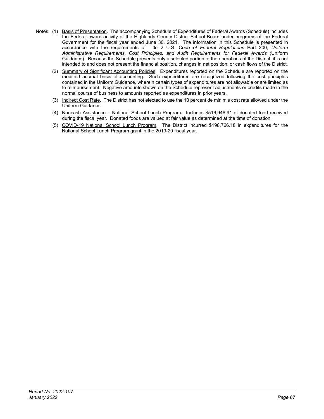- Notes: (1) Basis of Presentation. The accompanying Schedule of Expenditures of Federal Awards (Schedule) includes the Federal award activity of the Highlands County District School Board under programs of the Federal Government for the fiscal year ended June 30, 2021. The information in this Schedule is presented in accordance with the requirements of Title 2 U.S. *Code of Federal Regulations* Part 200, *Uniform Administrative Requirements, Cost Principles, and Audit Requirements for Federal Awards* (Uniform Guidance). Because the Schedule presents only a selected portion of the operations of the District, it is not intended to and does not present the financial position, changes in net position, or cash flows of the District.
	- (2) Summary of Significant Accounting Policies. Expenditures reported on the Schedule are reported on the modified accrual basis of accounting. Such expenditures are recognized following the cost principles contained in the Uniform Guidance, wherein certain types of expenditures are not allowable or are limited as to reimbursement. Negative amounts shown on the Schedule represent adjustments or credits made in the normal course of business to amounts reported as expenditures in prior years.
	- (3) Indirect Cost Rate. The District has not elected to use the 10 percent de minimis cost rate allowed under the Uniform Guidance.
	- (4) Noncash Assistance National School Lunch Program. Includes \$516,948.91 of donated food received during the fiscal year. Donated foods are valued at fair value as determined at the time of donation.
	- (5) COVID-19 National School Lunch Program. The District incurred \$198,766.18 in expenditures for the National School Lunch Program grant in the 2019-20 fiscal year.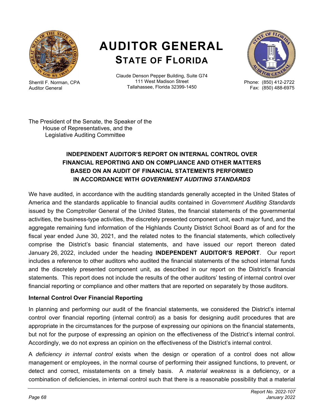

Sherrill F. Norman, CPA Auditor General

# **AUDITOR GENERAL STATE OF FLORIDA**

Claude Denson Pepper Building, Suite G74 111 West Madison Street Tallahassee, Florida 32399-1450



Phone: (850) 412-2722 Fax: (850) 488-6975

The President of the Senate, the Speaker of the House of Representatives, and the Legislative Auditing Committee

### **INDEPENDENT AUDITOR'S REPORT ON INTERNAL CONTROL OVER FINANCIAL REPORTING AND ON COMPLIANCE AND OTHER MATTERS BASED ON AN AUDIT OF FINANCIAL STATEMENTS PERFORMED IN ACCORDANCE WITH** *GOVERNMENT AUDITING STANDARDS*

We have audited, in accordance with the auditing standards generally accepted in the United States of America and the standards applicable to financial audits contained in *Government Auditing Standards* issued by the Comptroller General of the United States, the financial statements of the governmental activities, the business-type activities, the discretely presented component unit, each major fund, and the aggregate remaining fund information of the Highlands County District School Board as of and for the fiscal year ended June 30, 2021, and the related notes to the financial statements, which collectively comprise the District's basic financial statements, and have issued our report thereon dated January 26, 2022, included under the heading **INDEPENDENT AUDITOR'S REPORT**. Our report includes a reference to other auditors who audited the financial statements of the school internal funds and the discretely presented component unit, as described in our report on the District's financial statements. This report does not include the results of the other auditors' testing of internal control over financial reporting or compliance and other matters that are reported on separately by those auditors.

#### **Internal Control Over Financial Reporting**

In planning and performing our audit of the financial statements, we considered the District's internal control over financial reporting (internal control) as a basis for designing audit procedures that are appropriate in the circumstances for the purpose of expressing our opinions on the financial statements, but not for the purpose of expressing an opinion on the effectiveness of the District's internal control. Accordingly, we do not express an opinion on the effectiveness of the District's internal control.

A *deficiency in internal control* exists when the design or operation of a control does not allow management or employees, in the normal course of performing their assigned functions, to prevent, or detect and correct, misstatements on a timely basis. A *material weakness* is a deficiency, or a combination of deficiencies, in internal control such that there is a reasonable possibility that a material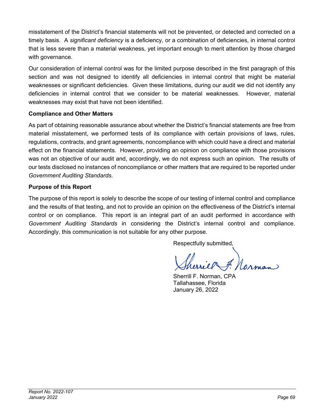misstatement of the District's financial statements will not be prevented, or detected and corrected on a timely basis. A *significant deficiency* is a deficiency, or a combination of deficiencies, in internal control that is less severe than a material weakness, yet important enough to merit attention by those charged with governance.

Our consideration of internal control was for the limited purpose described in the first paragraph of this section and was not designed to identify all deficiencies in internal control that might be material weaknesses or significant deficiencies. Given these limitations, during our audit we did not identify any deficiencies in internal control that we consider to be material weaknesses. However, material weaknesses may exist that have not been identified.

#### **Compliance and Other Matters**

As part of obtaining reasonable assurance about whether the District's financial statements are free from material misstatement, we performed tests of its compliance with certain provisions of laws, rules, regulations, contracts, and grant agreements, noncompliance with which could have a direct and material effect on the financial statements. However, providing an opinion on compliance with those provisions was not an objective of our audit and, accordingly, we do not express such an opinion. The results of our tests disclosed no instances of noncompliance or other matters that are required to be reported under *Government Auditing Standards*.

#### **Purpose of this Report**

The purpose of this report is solely to describe the scope of our testing of internal control and compliance and the results of that testing, and not to provide an opinion on the effectiveness of the District's internal control or on compliance. This report is an integral part of an audit performed in accordance with *Government Auditing Standards* in considering the District's internal control and compliance. Accordingly, this communication is not suitable for any other purpose.

Respectfully submitted,

Sherrill F. Norman, CPA Tallahassee, Florida January 26, 2022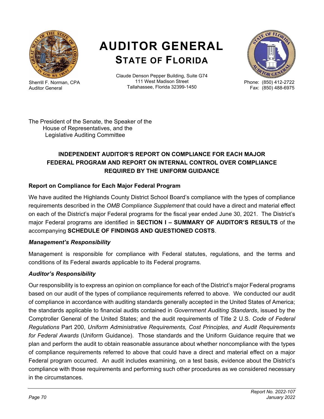

Sherrill F. Norman, CPA Auditor General

# **AUDITOR GENERAL STATE OF FLORIDA**

Claude Denson Pepper Building, Suite G74 111 West Madison Street Tallahassee, Florida 32399-1450



Phone: (850) 412-2722 Fax: (850) 488-6975

The President of the Senate, the Speaker of the House of Representatives, and the Legislative Auditing Committee

### **INDEPENDENT AUDITOR'S REPORT ON COMPLIANCE FOR EACH MAJOR FEDERAL PROGRAM AND REPORT ON INTERNAL CONTROL OVER COMPLIANCE REQUIRED BY THE UNIFORM GUIDANCE**

#### **Report on Compliance for Each Major Federal Program**

We have audited the Highlands County District School Board's compliance with the types of compliance requirements described in the *OMB Compliance Supplement* that could have a direct and material effect on each of the District's major Federal programs for the fiscal year ended June 30, 2021. The District's major Federal programs are identified in **SECTION I – SUMMARY OF AUDITOR'S RESULTS** of the accompanying **SCHEDULE OF FINDINGS AND QUESTIONED COSTS**.

#### *Management's Responsibility*

Management is responsible for compliance with Federal statutes, regulations, and the terms and conditions of its Federal awards applicable to its Federal programs.

#### *Auditor's Responsibility*

Our responsibility is to express an opinion on compliance for each of the District's major Federal programs based on our audit of the types of compliance requirements referred to above. We conducted our audit of compliance in accordance with auditing standards generally accepted in the United States of America; the standards applicable to financial audits contained in *Government Auditing Standards*, issued by the Comptroller General of the United States; and the audit requirements of Title 2 U.S. *Code of Federal Regulations* Part 200, *Uniform Administrative Requirements, Cost Principles, and Audit Requirements for Federal Awards* (Uniform Guidance). Those standards and the Uniform Guidance require that we plan and perform the audit to obtain reasonable assurance about whether noncompliance with the types of compliance requirements referred to above that could have a direct and material effect on a major Federal program occurred. An audit includes examining, on a test basis, evidence about the District's compliance with those requirements and performing such other procedures as we considered necessary in the circumstances.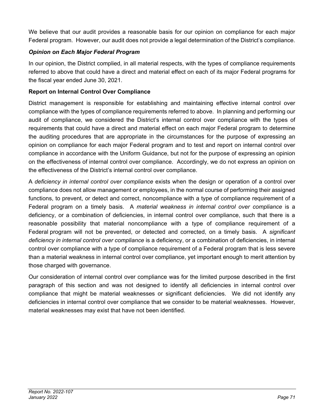We believe that our audit provides a reasonable basis for our opinion on compliance for each major Federal program. However, our audit does not provide a legal determination of the District's compliance.

#### *Opinion on Each Major Federal Program*

In our opinion, the District complied, in all material respects, with the types of compliance requirements referred to above that could have a direct and material effect on each of its major Federal programs for the fiscal year ended June 30, 2021.

#### **Report on Internal Control Over Compliance**

District management is responsible for establishing and maintaining effective internal control over compliance with the types of compliance requirements referred to above. In planning and performing our audit of compliance, we considered the District's internal control over compliance with the types of requirements that could have a direct and material effect on each major Federal program to determine the auditing procedures that are appropriate in the circumstances for the purpose of expressing an opinion on compliance for each major Federal program and to test and report on internal control over compliance in accordance with the Uniform Guidance, but not for the purpose of expressing an opinion on the effectiveness of internal control over compliance. Accordingly, we do not express an opinion on the effectiveness of the District's internal control over compliance.

A *deficiency in internal control over compliance* exists when the design or operation of a control over compliance does not allow management or employees, in the normal course of performing their assigned functions, to prevent, or detect and correct, noncompliance with a type of compliance requirement of a Federal program on a timely basis. A *material weakness in internal control over compliance* is a deficiency, or a combination of deficiencies, in internal control over compliance, such that there is a reasonable possibility that material noncompliance with a type of compliance requirement of a Federal program will not be prevented, or detected and corrected, on a timely basis. A *significant deficiency in internal control over compliance* is a deficiency, or a combination of deficiencies, in internal control over compliance with a type of compliance requirement of a Federal program that is less severe than a material weakness in internal control over compliance, yet important enough to merit attention by those charged with governance.

Our consideration of internal control over compliance was for the limited purpose described in the first paragraph of this section and was not designed to identify all deficiencies in internal control over compliance that might be material weaknesses or significant deficiencies. We did not identify any deficiencies in internal control over compliance that we consider to be material weaknesses. However, material weaknesses may exist that have not been identified.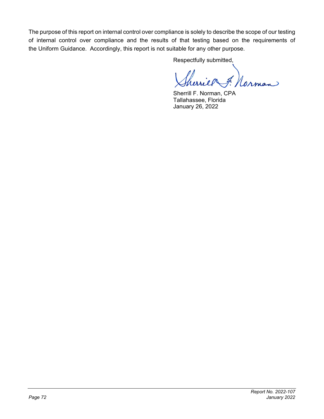The purpose of this report on internal control over compliance is solely to describe the scope of our testing of internal control over compliance and the results of that testing based on the requirements of the Uniform Guidance. Accordingly, this report is not suitable for any other purpose.

Respectfully submitted,

F. Norman

Sherrill F. Norman, CPA Tallahassee, Florida January 26, 2022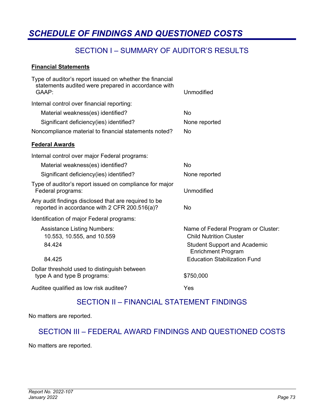# *SCHEDULE OF FINDINGS AND QUESTIONED COSTS*

## SECTION I – SUMMARY OF AUDITOR'S RESULTS

#### **Financial Statements**

| Type of auditor's report issued on whether the financial<br>statements audited were prepared in accordance with<br>GAAP: | Unmodified                                                                                                                                |
|--------------------------------------------------------------------------------------------------------------------------|-------------------------------------------------------------------------------------------------------------------------------------------|
| Internal control over financial reporting:                                                                               |                                                                                                                                           |
| Material weakness(es) identified?                                                                                        | No                                                                                                                                        |
| Significant deficiency(ies) identified?                                                                                  | None reported                                                                                                                             |
| Noncompliance material to financial statements noted?                                                                    | No                                                                                                                                        |
| <b>Federal Awards</b>                                                                                                    |                                                                                                                                           |
| Internal control over major Federal programs:                                                                            |                                                                                                                                           |
| Material weakness(es) identified?                                                                                        | No                                                                                                                                        |
| Significant deficiency(ies) identified?                                                                                  | None reported                                                                                                                             |
| Type of auditor's report issued on compliance for major<br>Federal programs:                                             | Unmodified                                                                                                                                |
| Any audit findings disclosed that are required to be<br>reported in accordance with 2 CFR 200.516(a)?                    | No                                                                                                                                        |
| Identification of major Federal programs:                                                                                |                                                                                                                                           |
| <b>Assistance Listing Numbers:</b><br>10.553, 10.555, and 10.559<br>84.424                                               | Name of Federal Program or Cluster:<br><b>Child Nutrition Cluster</b><br><b>Student Support and Academic</b><br><b>Enrichment Program</b> |
| 84.425                                                                                                                   | <b>Education Stabilization Fund</b>                                                                                                       |
| Dollar threshold used to distinguish between<br>type A and type B programs:                                              | \$750,000                                                                                                                                 |
| Auditee qualified as low risk auditee?                                                                                   | Yes                                                                                                                                       |
|                                                                                                                          |                                                                                                                                           |

## SECTION II – FINANCIAL STATEMENT FINDINGS

No matters are reported.

## SECTION III – FEDERAL AWARD FINDINGS AND QUESTIONED COSTS

No matters are reported.